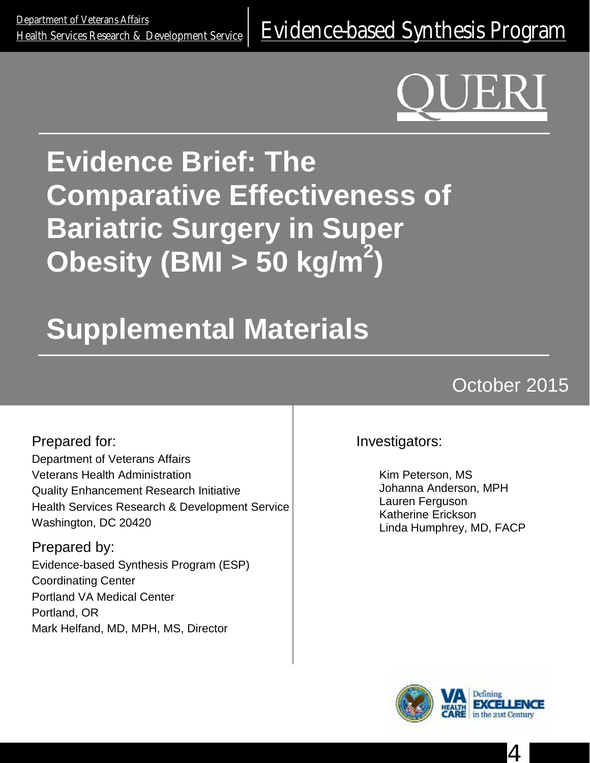<u>Department of Veteralis Alialis</u><br>[Health Services Research & Development Service](http://www.hsrd.research.va.gov/) E**Vidence-based Synthesis Program** 

# **Evidence Brief: The Comparative Effectiveness of Bariatric Surgery in Super Obesity (BMI > 50 kg/m2 )**

# **Supplemental Materials**

# October 2015

Prepared for: Department of Veterans Affairs Veterans Health Administration Quality Enhancement Research Initiative Health Services Research & Development Service Washington, DC 20420

Prepared by: Evidence-based Synthesis Program (ESP) Coordinating Center Portland VA Medical Center Portland, OR Mark Helfand, MD, MPH, MS, Director

Investigators:

Kim Peterson, MS Johanna Anderson, MPH Lauren Ferguson Katherine Erickson Linda Humphrey, MD, FACP



4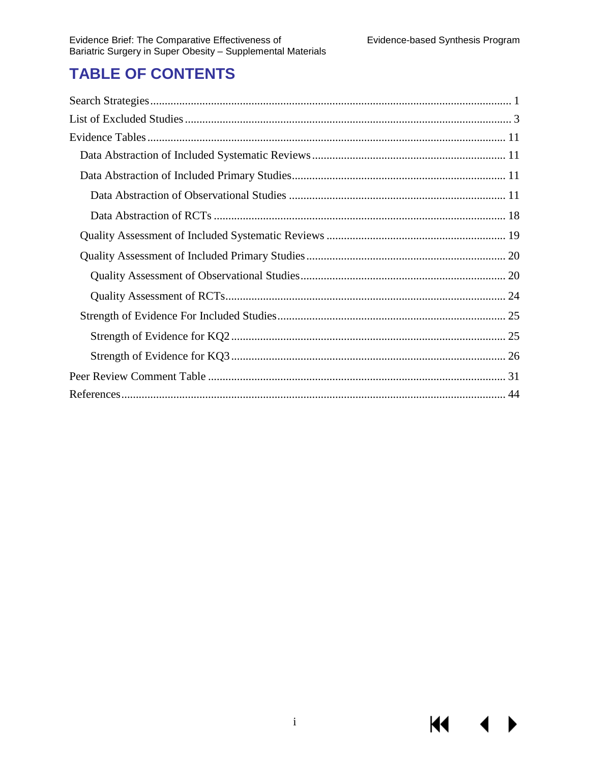$\blacktriangleleft$ 

**KK** 

# **TABLE OF CONTENTS**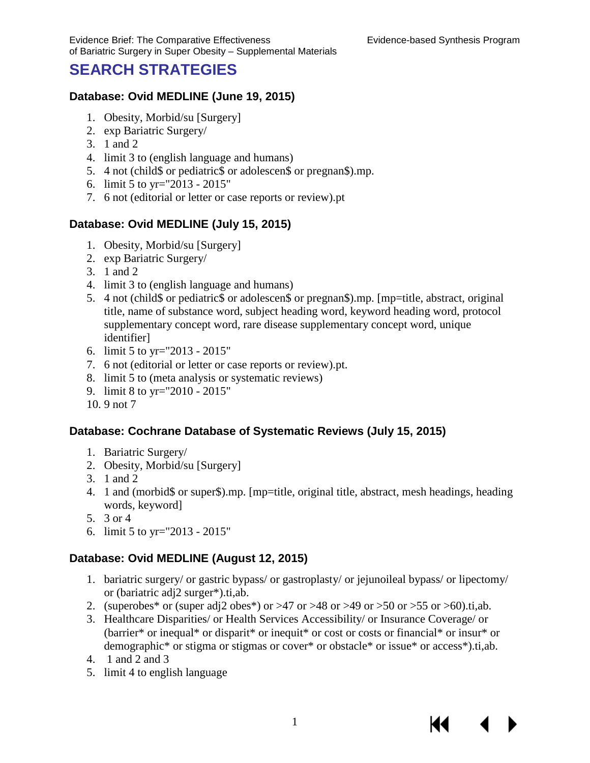КI

# <span id="page-2-0"></span>**SEARCH STRATEGIES**

#### **Database: Ovid MEDLINE (June 19, 2015)**

- 1. Obesity, Morbid/su [Surgery]
- 2. exp Bariatric Surgery/
- 3. 1 and 2
- 4. limit 3 to (english language and humans)
- 5. 4 not (child\$ or pediatric\$ or adolescen\$ or pregnan\$).mp.
- 6. limit 5 to yr="2013 2015"
- 7. 6 not (editorial or letter or case reports or review).pt

#### **Database: Ovid MEDLINE (July 15, 2015)**

- 1. Obesity, Morbid/su [Surgery]
- 2. exp Bariatric Surgery/
- 3. 1 and 2
- 4. limit 3 to (english language and humans)
- 5. 4 not (child\$ or pediatric\$ or adolescen\$ or pregnan\$).mp. [mp=title, abstract, original title, name of substance word, subject heading word, keyword heading word, protocol supplementary concept word, rare disease supplementary concept word, unique identifier]
- 6. limit 5 to yr="2013 2015"
- 7. 6 not (editorial or letter or case reports or review).pt.
- 8. limit 5 to (meta analysis or systematic reviews)
- 9. limit 8 to yr="2010 2015"
- 10. 9 not 7

#### **Database: Cochrane Database of Systematic Reviews (July 15, 2015)**

- 1. Bariatric Surgery/
- 2. Obesity, Morbid/su [Surgery]
- 3. 1 and 2
- 4. 1 and (morbid\$ or super\$).mp. [mp=title, original title, abstract, mesh headings, heading words, keyword]
- 5. 3 or 4
- 6. limit 5 to yr="2013 2015"

#### **Database: Ovid MEDLINE (August 12, 2015)**

- 1. bariatric surgery/ or gastric bypass/ or gastroplasty/ or jejunoileal bypass/ or lipectomy/ or (bariatric adj2 surger\*).ti,ab.
- 2. (superobes\* or (super adj2 obes\*) or  $>47$  or  $>48$  or  $>49$  or  $>50$  or  $>55$  or  $>60$ ).ti,ab.
- 3. Healthcare Disparities/ or Health Services Accessibility/ or Insurance Coverage/ or (barrier\* or inequal\* or disparit\* or inequit\* or cost or costs or financial\* or insur\* or demographic\* or stigma or stigmas or cover\* or obstacle\* or issue\* or access\*).ti,ab.
- 4. 1 and 2 and 3
- 5. limit 4 to english language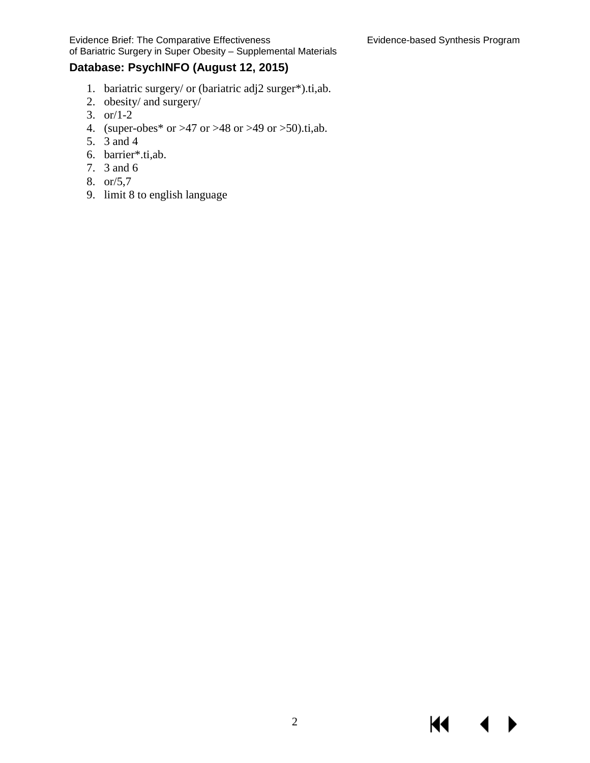KI

Evidence Brief: The Comparative Effectiveness Evidence-based Synthesis Program of Bariatric Surgery in Super Obesity – Supplemental Materials

#### **Database: PsychINFO (August 12, 2015)**

- 1. bariatric surgery/ or (bariatric adj2 surger\*).ti,ab.
- 2. obesity/ and surgery/
- 3. or/1-2
- 4. (super-obes\* or >47 or >48 or >49 or >50).ti,ab.
- 5. 3 and 4
- 6. barrier\*.ti,ab.
- 7. 3 and 6
- 8. or/5,7
- 9. limit 8 to english language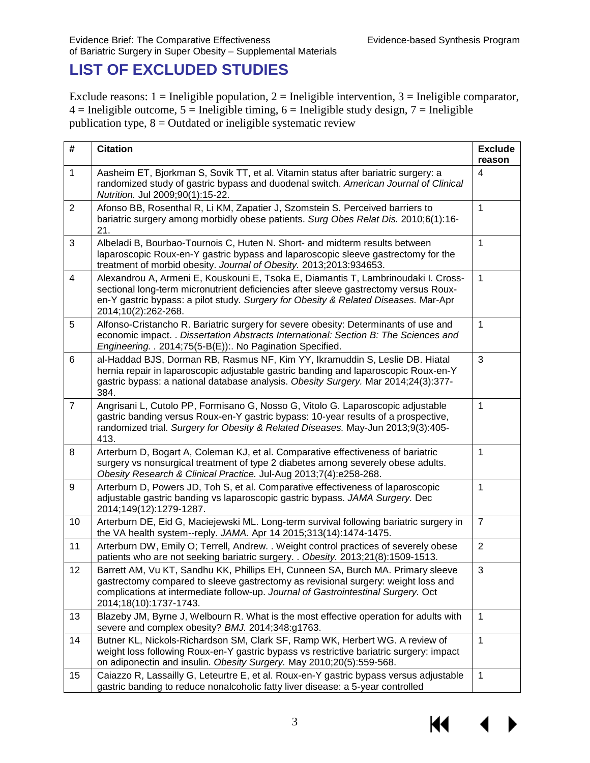# <span id="page-4-0"></span>**LIST OF EXCLUDED STUDIES**

Exclude reasons:  $1 =$  Ineligible population,  $2 =$  Ineligible intervention,  $3 =$  Ineligible comparator,  $4 =$  Ineligible outcome,  $5 =$  Ineligible timing,  $6 =$  Ineligible study design,  $7 =$  Ineligible publication type,  $8 =$  Outdated or ineligible systematic review

| #                                                                                                                                                                                                                                              | <b>Citation</b>                                                                                                                                                                                                                                                                          | <b>Exclude</b><br>reason |  |  |  |  |  |
|------------------------------------------------------------------------------------------------------------------------------------------------------------------------------------------------------------------------------------------------|------------------------------------------------------------------------------------------------------------------------------------------------------------------------------------------------------------------------------------------------------------------------------------------|--------------------------|--|--|--|--|--|
| $\mathbf{1}$                                                                                                                                                                                                                                   | Aasheim ET, Bjorkman S, Sovik TT, et al. Vitamin status after bariatric surgery: a<br>randomized study of gastric bypass and duodenal switch. American Journal of Clinical<br>Nutrition. Jul 2009;90(1):15-22.                                                                           | 4                        |  |  |  |  |  |
| $\overline{2}$                                                                                                                                                                                                                                 | Afonso BB, Rosenthal R, Li KM, Zapatier J, Szomstein S. Perceived barriers to<br>bariatric surgery among morbidly obese patients. Surg Obes Relat Dis. 2010;6(1):16-<br>21.                                                                                                              | $\mathbf{1}$             |  |  |  |  |  |
| 3                                                                                                                                                                                                                                              | Albeladi B, Bourbao-Tournois C, Huten N. Short- and midterm results between<br>laparoscopic Roux-en-Y gastric bypass and laparoscopic sleeve gastrectomy for the<br>treatment of morbid obesity. Journal of Obesity. 2013;2013:934653.                                                   |                          |  |  |  |  |  |
| 4                                                                                                                                                                                                                                              | Alexandrou A, Armeni E, Kouskouni E, Tsoka E, Diamantis T, Lambrinoudaki I. Cross-<br>sectional long-term micronutrient deficiencies after sleeve gastrectomy versus Roux-<br>en-Y gastric bypass: a pilot study. Surgery for Obesity & Related Diseases. Mar-Apr<br>2014;10(2):262-268. |                          |  |  |  |  |  |
| 5                                                                                                                                                                                                                                              | Alfonso-Cristancho R. Bariatric surgery for severe obesity: Determinants of use and<br>economic impact. . Dissertation Abstracts International: Section B: The Sciences and<br>Engineering. . 2014;75(5-B(E)):. No Pagination Specified.                                                 |                          |  |  |  |  |  |
| 6                                                                                                                                                                                                                                              | al-Haddad BJS, Dorman RB, Rasmus NF, Kim YY, Ikramuddin S, Leslie DB. Hiatal<br>hernia repair in laparoscopic adjustable gastric banding and laparoscopic Roux-en-Y<br>gastric bypass: a national database analysis. Obesity Surgery. Mar 2014;24(3):377-<br>384.                        |                          |  |  |  |  |  |
| $\overline{7}$                                                                                                                                                                                                                                 | Angrisani L, Cutolo PP, Formisano G, Nosso G, Vitolo G. Laparoscopic adjustable<br>gastric banding versus Roux-en-Y gastric bypass: 10-year results of a prospective,<br>randomized trial. Surgery for Obesity & Related Diseases. May-Jun 2013;9(3):405-<br>413.                        |                          |  |  |  |  |  |
| Arterburn D, Bogart A, Coleman KJ, et al. Comparative effectiveness of bariatric<br>8<br>surgery vs nonsurgical treatment of type 2 diabetes among severely obese adults.<br>Obesity Research & Clinical Practice. Jul-Aug 2013;7(4):e258-268. |                                                                                                                                                                                                                                                                                          | 1                        |  |  |  |  |  |
| 9                                                                                                                                                                                                                                              | Arterburn D, Powers JD, Toh S, et al. Comparative effectiveness of laparoscopic<br>adjustable gastric banding vs laparoscopic gastric bypass. JAMA Surgery. Dec<br>2014;149(12):1279-1287.                                                                                               | $\mathbf{1}$             |  |  |  |  |  |
| 10                                                                                                                                                                                                                                             | Arterburn DE, Eid G, Maciejewski ML. Long-term survival following bariatric surgery in<br>the VA health system--reply. JAMA. Apr 14 2015;313(14):1474-1475.                                                                                                                              | $\overline{7}$           |  |  |  |  |  |
| 11                                                                                                                                                                                                                                             | Arterburn DW, Emily O; Terrell, Andrew. . Weight control practices of severely obese<br>patients who are not seeking bariatric surgery. . Obesity. 2013;21(8):1509-1513.                                                                                                                 |                          |  |  |  |  |  |
| 12                                                                                                                                                                                                                                             | Barrett AM, Vu KT, Sandhu KK, Phillips EH, Cunneen SA, Burch MA. Primary sleeve<br>gastrectomy compared to sleeve gastrectomy as revisional surgery: weight loss and<br>complications at intermediate follow-up. Journal of Gastrointestinal Surgery. Oct<br>2014;18(10):1737-1743.      |                          |  |  |  |  |  |
| 13                                                                                                                                                                                                                                             | Blazeby JM, Byrne J, Welbourn R. What is the most effective operation for adults with<br>severe and complex obesity? BMJ. 2014;348:g1763.                                                                                                                                                | 1                        |  |  |  |  |  |
| 14                                                                                                                                                                                                                                             | Butner KL, Nickols-Richardson SM, Clark SF, Ramp WK, Herbert WG. A review of<br>weight loss following Roux-en-Y gastric bypass vs restrictive bariatric surgery: impact<br>on adiponectin and insulin. Obesity Surgery. May 2010;20(5):559-568.                                          | $\mathbf{1}$             |  |  |  |  |  |
| 15                                                                                                                                                                                                                                             | Caiazzo R, Lassailly G, Leteurtre E, et al. Roux-en-Y gastric bypass versus adjustable<br>gastric banding to reduce nonalcoholic fatty liver disease: a 5-year controlled                                                                                                                | 1                        |  |  |  |  |  |

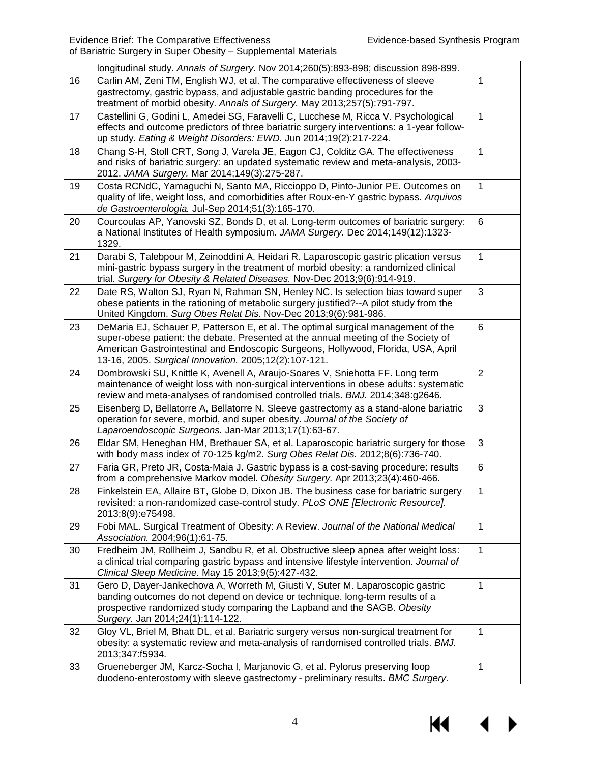|    | longitudinal study. Annals of Surgery. Nov 2014;260(5):893-898; discussion 898-899.                                                                                                                                                                                                                                   |                |
|----|-----------------------------------------------------------------------------------------------------------------------------------------------------------------------------------------------------------------------------------------------------------------------------------------------------------------------|----------------|
| 16 | Carlin AM, Zeni TM, English WJ, et al. The comparative effectiveness of sleeve<br>gastrectomy, gastric bypass, and adjustable gastric banding procedures for the<br>treatment of morbid obesity. Annals of Surgery. May 2013;257(5):791-797.                                                                          | 1              |
| 17 | Castellini G, Godini L, Amedei SG, Faravelli C, Lucchese M, Ricca V. Psychological<br>effects and outcome predictors of three bariatric surgery interventions: a 1-year follow-<br>up study. Eating & Weight Disorders: EWD. Jun 2014;19(2):217-224.                                                                  | 1              |
| 18 | Chang S-H, Stoll CRT, Song J, Varela JE, Eagon CJ, Colditz GA. The effectiveness<br>and risks of bariatric surgery: an updated systematic review and meta-analysis, 2003-<br>2012. JAMA Surgery. Mar 2014;149(3):275-287.                                                                                             | $\mathbf{1}$   |
| 19 | Costa RCNdC, Yamaguchi N, Santo MA, Riccioppo D, Pinto-Junior PE. Outcomes on<br>quality of life, weight loss, and comorbidities after Roux-en-Y gastric bypass. Arquivos<br>de Gastroenterologia. Jul-Sep 2014;51(3):165-170.                                                                                        | $\mathbf{1}$   |
| 20 | Courcoulas AP, Yanovski SZ, Bonds D, et al. Long-term outcomes of bariatric surgery:<br>a National Institutes of Health symposium. JAMA Surgery. Dec 2014;149(12):1323-<br>1329.                                                                                                                                      | 6              |
| 21 | Darabi S, Talebpour M, Zeinoddini A, Heidari R. Laparoscopic gastric plication versus<br>mini-gastric bypass surgery in the treatment of morbid obesity: a randomized clinical<br>trial. Surgery for Obesity & Related Diseases. Nov-Dec 2013;9(6):914-919.                                                           | $\mathbf{1}$   |
| 22 | Date RS, Walton SJ, Ryan N, Rahman SN, Henley NC. Is selection bias toward super<br>obese patients in the rationing of metabolic surgery justified?--A pilot study from the<br>United Kingdom. Surg Obes Relat Dis. Nov-Dec 2013;9(6):981-986.                                                                        | 3              |
| 23 | DeMaria EJ, Schauer P, Patterson E, et al. The optimal surgical management of the<br>super-obese patient: the debate. Presented at the annual meeting of the Society of<br>American Gastrointestinal and Endoscopic Surgeons, Hollywood, Florida, USA, April<br>13-16, 2005. Surgical Innovation. 2005;12(2):107-121. | $6\phantom{1}$ |
| 24 | Dombrowski SU, Knittle K, Avenell A, Araujo-Soares V, Sniehotta FF. Long term<br>maintenance of weight loss with non-surgical interventions in obese adults: systematic<br>review and meta-analyses of randomised controlled trials. BMJ. 2014;348:g2646.                                                             | $\overline{2}$ |
| 25 | Eisenberg D, Bellatorre A, Bellatorre N. Sleeve gastrectomy as a stand-alone bariatric<br>operation for severe, morbid, and super obesity. Journal of the Society of<br>Laparoendoscopic Surgeons. Jan-Mar 2013;17(1):63-67.                                                                                          | 3              |
| 26 | Eldar SM, Heneghan HM, Brethauer SA, et al. Laparoscopic bariatric surgery for those<br>with body mass index of 70-125 kg/m2. Surg Obes Relat Dis. 2012;8(6):736-740.                                                                                                                                                 | 3              |
| 27 | Faria GR, Preto JR, Costa-Maia J. Gastric bypass is a cost-saving procedure: results<br>from a comprehensive Markov model. Obesity Surgery. Apr 2013;23(4):460-466.                                                                                                                                                   | $\,6$          |
| 28 | Finkelstein EA, Allaire BT, Globe D, Dixon JB. The business case for bariatric surgery<br>revisited: a non-randomized case-control study. PLoS ONE [Electronic Resource].<br>2013;8(9):e75498.                                                                                                                        | 1              |
| 29 | Fobi MAL. Surgical Treatment of Obesity: A Review. Journal of the National Medical<br>Association. 2004;96(1):61-75.                                                                                                                                                                                                  | 1              |
| 30 | Fredheim JM, Rollheim J, Sandbu R, et al. Obstructive sleep apnea after weight loss:<br>a clinical trial comparing gastric bypass and intensive lifestyle intervention. Journal of<br>Clinical Sleep Medicine. May 15 2013;9(5):427-432.                                                                              | $\mathbf{1}$   |
| 31 | Gero D, Dayer-Jankechova A, Worreth M, Giusti V, Suter M. Laparoscopic gastric<br>banding outcomes do not depend on device or technique. long-term results of a<br>prospective randomized study comparing the Lapband and the SAGB. Obesity<br>Surgery. Jan 2014;24(1):114-122.                                       | $\mathbf{1}$   |
| 32 | Gloy VL, Briel M, Bhatt DL, et al. Bariatric surgery versus non-surgical treatment for<br>obesity: a systematic review and meta-analysis of randomised controlled trials. BMJ.<br>2013;347:f5934.                                                                                                                     | $\mathbf{1}$   |
| 33 | Grueneberger JM, Karcz-Socha I, Marjanovic G, et al. Pylorus preserving loop<br>duodeno-enterostomy with sleeve gastrectomy - preliminary results. BMC Surgery.                                                                                                                                                       | 1              |

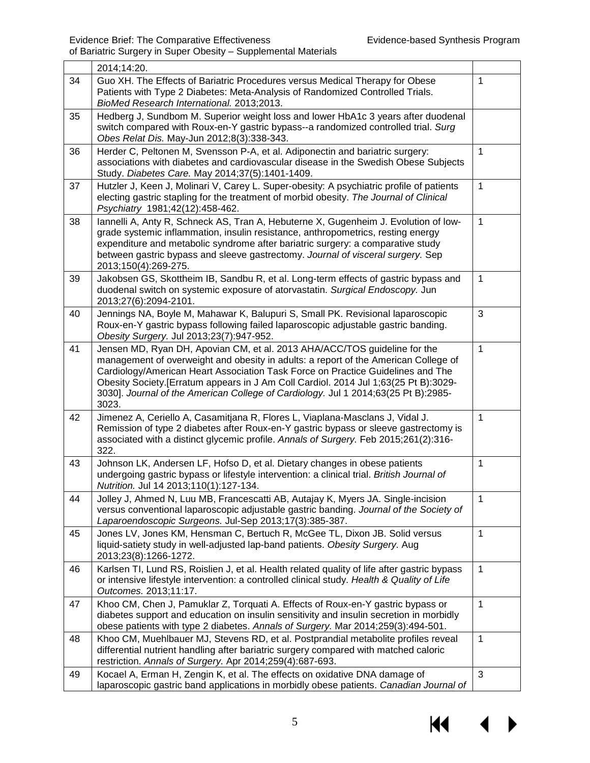|    | or Banatho Sargory in Sapor Spesity<br><b>Oupplottional Mator</b>                                                                                                                                                                                                                                                                                                                                                                          |                |  |  |  |
|----|--------------------------------------------------------------------------------------------------------------------------------------------------------------------------------------------------------------------------------------------------------------------------------------------------------------------------------------------------------------------------------------------------------------------------------------------|----------------|--|--|--|
|    | 2014;14:20.                                                                                                                                                                                                                                                                                                                                                                                                                                |                |  |  |  |
| 34 | Guo XH. The Effects of Bariatric Procedures versus Medical Therapy for Obese<br>Patients with Type 2 Diabetes: Meta-Analysis of Randomized Controlled Trials.<br>BioMed Research International. 2013;2013.                                                                                                                                                                                                                                 | $\mathbf{1}$   |  |  |  |
| 35 | Hedberg J, Sundbom M. Superior weight loss and lower HbA1c 3 years after duodenal<br>switch compared with Roux-en-Y gastric bypass--a randomized controlled trial. Surg<br>Obes Relat Dis. May-Jun 2012;8(3):338-343.                                                                                                                                                                                                                      |                |  |  |  |
| 36 | Herder C, Peltonen M, Svensson P-A, et al. Adiponectin and bariatric surgery:<br>associations with diabetes and cardiovascular disease in the Swedish Obese Subjects<br>Study. Diabetes Care. May 2014;37(5):1401-1409.                                                                                                                                                                                                                    | $\mathbf{1}$   |  |  |  |
| 37 | Hutzler J, Keen J, Molinari V, Carey L. Super-obesity: A psychiatric profile of patients<br>electing gastric stapling for the treatment of morbid obesity. The Journal of Clinical<br>Psychiatry 1981;42(12):458-462.                                                                                                                                                                                                                      | $\mathbf{1}$   |  |  |  |
| 38 | Iannelli A, Anty R, Schneck AS, Tran A, Hebuterne X, Gugenheim J. Evolution of low-<br>grade systemic inflammation, insulin resistance, anthropometrics, resting energy<br>expenditure and metabolic syndrome after bariatric surgery: a comparative study<br>between gastric bypass and sleeve gastrectomy. Journal of visceral surgery. Sep<br>2013;150(4):269-275.                                                                      | $\mathbf{1}$   |  |  |  |
| 39 | Jakobsen GS, Skottheim IB, Sandbu R, et al. Long-term effects of gastric bypass and<br>duodenal switch on systemic exposure of atorvastatin. Surgical Endoscopy. Jun<br>2013;27(6):2094-2101.                                                                                                                                                                                                                                              | $\mathbf{1}$   |  |  |  |
| 40 | Jennings NA, Boyle M, Mahawar K, Balupuri S, Small PK. Revisional laparoscopic<br>Roux-en-Y gastric bypass following failed laparoscopic adjustable gastric banding.<br>Obesity Surgery. Jul 2013;23(7):947-952.                                                                                                                                                                                                                           | 3              |  |  |  |
| 41 | Jensen MD, Ryan DH, Apovian CM, et al. 2013 AHA/ACC/TOS guideline for the<br>management of overweight and obesity in adults: a report of the American College of<br>Cardiology/American Heart Association Task Force on Practice Guidelines and The<br>Obesity Society. [Erratum appears in J Am Coll Cardiol. 2014 Jul 1;63(25 Pt B):3029-<br>3030]. Journal of the American College of Cardiology. Jul 1 2014;63(25 Pt B):2985-<br>3023. | $\mathbf{1}$   |  |  |  |
| 42 | Jimenez A, Ceriello A, Casamitjana R, Flores L, Viaplana-Masclans J, Vidal J.<br>Remission of type 2 diabetes after Roux-en-Y gastric bypass or sleeve gastrectomy is<br>associated with a distinct glycemic profile. Annals of Surgery. Feb 2015;261(2):316-<br>322.                                                                                                                                                                      | $\mathbf{1}$   |  |  |  |
| 43 | Johnson LK, Andersen LF, Hofso D, et al. Dietary changes in obese patients<br>undergoing gastric bypass or lifestyle intervention: a clinical trial. British Journal of<br>Nutrition. Jul 14 2013;110(1):127-134.                                                                                                                                                                                                                          | $\mathbf{1}$   |  |  |  |
| 44 | Jolley J, Ahmed N, Luu MB, Francescatti AB, Autajay K, Myers JA. Single-incision<br>versus conventional laparoscopic adjustable gastric banding. Journal of the Society of<br>Laparoendoscopic Surgeons. Jul-Sep 2013;17(3):385-387.                                                                                                                                                                                                       | $\overline{1}$ |  |  |  |
| 45 | Jones LV, Jones KM, Hensman C, Bertuch R, McGee TL, Dixon JB. Solid versus<br>liquid-satiety study in well-adjusted lap-band patients. Obesity Surgery. Aug<br>2013;23(8):1266-1272.                                                                                                                                                                                                                                                       | $\mathbf{1}$   |  |  |  |
| 46 | Karlsen TI, Lund RS, Roislien J, et al. Health related quality of life after gastric bypass<br>or intensive lifestyle intervention: a controlled clinical study. Health & Quality of Life<br>Outcomes. 2013;11:17.                                                                                                                                                                                                                         |                |  |  |  |
| 47 | Khoo CM, Chen J, Pamuklar Z, Torquati A. Effects of Roux-en-Y gastric bypass or<br>diabetes support and education on insulin sensitivity and insulin secretion in morbidly<br>obese patients with type 2 diabetes. Annals of Surgery. Mar 2014;259(3):494-501.                                                                                                                                                                             | $\mathbf{1}$   |  |  |  |
| 48 | Khoo CM, Muehlbauer MJ, Stevens RD, et al. Postprandial metabolite profiles reveal<br>differential nutrient handling after bariatric surgery compared with matched caloric<br>restriction. Annals of Surgery. Apr 2014;259(4):687-693.                                                                                                                                                                                                     | $\mathbf{1}$   |  |  |  |
| 49 | Kocael A, Erman H, Zengin K, et al. The effects on oxidative DNA damage of<br>laparoscopic gastric band applications in morbidly obese patients. Canadian Journal of                                                                                                                                                                                                                                                                       | 3              |  |  |  |

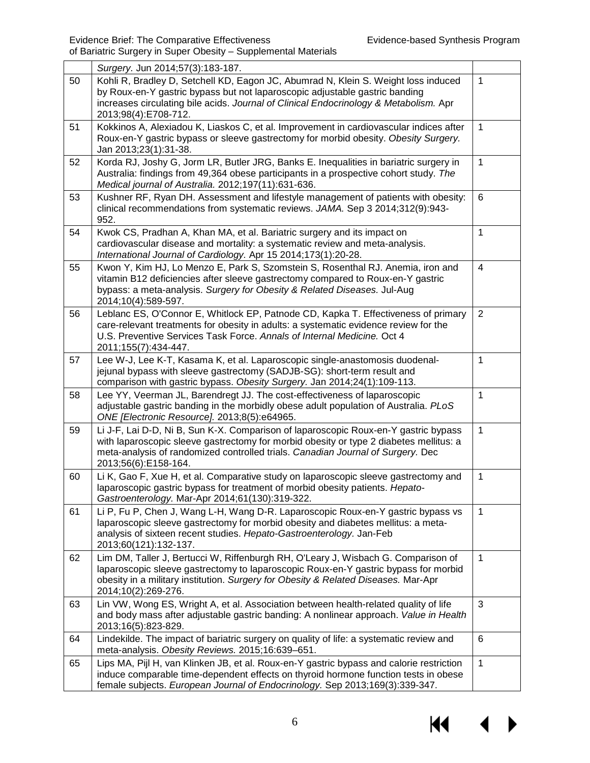|    | Surgery. Jun 2014;57(3):183-187.                                                                                                                                                                                                                                                         |              |  |  |  |  |
|----|------------------------------------------------------------------------------------------------------------------------------------------------------------------------------------------------------------------------------------------------------------------------------------------|--------------|--|--|--|--|
| 50 | Kohli R, Bradley D, Setchell KD, Eagon JC, Abumrad N, Klein S. Weight loss induced<br>by Roux-en-Y gastric bypass but not laparoscopic adjustable gastric banding<br>increases circulating bile acids. Journal of Clinical Endocrinology & Metabolism. Apr<br>2013;98(4):E708-712.       | $\mathbf{1}$ |  |  |  |  |
| 51 | Kokkinos A, Alexiadou K, Liaskos C, et al. Improvement in cardiovascular indices after<br>Roux-en-Y gastric bypass or sleeve gastrectomy for morbid obesity. Obesity Surgery.<br>Jan 2013;23(1):31-38.                                                                                   | $\mathbf{1}$ |  |  |  |  |
| 52 | Korda RJ, Joshy G, Jorm LR, Butler JRG, Banks E. Inequalities in bariatric surgery in<br>Australia: findings from 49,364 obese participants in a prospective cohort study. The<br>Medical journal of Australia. 2012;197(11):631-636.                                                    | $\mathbf{1}$ |  |  |  |  |
| 53 | Kushner RF, Ryan DH. Assessment and lifestyle management of patients with obesity:<br>clinical recommendations from systematic reviews. JAMA. Sep 3 2014;312(9):943-<br>952.                                                                                                             |              |  |  |  |  |
| 54 | Kwok CS, Pradhan A, Khan MA, et al. Bariatric surgery and its impact on<br>cardiovascular disease and mortality: a systematic review and meta-analysis.<br>International Journal of Cardiology. Apr 15 2014;173(1):20-28.                                                                |              |  |  |  |  |
| 55 | Kwon Y, Kim HJ, Lo Menzo E, Park S, Szomstein S, Rosenthal RJ. Anemia, iron and<br>vitamin B12 deficiencies after sleeve gastrectomy compared to Roux-en-Y gastric<br>bypass: a meta-analysis. Surgery for Obesity & Related Diseases. Jul-Aug<br>2014;10(4):589-597.                    |              |  |  |  |  |
| 56 | Leblanc ES, O'Connor E, Whitlock EP, Patnode CD, Kapka T. Effectiveness of primary<br>care-relevant treatments for obesity in adults: a systematic evidence review for the<br>U.S. Preventive Services Task Force. Annals of Internal Medicine. Oct 4<br>2011;155(7):434-447.            |              |  |  |  |  |
| 57 | Lee W-J, Lee K-T, Kasama K, et al. Laparoscopic single-anastomosis duodenal-<br>jejunal bypass with sleeve gastrectomy (SADJB-SG): short-term result and<br>comparison with gastric bypass. Obesity Surgery. Jan 2014;24(1):109-113.                                                     |              |  |  |  |  |
| 58 | Lee YY, Veerman JL, Barendregt JJ. The cost-effectiveness of laparoscopic<br>adjustable gastric banding in the morbidly obese adult population of Australia. PLoS<br>ONE [Electronic Resource]. 2013;8(5):e64965.                                                                        | $\mathbf{1}$ |  |  |  |  |
| 59 | Li J-F, Lai D-D, Ni B, Sun K-X. Comparison of laparoscopic Roux-en-Y gastric bypass<br>with laparoscopic sleeve gastrectomy for morbid obesity or type 2 diabetes mellitus: a<br>meta-analysis of randomized controlled trials. Canadian Journal of Surgery. Dec<br>2013;56(6):E158-164. | $\mathbf{1}$ |  |  |  |  |
| 60 | Li K, Gao F, Xue H, et al. Comparative study on laparoscopic sleeve gastrectomy and<br>laparoscopic gastric bypass for treatment of morbid obesity patients. Hepato-<br>Gastroenterology. Mar-Apr 2014;61(130):319-322.                                                                  | $\mathbf 1$  |  |  |  |  |
| 61 | Li P, Fu P, Chen J, Wang L-H, Wang D-R. Laparoscopic Roux-en-Y gastric bypass vs<br>laparoscopic sleeve gastrectomy for morbid obesity and diabetes mellitus: a meta-<br>analysis of sixteen recent studies. Hepato-Gastroenterology. Jan-Feb<br>2013;60(121):132-137.                   | $\mathbf{1}$ |  |  |  |  |
| 62 | Lim DM, Taller J, Bertucci W, Riffenburgh RH, O'Leary J, Wisbach G. Comparison of<br>laparoscopic sleeve gastrectomy to laparoscopic Roux-en-Y gastric bypass for morbid<br>obesity in a military institution. Surgery for Obesity & Related Diseases. Mar-Apr<br>2014;10(2):269-276.    | $\mathbf{1}$ |  |  |  |  |
| 63 | Lin VW, Wong ES, Wright A, et al. Association between health-related quality of life<br>and body mass after adjustable gastric banding: A nonlinear approach. Value in Health<br>2013;16(5):823-829.                                                                                     | 3            |  |  |  |  |
| 64 | Lindekilde. The impact of bariatric surgery on quality of life: a systematic review and<br>meta-analysis. Obesity Reviews. 2015;16:639-651.                                                                                                                                              | 6            |  |  |  |  |
| 65 | Lips MA, Pijl H, van Klinken JB, et al. Roux-en-Y gastric bypass and calorie restriction<br>induce comparable time-dependent effects on thyroid hormone function tests in obese<br>female subjects. European Journal of Endocrinology. Sep 2013;169(3):339-347.                          | $\mathbf{1}$ |  |  |  |  |

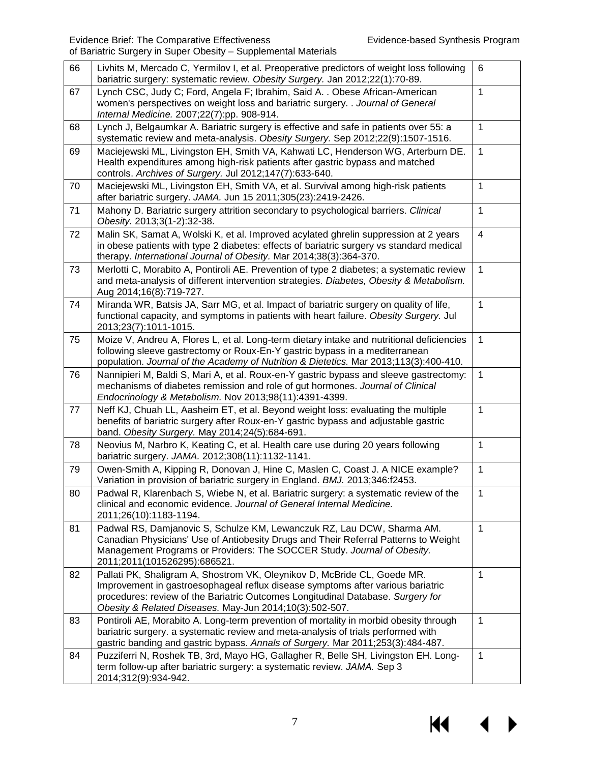$M \cdot 1$ 

 $\blacktriangleright$ 

| 66 | Livhits M, Mercado C, Yermilov I, et al. Preoperative predictors of weight loss following<br>bariatric surgery: systematic review. Obesity Surgery. Jan 2012;22(1):70-89.                                                                                                                                 | 6                       |  |  |  |
|----|-----------------------------------------------------------------------------------------------------------------------------------------------------------------------------------------------------------------------------------------------------------------------------------------------------------|-------------------------|--|--|--|
| 67 | Lynch CSC, Judy C; Ford, Angela F; Ibrahim, Said A. . Obese African-American<br>women's perspectives on weight loss and bariatric surgery. . Journal of General<br>Internal Medicine. 2007;22(7):pp. 908-914.                                                                                             | $\mathbf{1}$            |  |  |  |
| 68 | Lynch J, Belgaumkar A. Bariatric surgery is effective and safe in patients over 55: a<br>systematic review and meta-analysis. Obesity Surgery. Sep 2012;22(9):1507-1516.                                                                                                                                  | $\mathbf{1}$            |  |  |  |
| 69 | Maciejewski ML, Livingston EH, Smith VA, Kahwati LC, Henderson WG, Arterburn DE.<br>Health expenditures among high-risk patients after gastric bypass and matched<br>controls. Archives of Surgery. Jul 2012;147(7):633-640.                                                                              | $\mathbf{1}$            |  |  |  |
| 70 | Maciejewski ML, Livingston EH, Smith VA, et al. Survival among high-risk patients<br>after bariatric surgery. JAMA. Jun 15 2011;305(23):2419-2426.                                                                                                                                                        | $\mathbf{1}$            |  |  |  |
| 71 | Mahony D. Bariatric surgery attrition secondary to psychological barriers. Clinical<br>Obesity. 2013;3(1-2):32-38.                                                                                                                                                                                        | $\mathbf{1}$            |  |  |  |
| 72 | Malin SK, Samat A, Wolski K, et al. Improved acylated ghrelin suppression at 2 years<br>in obese patients with type 2 diabetes: effects of bariatric surgery vs standard medical<br>therapy. International Journal of Obesity. Mar 2014;38(3):364-370.                                                    | $\overline{\mathbf{4}}$ |  |  |  |
| 73 | Merlotti C, Morabito A, Pontiroli AE. Prevention of type 2 diabetes; a systematic review<br>and meta-analysis of different intervention strategies. Diabetes, Obesity & Metabolism.<br>Aug 2014;16(8):719-727.                                                                                            |                         |  |  |  |
| 74 | Miranda WR, Batsis JA, Sarr MG, et al. Impact of bariatric surgery on quality of life,<br>functional capacity, and symptoms in patients with heart failure. Obesity Surgery. Jul<br>2013;23(7):1011-1015.                                                                                                 | $\mathbf{1}$            |  |  |  |
| 75 | Moize V, Andreu A, Flores L, et al. Long-term dietary intake and nutritional deficiencies<br>following sleeve gastrectomy or Roux-En-Y gastric bypass in a mediterranean<br>population. Journal of the Academy of Nutrition & Dietetics. Mar 2013;113(3):400-410.                                         | $\mathbf{1}$            |  |  |  |
| 76 | Nannipieri M, Baldi S, Mari A, et al. Roux-en-Y gastric bypass and sleeve gastrectomy:<br>mechanisms of diabetes remission and role of gut hormones. Journal of Clinical<br>Endocrinology & Metabolism. Nov 2013;98(11):4391-4399.                                                                        | $\mathbf{1}$            |  |  |  |
| 77 | Neff KJ, Chuah LL, Aasheim ET, et al. Beyond weight loss: evaluating the multiple<br>benefits of bariatric surgery after Roux-en-Y gastric bypass and adjustable gastric<br>band. Obesity Surgery. May 2014;24(5):684-691.                                                                                | $\mathbf{1}$            |  |  |  |
| 78 | Neovius M, Narbro K, Keating C, et al. Health care use during 20 years following<br>bariatric surgery. JAMA. 2012;308(11):1132-1141.                                                                                                                                                                      | $\mathbf{1}$            |  |  |  |
| 79 | Owen-Smith A, Kipping R, Donovan J, Hine C, Maslen C, Coast J. A NICE example?<br>Variation in provision of bariatric surgery in England. BMJ. 2013;346:f2453.                                                                                                                                            | $\mathbf{1}$            |  |  |  |
| 80 | Padwal R, Klarenbach S, Wiebe N, et al. Bariatric surgery: a systematic review of the<br>clinical and economic evidence. Journal of General Internal Medicine.<br>2011;26(10):1183-1194.                                                                                                                  | 1                       |  |  |  |
| 81 | Padwal RS, Damjanovic S, Schulze KM, Lewanczuk RZ, Lau DCW, Sharma AM.<br>Canadian Physicians' Use of Antiobesity Drugs and Their Referral Patterns to Weight<br>Management Programs or Providers: The SOCCER Study. Journal of Obesity.<br>2011;2011(101526295):686521.                                  | $\mathbf{1}$            |  |  |  |
| 82 | Pallati PK, Shaligram A, Shostrom VK, Oleynikov D, McBride CL, Goede MR.<br>Improvement in gastroesophageal reflux disease symptoms after various bariatric<br>procedures: review of the Bariatric Outcomes Longitudinal Database. Surgery for<br>Obesity & Related Diseases. May-Jun 2014;10(3):502-507. | $\mathbf{1}$            |  |  |  |
| 83 | Pontiroli AE, Morabito A. Long-term prevention of mortality in morbid obesity through<br>bariatric surgery. a systematic review and meta-analysis of trials performed with<br>gastric banding and gastric bypass. Annals of Surgery. Mar 2011;253(3):484-487.                                             | $\mathbf{1}$            |  |  |  |
| 84 | Puzziferri N, Roshek TB, 3rd, Mayo HG, Gallagher R, Belle SH, Livingston EH. Long-<br>term follow-up after bariatric surgery: a systematic review. JAMA. Sep 3<br>2014;312(9):934-942.                                                                                                                    | $\mathbf{1}$            |  |  |  |

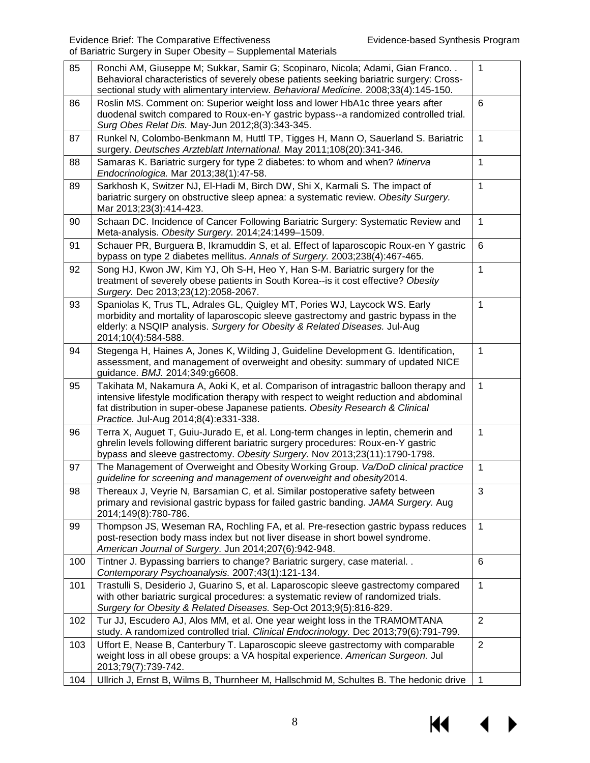| 85  | Ronchi AM, Giuseppe M; Sukkar, Samir G; Scopinaro, Nicola; Adami, Gian Franco<br>Behavioral characteristics of severely obese patients seeking bariatric surgery: Cross-<br>sectional study with alimentary interview. Behavioral Medicine. 2008;33(4):145-150.                                             | $\mathbf{1}$   |  |  |  |
|-----|-------------------------------------------------------------------------------------------------------------------------------------------------------------------------------------------------------------------------------------------------------------------------------------------------------------|----------------|--|--|--|
| 86  | Roslin MS. Comment on: Superior weight loss and lower HbA1c three years after<br>duodenal switch compared to Roux-en-Y gastric bypass--a randomized controlled trial.<br>Surg Obes Relat Dis. May-Jun 2012;8(3):343-345.                                                                                    | 6              |  |  |  |
| 87  | Runkel N, Colombo-Benkmann M, Huttl TP, Tigges H, Mann O, Sauerland S. Bariatric<br>surgery. Deutsches Arzteblatt International. May 2011;108(20):341-346.                                                                                                                                                  | $\mathbf{1}$   |  |  |  |
| 88  | Samaras K. Bariatric surgery for type 2 diabetes: to whom and when? Minerva<br>Endocrinologica. Mar 2013;38(1):47-58.                                                                                                                                                                                       | $\mathbf{1}$   |  |  |  |
| 89  | Sarkhosh K, Switzer NJ, El-Hadi M, Birch DW, Shi X, Karmali S. The impact of<br>bariatric surgery on obstructive sleep apnea: a systematic review. Obesity Surgery.<br>Mar 2013;23(3):414-423.                                                                                                              |                |  |  |  |
| 90  | Schaan DC. Incidence of Cancer Following Bariatric Surgery: Systematic Review and<br>Meta-analysis. Obesity Surgery. 2014;24:1499-1509.                                                                                                                                                                     | $\mathbf{1}$   |  |  |  |
| 91  | Schauer PR, Burguera B, Ikramuddin S, et al. Effect of laparoscopic Roux-en Y gastric<br>bypass on type 2 diabetes mellitus. Annals of Surgery. 2003;238(4):467-465.                                                                                                                                        | 6              |  |  |  |
| 92  | Song HJ, Kwon JW, Kim YJ, Oh S-H, Heo Y, Han S-M. Bariatric surgery for the<br>treatment of severely obese patients in South Korea--is it cost effective? Obesity<br>Surgery. Dec 2013;23(12):2058-2067.                                                                                                    |                |  |  |  |
| 93  | Spaniolas K, Trus TL, Adrales GL, Quigley MT, Pories WJ, Laycock WS. Early<br>morbidity and mortality of laparoscopic sleeve gastrectomy and gastric bypass in the<br>elderly: a NSQIP analysis. Surgery for Obesity & Related Diseases. Jul-Aug<br>2014;10(4):584-588.                                     | $\mathbf{1}$   |  |  |  |
| 94  | Stegenga H, Haines A, Jones K, Wilding J, Guideline Development G. Identification,<br>assessment, and management of overweight and obesity: summary of updated NICE<br>guidance. BMJ. 2014;349:g6608.                                                                                                       | $\mathbf{1}$   |  |  |  |
| 95  | Takihata M, Nakamura A, Aoki K, et al. Comparison of intragastric balloon therapy and<br>intensive lifestyle modification therapy with respect to weight reduction and abdominal<br>fat distribution in super-obese Japanese patients. Obesity Research & Clinical<br>Practice. Jul-Aug 2014;8(4):e331-338. | $\mathbf{1}$   |  |  |  |
| 96  | Terra X, Auguet T, Guiu-Jurado E, et al. Long-term changes in leptin, chemerin and<br>ghrelin levels following different bariatric surgery procedures: Roux-en-Y gastric<br>bypass and sleeve gastrectomy. Obesity Surgery. Nov 2013;23(11):1790-1798.                                                      | $\mathbf{1}$   |  |  |  |
| 97  | The Management of Overweight and Obesity Working Group. Va/DoD clinical practice<br>guideline for screening and management of overweight and obesity 2014.                                                                                                                                                  | $\mathbf{1}$   |  |  |  |
| 98  | Thereaux J, Veyrie N, Barsamian C, et al. Similar postoperative safety between<br>primary and revisional gastric bypass for failed gastric banding. JAMA Surgery. Aug<br>2014;149(8):780-786.                                                                                                               | 3              |  |  |  |
| 99  | Thompson JS, Weseman RA, Rochling FA, et al. Pre-resection gastric bypass reduces<br>post-resection body mass index but not liver disease in short bowel syndrome.<br>American Journal of Surgery. Jun 2014;207(6):942-948.                                                                                 | $\mathbf{1}$   |  |  |  |
| 100 | Tintner J. Bypassing barriers to change? Bariatric surgery, case material. .<br>Contemporary Psychoanalysis. 2007;43(1):121-134.                                                                                                                                                                            | 6              |  |  |  |
| 101 | Trastulli S, Desiderio J, Guarino S, et al. Laparoscopic sleeve gastrectomy compared<br>with other bariatric surgical procedures: a systematic review of randomized trials.<br>Surgery for Obesity & Related Diseases. Sep-Oct 2013;9(5):816-829.                                                           |                |  |  |  |
| 102 | Tur JJ, Escudero AJ, Alos MM, et al. One year weight loss in the TRAMOMTANA<br>study. A randomized controlled trial. Clinical Endocrinology. Dec 2013;79(6):791-799.                                                                                                                                        | $\overline{2}$ |  |  |  |
| 103 | Uffort E, Nease B, Canterbury T. Laparoscopic sleeve gastrectomy with comparable<br>weight loss in all obese groups: a VA hospital experience. American Surgeon. Jul<br>2013;79(7):739-742.                                                                                                                 | $\overline{2}$ |  |  |  |
| 104 | Ullrich J, Ernst B, Wilms B, Thurnheer M, Hallschmid M, Schultes B. The hedonic drive                                                                                                                                                                                                                       | $\mathbf{1}$   |  |  |  |

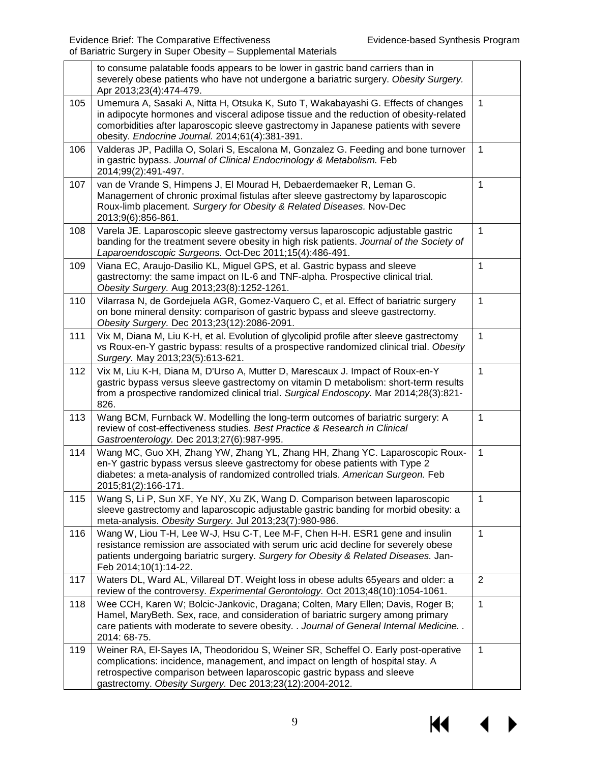|     | to consume palatable foods appears to be lower in gastric band carriers than in<br>severely obese patients who have not undergone a bariatric surgery. Obesity Surgery.<br>Apr 2013;23(4):474-479.                                                                                                                     |                |
|-----|------------------------------------------------------------------------------------------------------------------------------------------------------------------------------------------------------------------------------------------------------------------------------------------------------------------------|----------------|
| 105 | Umemura A, Sasaki A, Nitta H, Otsuka K, Suto T, Wakabayashi G. Effects of changes<br>in adipocyte hormones and visceral adipose tissue and the reduction of obesity-related<br>comorbidities after laparoscopic sleeve gastrectomy in Japanese patients with severe<br>obesity. Endocrine Journal. 2014;61(4):381-391. | $\mathbf 1$    |
| 106 | Valderas JP, Padilla O, Solari S, Escalona M, Gonzalez G. Feeding and bone turnover<br>in gastric bypass. Journal of Clinical Endocrinology & Metabolism. Feb<br>2014;99(2):491-497.                                                                                                                                   | $\mathbf{1}$   |
| 107 | van de Vrande S, Himpens J, El Mourad H, Debaerdemaeker R, Leman G.<br>Management of chronic proximal fistulas after sleeve gastrectomy by laparoscopic<br>Roux-limb placement. Surgery for Obesity & Related Diseases. Nov-Dec<br>2013;9(6):856-861.                                                                  | $\mathbf{1}$   |
| 108 | Varela JE. Laparoscopic sleeve gastrectomy versus laparoscopic adjustable gastric<br>banding for the treatment severe obesity in high risk patients. Journal of the Society of<br>Laparoendoscopic Surgeons. Oct-Dec 2011;15(4):486-491.                                                                               | $\mathbf{1}$   |
| 109 | Viana EC, Araujo-Dasilio KL, Miguel GPS, et al. Gastric bypass and sleeve<br>gastrectomy: the same impact on IL-6 and TNF-alpha. Prospective clinical trial.<br>Obesity Surgery. Aug 2013;23(8):1252-1261.                                                                                                             | $\mathbf{1}$   |
| 110 | Vilarrasa N, de Gordejuela AGR, Gomez-Vaquero C, et al. Effect of bariatric surgery<br>on bone mineral density: comparison of gastric bypass and sleeve gastrectomy.<br>Obesity Surgery. Dec 2013;23(12):2086-2091.                                                                                                    | $\mathbf{1}$   |
| 111 | Vix M, Diana M, Liu K-H, et al. Evolution of glycolipid profile after sleeve gastrectomy<br>vs Roux-en-Y gastric bypass: results of a prospective randomized clinical trial. Obesity<br>Surgery. May 2013;23(5):613-621.                                                                                               | $\mathbf{1}$   |
| 112 | Vix M, Liu K-H, Diana M, D'Urso A, Mutter D, Marescaux J. Impact of Roux-en-Y<br>gastric bypass versus sleeve gastrectomy on vitamin D metabolism: short-term results<br>from a prospective randomized clinical trial. Surgical Endoscopy. Mar 2014;28(3):821-<br>826.                                                 | $\mathbf{1}$   |
| 113 | Wang BCM, Furnback W. Modelling the long-term outcomes of bariatric surgery: A<br>review of cost-effectiveness studies. Best Practice & Research in Clinical<br>Gastroenterology. Dec 2013;27(6):987-995.                                                                                                              | $\mathbf{1}$   |
| 114 | Wang MC, Guo XH, Zhang YW, Zhang YL, Zhang HH, Zhang YC. Laparoscopic Roux-<br>en-Y gastric bypass versus sleeve gastrectomy for obese patients with Type 2<br>diabetes: a meta-analysis of randomized controlled trials. American Surgeon. Feb<br>2015;81(2):166-171.                                                 | $\mathbf{1}$   |
| 115 | Wang S, Li P, Sun XF, Ye NY, Xu ZK, Wang D. Comparison between laparoscopic<br>sleeve gastrectomy and laparoscopic adjustable gastric banding for morbid obesity: a<br>meta-analysis. Obesity Surgery. Jul 2013;23(7):980-986.                                                                                         | $\mathbf{1}$   |
| 116 | Wang W, Liou T-H, Lee W-J, Hsu C-T, Lee M-F, Chen H-H. ESR1 gene and insulin<br>resistance remission are associated with serum uric acid decline for severely obese<br>patients undergoing bariatric surgery. Surgery for Obesity & Related Diseases. Jan-<br>Feb 2014;10(1):14-22.                                    | $\mathbf{1}$   |
| 117 | Waters DL, Ward AL, Villareal DT. Weight loss in obese adults 65years and older: a<br>review of the controversy. Experimental Gerontology. Oct 2013;48(10):1054-1061.                                                                                                                                                  | $\overline{2}$ |
| 118 | Wee CCH, Karen W; Bolcic-Jankovic, Dragana; Colten, Mary Ellen; Davis, Roger B;<br>Hamel, MaryBeth. Sex, race, and consideration of bariatric surgery among primary<br>care patients with moderate to severe obesity. . Journal of General Internal Medicine. .<br>2014: 68-75.                                        | $\mathbf{1}$   |
| 119 | Weiner RA, El-Sayes IA, Theodoridou S, Weiner SR, Scheffel O. Early post-operative<br>complications: incidence, management, and impact on length of hospital stay. A<br>retrospective comparison between laparoscopic gastric bypass and sleeve<br>gastrectomy. Obesity Surgery. Dec 2013;23(12):2004-2012.            | $\mathbf{1}$   |

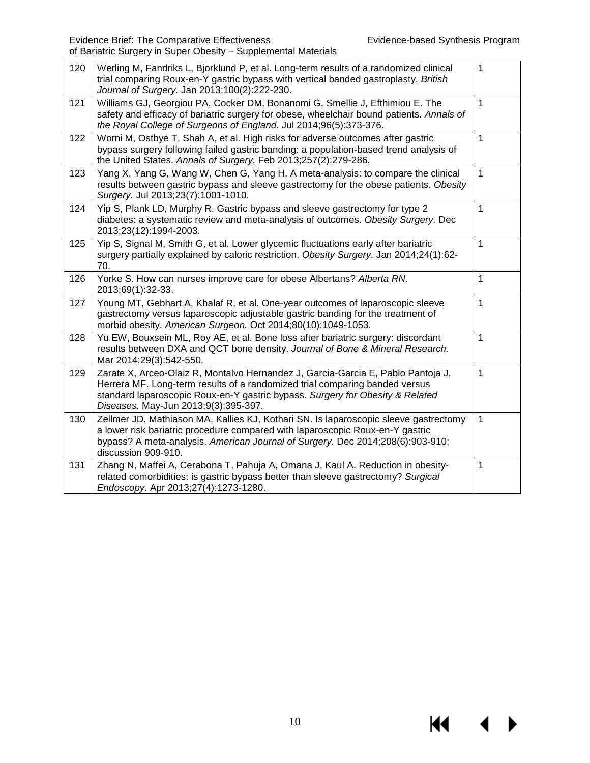$\blacklozenge$ 

**K4** 

| 120 | Werling M, Fandriks L, Bjorklund P, et al. Long-term results of a randomized clinical<br>trial comparing Roux-en-Y gastric bypass with vertical banded gastroplasty. British<br>Journal of Surgery. Jan 2013;100(2):222-230.                                                             | 1            |
|-----|------------------------------------------------------------------------------------------------------------------------------------------------------------------------------------------------------------------------------------------------------------------------------------------|--------------|
| 121 | Williams GJ, Georgiou PA, Cocker DM, Bonanomi G, Smellie J, Efthimiou E. The<br>safety and efficacy of bariatric surgery for obese, wheelchair bound patients. Annals of<br>the Royal College of Surgeons of England. Jul 2014;96(5):373-376.                                            | $\mathbf{1}$ |
| 122 | Worni M, Ostbye T, Shah A, et al. High risks for adverse outcomes after gastric<br>bypass surgery following failed gastric banding: a population-based trend analysis of<br>the United States. Annals of Surgery. Feb 2013;257(2):279-286.                                               | $\mathbf{1}$ |
| 123 | Yang X, Yang G, Wang W, Chen G, Yang H. A meta-analysis: to compare the clinical<br>results between gastric bypass and sleeve gastrectomy for the obese patients. Obesity<br>Surgery. Jul 2013;23(7):1001-1010.                                                                          | $\mathbf{1}$ |
| 124 | Yip S, Plank LD, Murphy R. Gastric bypass and sleeve gastrectomy for type 2<br>diabetes: a systematic review and meta-analysis of outcomes. Obesity Surgery. Dec<br>2013;23(12):1994-2003.                                                                                               | $\mathbf{1}$ |
| 125 | Yip S, Signal M, Smith G, et al. Lower glycemic fluctuations early after bariatric<br>surgery partially explained by caloric restriction. Obesity Surgery. Jan 2014;24(1):62-<br>70.                                                                                                     | $\mathbf{1}$ |
| 126 | Yorke S. How can nurses improve care for obese Albertans? Alberta RN.<br>2013;69(1):32-33.                                                                                                                                                                                               | $\mathbf{1}$ |
| 127 | Young MT, Gebhart A, Khalaf R, et al. One-year outcomes of laparoscopic sleeve<br>gastrectomy versus laparoscopic adjustable gastric banding for the treatment of<br>morbid obesity. American Surgeon. Oct 2014;80(10):1049-1053.                                                        | 1            |
| 128 | Yu EW, Bouxsein ML, Roy AE, et al. Bone loss after bariatric surgery: discordant<br>results between DXA and QCT bone density. Journal of Bone & Mineral Research.<br>Mar 2014;29(3):542-550.                                                                                             | $\mathbf{1}$ |
| 129 | Zarate X, Arceo-Olaiz R, Montalvo Hernandez J, Garcia-Garcia E, Pablo Pantoja J,<br>Herrera MF. Long-term results of a randomized trial comparing banded versus<br>standard laparoscopic Roux-en-Y gastric bypass. Surgery for Obesity & Related<br>Diseases. May-Jun 2013;9(3):395-397. | $\mathbf{1}$ |
| 130 | Zellmer JD, Mathiason MA, Kallies KJ, Kothari SN. Is laparoscopic sleeve gastrectomy<br>a lower risk bariatric procedure compared with laparoscopic Roux-en-Y gastric<br>bypass? A meta-analysis. American Journal of Surgery. Dec 2014;208(6):903-910;<br>discussion 909-910.           | $\mathbf{1}$ |
| 131 | Zhang N, Maffei A, Cerabona T, Pahuja A, Omana J, Kaul A. Reduction in obesity-<br>related comorbidities: is gastric bypass better than sleeve gastrectomy? Surgical<br>Endoscopy. Apr 2013;27(4):1273-1280.                                                                             | 1            |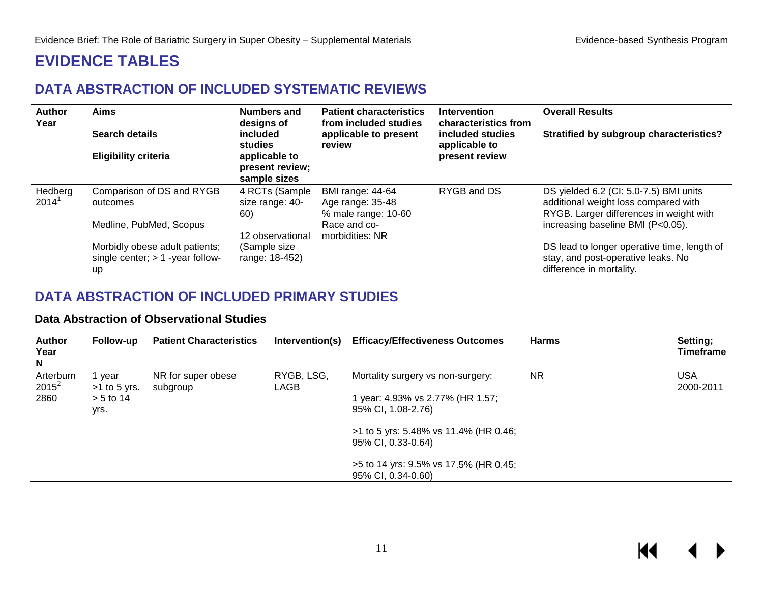# **EVIDENCE TABLES**

# **DATA ABSTRACTION OF INCLUDED SYSTEMATIC REVIEWS**

| <b>Author</b><br>Year | <b>Aims</b><br>Search details                                                     | <b>Numbers and</b><br>designs of<br>included<br>studies | <b>Patient characteristics</b><br>from included studies<br>applicable to present<br>review | <b>Intervention</b><br>characteristics from<br>included studies<br>applicable to | <b>Overall Results</b><br><b>Stratified by subgroup characteristics?</b>                                                  |
|-----------------------|-----------------------------------------------------------------------------------|---------------------------------------------------------|--------------------------------------------------------------------------------------------|----------------------------------------------------------------------------------|---------------------------------------------------------------------------------------------------------------------------|
|                       | <b>Eligibility criteria</b>                                                       | applicable to<br>present review;<br>sample sizes        |                                                                                            | present review                                                                   |                                                                                                                           |
| Hedberg<br>2014'      | Comparison of DS and RYGB<br>outcomes                                             | 4 RCTs (Sample<br>size range: 40-<br>60)                | <b>BMI</b> range: 44-64<br>Age range: 35-48<br>% male range: 10-60                         | RYGB and DS                                                                      | DS yielded 6.2 (CI: 5.0-7.5) BMI units<br>additional weight loss compared with<br>RYGB. Larger differences in weight with |
|                       | Medline, PubMed, Scopus                                                           | 12 observational                                        | Race and co-<br>morbidities: NR                                                            |                                                                                  | increasing baseline BMI (P<0.05).                                                                                         |
|                       | Morbidly obese adult patients;<br>single center; $> 1$ -year follow-<br><b>up</b> | (Sample size<br>range: 18-452)                          |                                                                                            |                                                                                  | DS lead to longer operative time, length of<br>stay, and post-operative leaks. No<br>difference in mortality.             |

# <span id="page-12-1"></span><span id="page-12-0"></span>**DATA ABSTRACTION OF INCLUDED PRIMARY STUDIES**

#### **Data Abstraction of Observational Studies**

<span id="page-12-3"></span><span id="page-12-2"></span>

| <b>Author</b><br>Year<br>N | Follow-up                | <b>Patient Characteristics</b> | Intervention(s)    | <b>Efficacy/Effectiveness Outcomes</b>                      | <b>Harms</b> | Setting;<br><b>Timeframe</b> |
|----------------------------|--------------------------|--------------------------------|--------------------|-------------------------------------------------------------|--------------|------------------------------|
| Arterburn<br>$2015^2$      | 1 vear<br>$>1$ to 5 yrs. | NR for super obese<br>subgroup | RYGB, LSG,<br>LAGB | Mortality surgery vs non-surgery:                           | <b>NR</b>    | USA<br>2000-2011             |
| 2860                       | $> 5$ to 14<br>yrs.      |                                |                    | year: 4.93% vs 2.77% (HR 1.57;<br>95% CI, 1.08-2.76)        |              |                              |
|                            |                          |                                |                    | >1 to 5 yrs: 5.48% vs 11.4% (HR 0.46;<br>95% CI, 0.33-0.64) |              |                              |
|                            |                          |                                |                    | >5 to 14 yrs: 9.5% vs 17.5% (HR 0.45;<br>95% CI, 0.34-0.60) |              |                              |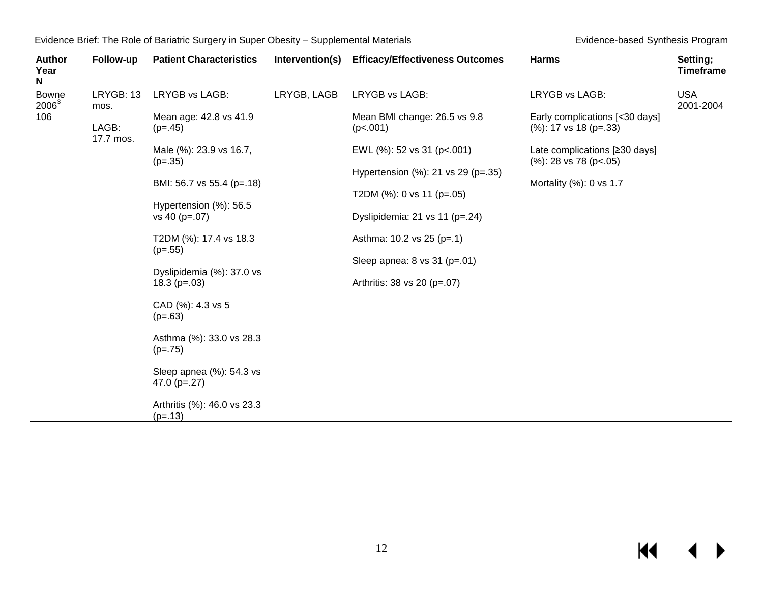| Evidence Brief: The Role of Bariatric Surgery in Super Obesity - Supplemental Materials |  |  |  |  |  |
|-----------------------------------------------------------------------------------------|--|--|--|--|--|
|-----------------------------------------------------------------------------------------|--|--|--|--|--|

Evidence-based Synthesis Program

| <b>Author</b><br>Year<br>N | Follow-up          | <b>Patient Characteristics</b>                | Intervention(s) | <b>Efficacy/Effectiveness Outcomes</b>   | <b>Harms</b>                                                                                                                               | Setting;<br><b>Timeframe</b> |  |  |  |  |  |  |  |  |  |  |  |                                                 |  |  |
|----------------------------|--------------------|-----------------------------------------------|-----------------|------------------------------------------|--------------------------------------------------------------------------------------------------------------------------------------------|------------------------------|--|--|--|--|--|--|--|--|--|--|--|-------------------------------------------------|--|--|
| <b>Bowne</b><br>$2006^3$   | LRYGB: 13<br>mos.  | LRYGB vs LAGB:                                | LRYGB, LAGB     | LRYGB vs LAGB:                           | LRYGB vs LAGB:                                                                                                                             | <b>USA</b><br>2001-2004      |  |  |  |  |  |  |  |  |  |  |  |                                                 |  |  |
| 106                        | LAGB:<br>17.7 mos. | Mean age: 42.8 vs 41.9<br>$(p=.45)$           |                 | Mean BMI change: 26.5 vs 9.8<br>(p<.001) | Early complications [<30 days]<br>$(\%): 17$ vs 18 (p=.33)<br>Late complications [≥30 days]<br>$(\%): 28 \text{ vs } 78 \text{ (p} < .05)$ |                              |  |  |  |  |  |  |  |  |  |  |  |                                                 |  |  |
|                            |                    | Male (%): 23.9 vs 16.7,<br>$(p=.35)$          |                 | EWL (%): 52 vs 31 (p<.001)               |                                                                                                                                            |                              |  |  |  |  |  |  |  |  |  |  |  |                                                 |  |  |
|                            |                    |                                               |                 | Hypertension (%): 21 vs 29 (p=.35)       |                                                                                                                                            |                              |  |  |  |  |  |  |  |  |  |  |  |                                                 |  |  |
|                            |                    | BMI: 56.7 vs 55.4 (p=.18)                     |                 | T2DM $(\%)$ : 0 vs 11 (p=.05)            | Mortality (%): 0 vs 1.7                                                                                                                    |                              |  |  |  |  |  |  |  |  |  |  |  |                                                 |  |  |
|                            |                    | Hypertension (%): 56.5<br>vs 40 (p=.07)       |                 | Dyslipidemia: 21 vs 11 (p=.24)           |                                                                                                                                            |                              |  |  |  |  |  |  |  |  |  |  |  |                                                 |  |  |
|                            |                    | T2DM (%): 17.4 vs 18.3                        |                 | Asthma: 10.2 vs 25 (p=.1)                |                                                                                                                                            |                              |  |  |  |  |  |  |  |  |  |  |  |                                                 |  |  |
|                            |                    | $(p=.55)$                                     |                 |                                          |                                                                                                                                            |                              |  |  |  |  |  |  |  |  |  |  |  | Sleep apnea: $8 \text{ vs } 31 \text{ (p=.01)}$ |  |  |
|                            |                    | Dyslipidemia (%): 37.0 vs<br>18.3 ( $p=.03$ ) |                 | Arthritis: 38 vs 20 (p=.07)              |                                                                                                                                            |                              |  |  |  |  |  |  |  |  |  |  |  |                                                 |  |  |
|                            |                    | CAD (%): 4.3 vs 5<br>$(p=.63)$                |                 |                                          |                                                                                                                                            |                              |  |  |  |  |  |  |  |  |  |  |  |                                                 |  |  |
|                            |                    | Asthma (%): 33.0 vs 28.3<br>$(p=.75)$         |                 |                                          |                                                                                                                                            |                              |  |  |  |  |  |  |  |  |  |  |  |                                                 |  |  |
|                            |                    | Sleep apnea (%): 54.3 vs<br>47.0 ( $p=.27$ )  |                 |                                          |                                                                                                                                            |                              |  |  |  |  |  |  |  |  |  |  |  |                                                 |  |  |
|                            |                    | Arthritis (%): 46.0 vs 23.3<br>$(p=.13)$      |                 |                                          |                                                                                                                                            |                              |  |  |  |  |  |  |  |  |  |  |  |                                                 |  |  |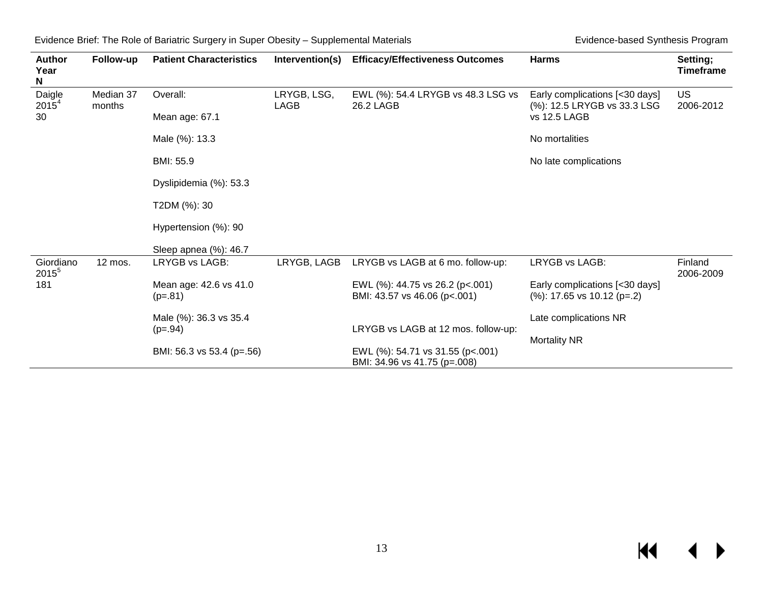| <b>Author</b><br>Year<br>N | Follow-up           | <b>Patient Characteristics</b>      | Intervention(s)     | <b>Efficacy/Effectiveness Outcomes</b>                           | <b>Harms</b>                                                     | Setting;<br><b>Timeframe</b> |
|----------------------------|---------------------|-------------------------------------|---------------------|------------------------------------------------------------------|------------------------------------------------------------------|------------------------------|
| Daigle<br>$2015^4$         | Median 37<br>months | Overall:                            | LRYGB, LSG,<br>LAGB | EWL (%): 54.4 LRYGB vs 48.3 LSG vs<br>26.2 LAGB                  | Early complications [<30 days]<br>(%): 12.5 LRYGB vs 33.3 LSG    | <b>US</b><br>2006-2012       |
| 30                         |                     | Mean age: 67.1                      |                     |                                                                  | vs 12.5 LAGB                                                     |                              |
|                            |                     | Male (%): 13.3                      |                     |                                                                  | No mortalities                                                   |                              |
|                            |                     | BMI: 55.9                           |                     |                                                                  | No late complications                                            |                              |
|                            |                     | Dyslipidemia (%): 53.3              |                     |                                                                  |                                                                  |                              |
|                            |                     | T2DM (%): 30                        |                     |                                                                  |                                                                  |                              |
|                            |                     | Hypertension (%): 90                |                     |                                                                  |                                                                  |                              |
|                            |                     | Sleep apnea (%): 46.7               |                     |                                                                  |                                                                  |                              |
| Giordiano<br>$2015^5$      | 12 mos.             | LRYGB vs LAGB:                      | LRYGB, LAGB         | LRYGB vs LAGB at 6 mo. follow-up:                                | LRYGB vs LAGB:                                                   | Finland<br>2006-2009         |
| 181                        |                     | Mean age: 42.6 vs 41.0<br>$(p=.81)$ |                     | EWL (%): 44.75 vs 26.2 (p<.001)<br>BMI: 43.57 vs 46.06 (p<.001)  | Early complications [<30 days]<br>$(\%)$ : 17.65 vs 10.12 (p=.2) |                              |
|                            |                     | Male (%): 36.3 vs 35.4              |                     |                                                                  | Late complications NR                                            |                              |
|                            |                     | $(p=.94)$                           |                     | LRYGB vs LAGB at 12 mos. follow-up:                              | <b>Mortality NR</b>                                              |                              |
|                            |                     | BMI: 56.3 vs 53.4 (p=.56)           |                     | EWL (%): 54.71 vs 31.55 (p<.001)<br>BMI: 34.96 vs 41.75 (p=.008) |                                                                  |                              |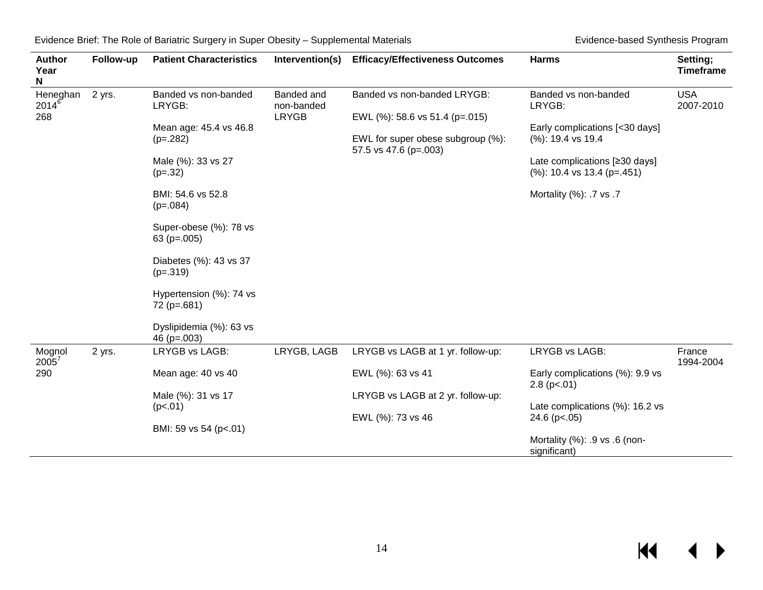| <b>Author</b><br>Year<br>N    | Follow-up | <b>Patient Characteristics</b>            | Intervention(s)                          | <b>Efficacy/Effectiveness Outcomes</b>                        | <b>Harms</b>                                                   | Setting;<br><b>Timeframe</b> |
|-------------------------------|-----------|-------------------------------------------|------------------------------------------|---------------------------------------------------------------|----------------------------------------------------------------|------------------------------|
| Heneghan<br>$2014^{6}$<br>268 | 2 yrs.    | Banded vs non-banded<br>LRYGB:            | Banded and<br>non-banded<br><b>LRYGB</b> | Banded vs non-banded LRYGB:<br>EWL (%): 58.6 vs 51.4 (p=.015) | Banded vs non-banded<br>LRYGB:                                 | <b>USA</b><br>2007-2010      |
|                               |           | Mean age: 45.4 vs 46.8<br>$(p=.282)$      |                                          | EWL for super obese subgroup (%):<br>57.5 vs 47.6 (p=.003)    | Early complications [<30 days]<br>(%): 19.4 vs 19.4            |                              |
|                               |           | Male (%): 33 vs 27<br>$(p=.32)$           |                                          |                                                               | Late complications [≥30 days]<br>$(\%): 10.4$ vs 13.4 (p=.451) |                              |
|                               |           | BMI: 54.6 vs 52.8<br>$(p=.084)$           |                                          |                                                               | Mortality (%): .7 vs .7                                        |                              |
|                               |           | Super-obese (%): 78 vs<br>63 ( $p=.005$ ) |                                          |                                                               |                                                                |                              |
|                               |           | Diabetes (%): 43 vs 37<br>$(p=.319)$      |                                          |                                                               |                                                                |                              |
|                               |           | Hypertension (%): 74 vs<br>72 (p=.681)    |                                          |                                                               |                                                                |                              |
|                               |           | Dyslipidemia (%): 63 vs<br>46 $(p=.003)$  |                                          |                                                               |                                                                |                              |
| Mognol<br>$2005^7$            | 2 yrs.    | LRYGB vs LAGB:                            | LRYGB, LAGB                              | LRYGB vs LAGB at 1 yr. follow-up:                             | LRYGB vs LAGB:                                                 | France<br>1994-2004          |
| 290                           |           | Mean age: 40 vs 40                        |                                          | EWL (%): 63 vs 41                                             | Early complications (%): 9.9 vs<br>$2.8$ (p <. 01)             |                              |
|                               |           | Male (%): 31 vs 17                        |                                          | LRYGB vs LAGB at 2 yr. follow-up:                             |                                                                |                              |
|                               |           | (p<.01)                                   |                                          | EWL (%): 73 vs 46                                             | Late complications (%): 16.2 vs<br>24.6 (p<.05)                |                              |
|                               |           | BMI: 59 vs 54 (p<.01)                     |                                          |                                                               | Mortality (%): .9 vs .6 (non-<br>significant)                  |                              |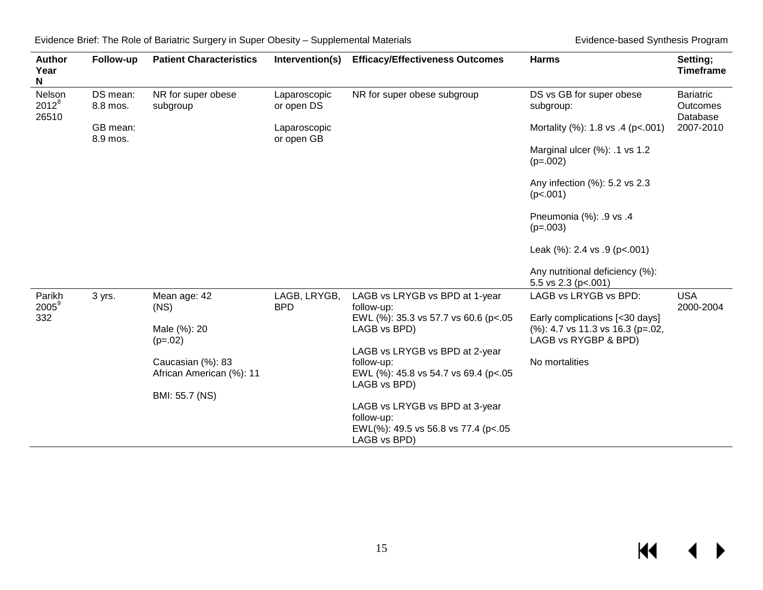| <b>Author</b><br>Year<br>N  | Follow-up            | <b>Patient Characteristics</b>                | Intervention(s)            | <b>Efficacy/Effectiveness Outcomes</b>                                                               | <b>Harms</b>                                                                               | Setting;<br><b>Timeframe</b>             |
|-----------------------------|----------------------|-----------------------------------------------|----------------------------|------------------------------------------------------------------------------------------------------|--------------------------------------------------------------------------------------------|------------------------------------------|
| Nelson<br>$2012^8$<br>26510 | DS mean:<br>8.8 mos. | NR for super obese<br>subgroup                | Laparoscopic<br>or open DS | NR for super obese subgroup                                                                          | DS vs GB for super obese<br>subgroup:                                                      | <b>Bariatric</b><br>Outcomes<br>Database |
|                             | GB mean:<br>8.9 mos. |                                               | Laparoscopic<br>or open GB |                                                                                                      | Mortality (%): 1.8 vs .4 (p<.001)                                                          | 2007-2010                                |
|                             |                      |                                               |                            |                                                                                                      | Marginal ulcer (%): .1 vs 1.2<br>$(p=.002)$                                                |                                          |
|                             |                      |                                               |                            |                                                                                                      | Any infection (%): 5.2 vs 2.3<br>(p<.001)                                                  |                                          |
|                             |                      |                                               |                            |                                                                                                      | Pneumonia (%): .9 vs .4<br>$(p=.003)$                                                      |                                          |
|                             |                      |                                               |                            |                                                                                                      | Leak $(\%): 2.4 \text{ vs. } 9 \text{ (p<.001)}$                                           |                                          |
|                             |                      |                                               |                            |                                                                                                      | Any nutritional deficiency (%):<br>5.5 vs $2.3$ (p <. 001)                                 |                                          |
| Parikh<br>$2005^9$          | 3 yrs.               | Mean age: 42<br>(NS)                          | LAGB, LRYGB,<br><b>BPD</b> | LAGB vs LRYGB vs BPD at 1-year<br>follow-up:                                                         | LAGB vs LRYGB vs BPD:                                                                      | <b>USA</b><br>2000-2004                  |
| 332                         |                      | Male (%): 20<br>$(p=.02)$                     |                            | EWL (%): 35.3 vs 57.7 vs 60.6 (p<.05<br>LAGB vs BPD)                                                 | Early complications [<30 days]<br>(%): 4.7 vs 11.3 vs 16.3 (p=.02,<br>LAGB vs RYGBP & BPD) |                                          |
|                             |                      | Caucasian (%): 83<br>African American (%): 11 |                            | LAGB vs LRYGB vs BPD at 2-year<br>follow-up:<br>EWL (%): 45.8 vs 54.7 vs 69.4 (p<.05<br>LAGB vs BPD) | No mortalities                                                                             |                                          |
|                             |                      | BMI: 55.7 (NS)                                |                            |                                                                                                      |                                                                                            |                                          |
|                             |                      |                                               |                            | LAGB vs LRYGB vs BPD at 3-year<br>follow-up:<br>EWL(%): 49.5 vs 56.8 vs 77.4 (p<.05<br>LAGB vs BPD)  |                                                                                            |                                          |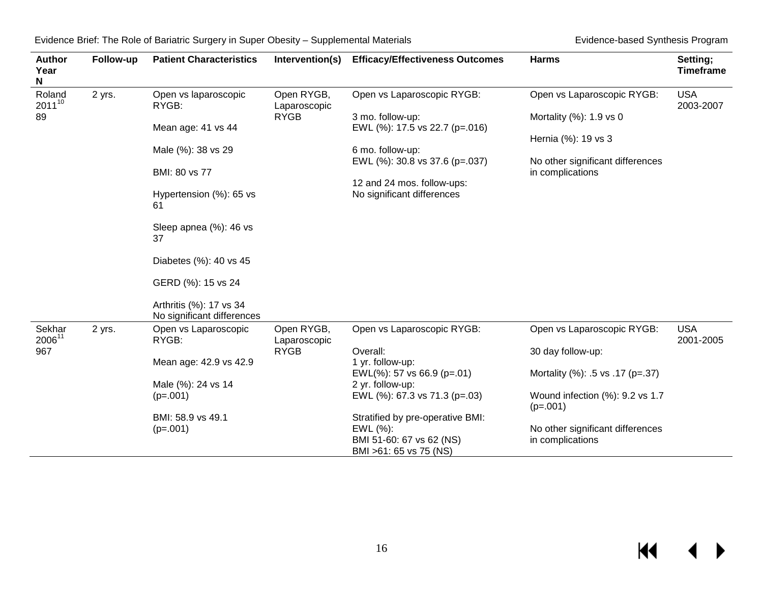| <b>Author</b><br>Year<br>N | Follow-up | <b>Patient Characteristics</b>                        | Intervention(s)            | <b>Efficacy/Effectiveness Outcomes</b>                                                             | <b>Harms</b>                                            | Setting;<br><b>Timeframe</b> |  |
|----------------------------|-----------|-------------------------------------------------------|----------------------------|----------------------------------------------------------------------------------------------------|---------------------------------------------------------|------------------------------|--|
| Roland<br>$2011^{10}$      | 2 yrs.    | Open vs laparoscopic<br>RYGB:                         | Open RYGB,<br>Laparoscopic | Open vs Laparoscopic RYGB:                                                                         | Open vs Laparoscopic RYGB:                              | <b>USA</b><br>2003-2007      |  |
| 89                         |           | Mean age: 41 vs 44                                    |                            | <b>RYGB</b>                                                                                        | 3 mo. follow-up:<br>EWL (%): 17.5 vs 22.7 (p=.016)      | Mortality (%): 1.9 vs 0      |  |
|                            |           | Male (%): 38 vs 29                                    |                            | 6 mo. follow-up:<br>EWL (%): 30.8 vs 37.6 (p=.037)                                                 | Hernia (%): 19 vs 3<br>No other significant differences |                              |  |
|                            |           | BMI: 80 vs 77                                         |                            | 12 and 24 mos. follow-ups:                                                                         | in complications                                        |                              |  |
|                            |           | Hypertension (%): 65 vs<br>61                         |                            | No significant differences                                                                         |                                                         |                              |  |
|                            |           | Sleep apnea (%): 46 vs<br>37                          |                            |                                                                                                    |                                                         |                              |  |
|                            |           | Diabetes (%): 40 vs 45                                |                            |                                                                                                    |                                                         |                              |  |
|                            |           | GERD (%): 15 vs 24                                    |                            |                                                                                                    |                                                         |                              |  |
|                            |           | Arthritis (%): 17 vs 34<br>No significant differences |                            |                                                                                                    |                                                         |                              |  |
| Sekhar<br>200611           | 2 yrs.    | Open vs Laparoscopic<br>RYGB:                         | Open RYGB,<br>Laparoscopic | Open vs Laparoscopic RYGB:                                                                         | Open vs Laparoscopic RYGB:                              | <b>USA</b><br>2001-2005      |  |
| 967                        |           | Mean age: 42.9 vs 42.9                                | <b>RYGB</b>                | Overall:<br>1 yr. follow-up:                                                                       | 30 day follow-up:                                       |                              |  |
|                            |           |                                                       |                            | EWL $(\%)$ : 57 vs 66.9 (p=.01)                                                                    | Mortality (%): .5 vs .17 (p=.37)                        |                              |  |
|                            |           | Male (%): 24 vs 14<br>$(p=.001)$                      |                            | 2 yr. follow-up:<br>EWL (%): 67.3 vs 71.3 (p=.03)                                                  | Wound infection (%): 9.2 vs 1.7<br>$(p=.001)$           |                              |  |
|                            |           | BMI: 58.9 vs 49.1<br>$(p=.001)$                       |                            | Stratified by pre-operative BMI:<br>EWL (%):<br>BMI 51-60: 67 vs 62 (NS)<br>BMI >61: 65 vs 75 (NS) | No other significant differences<br>in complications    |                              |  |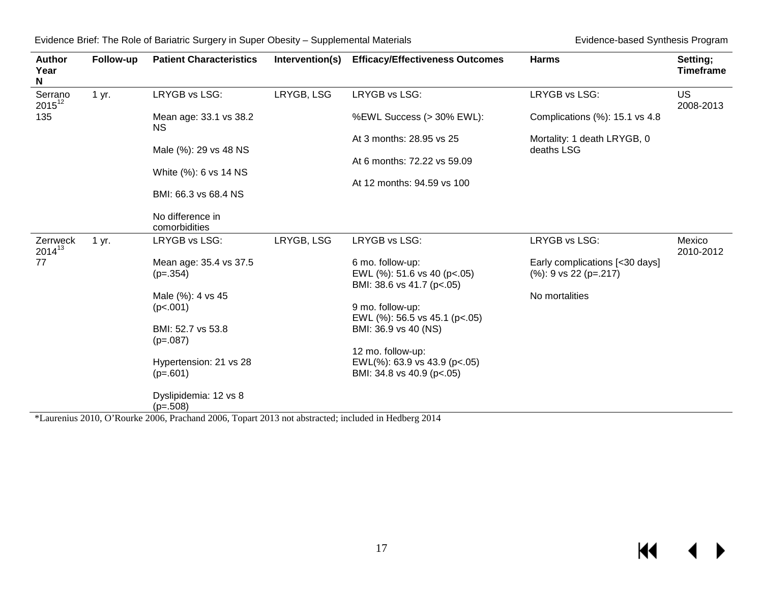| <b>Author</b><br>Year<br>N | Follow-up | <b>Patient Characteristics</b>                                       | Intervention(s) | <b>Efficacy/Effectiveness Outcomes</b>                   | <b>Harms</b>                   | Setting;<br><b>Timeframe</b> |
|----------------------------|-----------|----------------------------------------------------------------------|-----------------|----------------------------------------------------------|--------------------------------|------------------------------|
| Serrano<br>$2015^{12}$     | 1 yr.     | LRYGB vs LSG:                                                        | LRYGB, LSG      | LRYGB vs LSG:                                            | LRYGB vs LSG:                  | <b>US</b><br>2008-2013       |
| 135                        |           | Mean age: 33.1 vs 38.2<br>NS.                                        |                 | %EWL Success (> 30% EWL):                                | Complications (%): 15.1 vs 4.8 |                              |
|                            |           |                                                                      |                 | At 3 months: 28.95 vs 25                                 | Mortality: 1 death LRYGB, 0    |                              |
|                            |           | Male (%): 29 vs 48 NS                                                |                 |                                                          | deaths LSG                     |                              |
|                            |           |                                                                      |                 | At 6 months: 72.22 vs 59.09                              |                                |                              |
|                            |           | White (%): 6 vs 14 NS                                                |                 |                                                          |                                |                              |
|                            |           | BMI: 66.3 vs 68.4 NS                                                 |                 | At 12 months: 94.59 vs 100                               |                                |                              |
|                            |           | No difference in<br>comorbidities                                    |                 |                                                          |                                |                              |
| Zerrweck<br>$2014^{13}$    | 1 yr.     | LRYGB vs LSG:                                                        | LRYGB, LSG      | LRYGB vs LSG:                                            | LRYGB vs LSG:                  | Mexico<br>2010-2012          |
| 77                         |           | Mean age: 35.4 vs 37.5                                               |                 | 6 mo. follow-up:                                         | Early complications [<30 days] |                              |
|                            |           | $(p=.354)$                                                           |                 | EWL (%): 51.6 vs 40 (p<.05)<br>BMI: 38.6 vs 41.7 (p<.05) | $(%): 9$ vs 22 (p=.217)        |                              |
|                            |           | Male (%): 4 vs 45                                                    |                 |                                                          | No mortalities                 |                              |
|                            |           | (p<.001)                                                             |                 | 9 mo. follow-up:                                         |                                |                              |
|                            |           |                                                                      |                 | EWL (%): 56.5 vs 45.1 (p<.05)                            |                                |                              |
|                            |           | BMI: 52.7 vs 53.8<br>$(p=.087)$                                      |                 | BMI: 36.9 vs 40 (NS)                                     |                                |                              |
|                            |           |                                                                      |                 | 12 mo. follow-up:                                        |                                |                              |
|                            |           | Hypertension: 21 vs 28                                               |                 | EWL(%): 63.9 vs 43.9 (p<.05)                             |                                |                              |
|                            |           | $(p=.601)$                                                           |                 | BMI: 34.8 vs 40.9 (p<.05)                                |                                |                              |
|                            | 2010.025  | Dyslipidemia: 12 vs 8<br>$(p=.508)$<br>$2005-$<br>$1.200 \times \pi$ | 0.12            | 0.011                                                    |                                |                              |

\*Laurenius 2010, O'Rourke 2006, Prachand 2006, Topart 2013 not abstracted; included in Hedberg 2014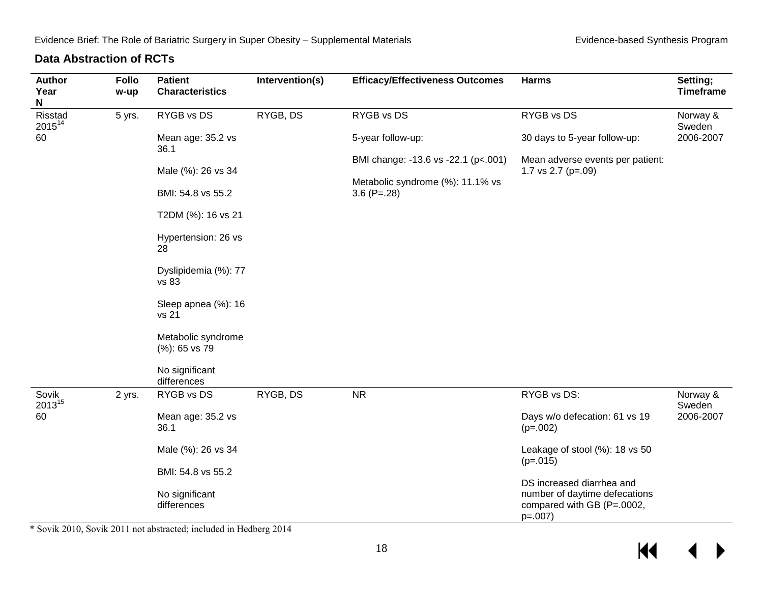#### **Data Abstraction of RCTs**

<span id="page-19-0"></span>

| <b>Author</b><br>Year<br>N | <b>Follo</b><br>w-up | <b>Patient</b><br><b>Characteristics</b> | Intervention(s) | <b>Efficacy/Effectiveness Outcomes</b> | <b>Harms</b>                                                             | Setting;<br><b>Timeframe</b> |  |  |                   |                              |           |
|----------------------------|----------------------|------------------------------------------|-----------------|----------------------------------------|--------------------------------------------------------------------------|------------------------------|--|--|-------------------|------------------------------|-----------|
| Risstad<br>$2015^{14}$     | 5 yrs.               | RYGB vs DS                               | RYGB, DS        | RYGB vs DS                             | RYGB vs DS                                                               | Norway &<br>Sweden           |  |  |                   |                              |           |
| 60                         |                      | Mean age: 35.2 vs<br>36.1                |                 |                                        |                                                                          |                              |  |  | 5-year follow-up: | 30 days to 5-year follow-up: | 2006-2007 |
|                            |                      | Male (%): 26 vs 34                       |                 | BMI change: -13.6 vs -22.1 (p<.001)    | Mean adverse events per patient:<br>1.7 vs $2.7$ (p=.09)                 |                              |  |  |                   |                              |           |
|                            |                      | BMI: 54.8 vs 55.2                        |                 | Metabolic syndrome (%): 11.1% vs       |                                                                          |                              |  |  |                   |                              |           |
|                            |                      |                                          |                 | $3.6$ (P=.28)                          |                                                                          |                              |  |  |                   |                              |           |
|                            |                      | T2DM (%): 16 vs 21                       |                 |                                        |                                                                          |                              |  |  |                   |                              |           |
|                            |                      | Hypertension: 26 vs<br>28                |                 |                                        |                                                                          |                              |  |  |                   |                              |           |
|                            |                      | Dyslipidemia (%): 77<br>vs 83            |                 |                                        |                                                                          |                              |  |  |                   |                              |           |
|                            |                      | Sleep apnea (%): 16<br>vs 21             |                 |                                        |                                                                          |                              |  |  |                   |                              |           |
|                            |                      | Metabolic syndrome<br>(%): 65 vs 79      |                 |                                        |                                                                          |                              |  |  |                   |                              |           |
|                            |                      | No significant<br>differences            |                 |                                        |                                                                          |                              |  |  |                   |                              |           |
| Sovik<br>$2013^{15}$       | 2 yrs.               | RYGB vs DS                               | RYGB, DS        | <b>NR</b>                              | RYGB vs DS:                                                              | Norway &<br>Sweden           |  |  |                   |                              |           |
| 60                         |                      | Mean age: 35.2 vs<br>36.1                |                 |                                        | Days w/o defecation: 61 vs 19<br>$(p=.002)$                              | 2006-2007                    |  |  |                   |                              |           |
|                            |                      | Male (%): 26 vs 34                       |                 |                                        | Leakage of stool (%): 18 vs 50<br>$(p=.015)$                             |                              |  |  |                   |                              |           |
|                            |                      | BMI: 54.8 vs 55.2                        |                 |                                        | DS increased diarrhea and                                                |                              |  |  |                   |                              |           |
|                            |                      | No significant<br>differences            |                 |                                        | number of daytime defecations<br>compared with GB (P=.0002,<br>$p=.007)$ |                              |  |  |                   |                              |           |

\* Sovik 2010, Sovik 2011 not abstracted; included in Hedberg 2014

 $\leftrightarrow$  $M$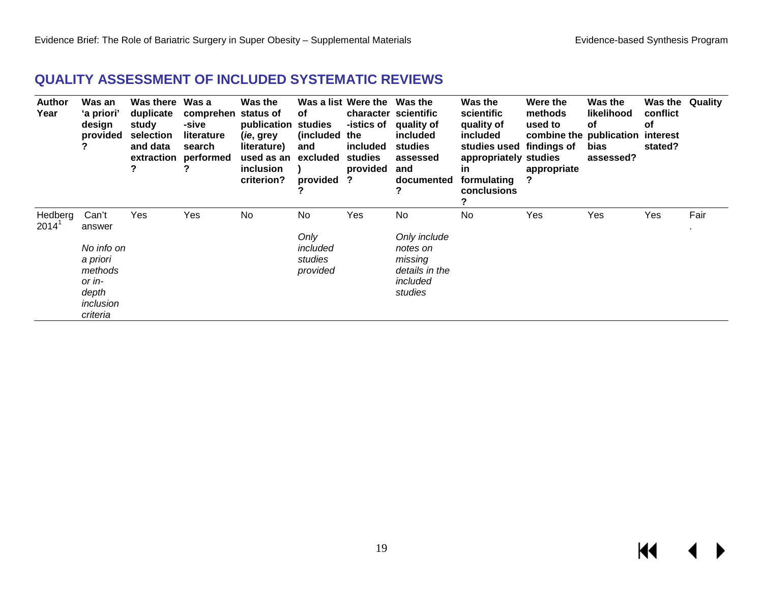# **QUALITY ASSESSMENT OF INCLUDED SYSTEMATIC REVIEWS**

<span id="page-20-0"></span>

| <b>Author</b><br>Year | Was an<br>'a priori'<br>design<br>provided                                                       | Was there Was a<br>duplicate<br>study<br>selection<br>and data<br>extraction<br>? | comprehen<br>-sive<br>literature<br>search<br>performed | Was the<br>status of<br>publication<br>( <i>ie</i> , grey<br>literature)<br>used as an<br>inclusion<br>criterion? | of<br>studies<br>(included)<br>and<br>excluded<br>provided | Was a list Were the Was the<br>-istics of<br>the<br>included<br>studies<br>provided<br>? | character scientific<br>quality of<br>included<br>studies<br>assessed<br>and<br>documented | Was the<br>scientific<br>quality of<br>included<br>studies used findings of<br>appropriately studies<br><u>in</u><br>formulating<br><b>conclusions</b> | Were the<br>methods<br>used to<br>combine the publication interest<br>appropriate<br>? | Was the<br>likelihood<br>οf<br>bias<br>assessed? | Was the<br>conflict<br>оf<br>stated? | Quality |
|-----------------------|--------------------------------------------------------------------------------------------------|-----------------------------------------------------------------------------------|---------------------------------------------------------|-------------------------------------------------------------------------------------------------------------------|------------------------------------------------------------|------------------------------------------------------------------------------------------|--------------------------------------------------------------------------------------------|--------------------------------------------------------------------------------------------------------------------------------------------------------|----------------------------------------------------------------------------------------|--------------------------------------------------|--------------------------------------|---------|
| Hedberg<br>$2014^1$   | Can't<br>answer<br>No info on<br>a priori<br>methods<br>or in-<br>depth<br>inclusion<br>criteria | Yes                                                                               | Yes                                                     | No                                                                                                                | No<br>Only<br>included<br>studies<br>provided              | Yes                                                                                      | No<br>Only include<br>notes on<br>missing<br>details in the<br>included<br>studies         | No                                                                                                                                                     | Yes                                                                                    | Yes                                              | Yes                                  | Fair    |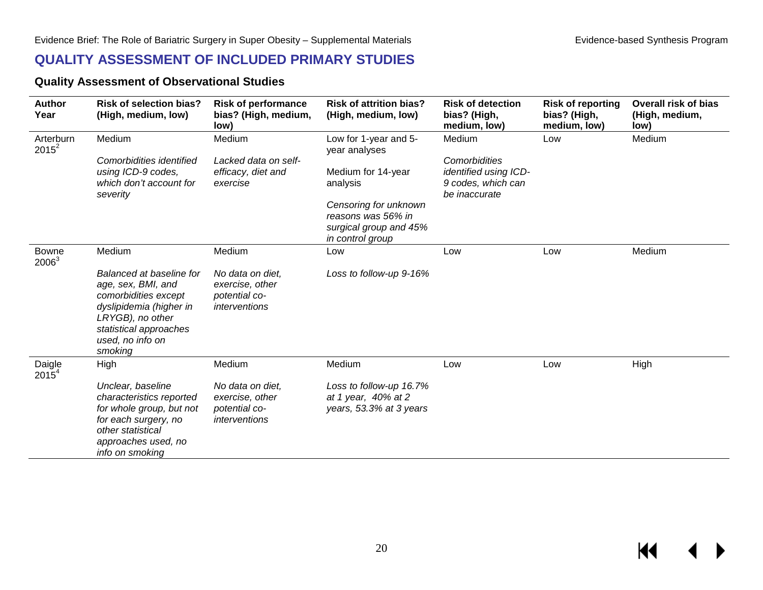### **QUALITY ASSESSMENT OF INCLUDED PRIMARY STUDIES**

#### **Quality Assessment of Observational Studies**

<span id="page-21-1"></span><span id="page-21-0"></span>

| <b>Author</b><br>Year    | <b>Risk of selection bias?</b><br>(High, medium, low)                                                                                                                          | <b>Risk of performance</b><br>bias? (High, medium,<br>low)            | <b>Risk of attrition bias?</b><br>(High, medium, low)                                     | <b>Risk of detection</b><br>bias? (High,<br>medium, low)     | <b>Risk of reporting</b><br>bias? (High,<br>medium, low) | <b>Overall risk of bias</b><br>(High, medium,<br>low) |
|--------------------------|--------------------------------------------------------------------------------------------------------------------------------------------------------------------------------|-----------------------------------------------------------------------|-------------------------------------------------------------------------------------------|--------------------------------------------------------------|----------------------------------------------------------|-------------------------------------------------------|
| Arterburn<br>$2015^2$    | Medium<br>Comorbidities identified                                                                                                                                             | Medium<br>Lacked data on self-                                        | Low for 1-year and 5-<br>year analyses                                                    | Medium<br>Comorbidities                                      | Low                                                      | Medium                                                |
|                          | using ICD-9 codes,<br>which don't account for<br>severity                                                                                                                      | efficacy, diet and<br>exercise                                        | Medium for 14-year<br>analysis                                                            | identified using ICD-<br>9 codes, which can<br>be inaccurate |                                                          |                                                       |
|                          |                                                                                                                                                                                |                                                                       | Censoring for unknown<br>reasons was 56% in<br>surgical group and 45%<br>in control group |                                                              |                                                          |                                                       |
| <b>Bowne</b><br>$2006^3$ | Medium                                                                                                                                                                         | Medium                                                                | Low                                                                                       | Low                                                          | Low                                                      | Medium                                                |
|                          | Balanced at baseline for<br>age, sex, BMI, and<br>comorbidities except<br>dyslipidemia (higher in<br>LRYGB), no other<br>statistical approaches<br>used, no info on<br>smoking | No data on diet,<br>exercise, other<br>potential co-<br>interventions | Loss to follow-up 9-16%                                                                   |                                                              |                                                          |                                                       |
| Daigle<br>$2015^{4}$     | High                                                                                                                                                                           | Medium                                                                | Medium                                                                                    | Low                                                          | Low                                                      | High                                                  |
|                          | Unclear, baseline<br>characteristics reported<br>for whole group, but not<br>for each surgery, no<br>other statistical<br>approaches used, no<br>info on smoking               | No data on diet,<br>exercise, other<br>potential co-<br>interventions | Loss to follow-up 16.7%<br>at 1 year, 40% at 2<br>years, 53.3% at 3 years                 |                                                              |                                                          |                                                       |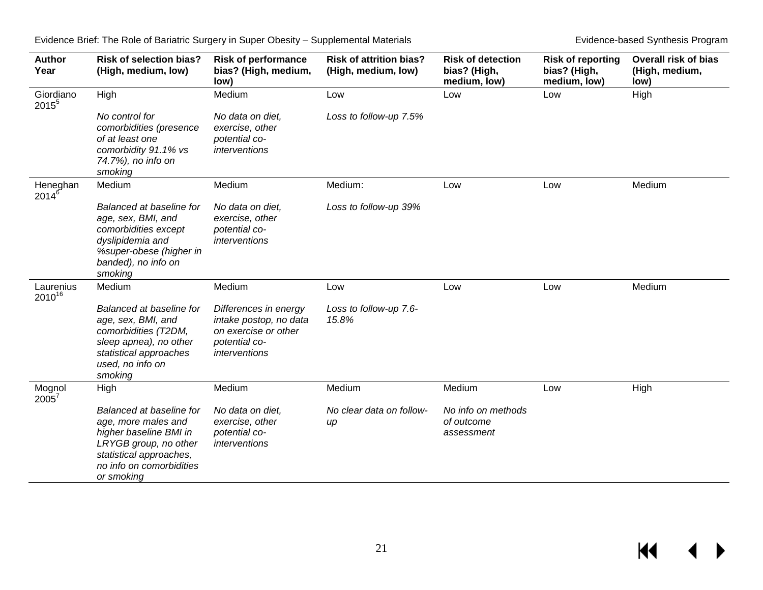$M \leftarrow \leftarrow$ 

| <b>Author</b><br>Year | <b>Risk of selection bias?</b><br>(High, medium, low)                                                                                                                   | <b>Risk of performance</b><br>bias? (High, medium,<br>low)                                                | <b>Risk of attrition bias?</b><br>(High, medium, low) | <b>Risk of detection</b><br>bias? (High,<br>medium, low) | <b>Risk of reporting</b><br>bias? (High,<br>medium, low) | <b>Overall risk of bias</b><br>(High, medium,<br>low) |
|-----------------------|-------------------------------------------------------------------------------------------------------------------------------------------------------------------------|-----------------------------------------------------------------------------------------------------------|-------------------------------------------------------|----------------------------------------------------------|----------------------------------------------------------|-------------------------------------------------------|
| Giordiano<br>$2015^5$ | High                                                                                                                                                                    | Medium                                                                                                    | Low                                                   | Low                                                      | Low                                                      | High                                                  |
|                       | No control for<br>comorbidities (presence<br>of at least one<br>comorbidity 91.1% vs<br>74.7%), no info on<br>smoking                                                   | No data on diet,<br>exercise, other<br>potential co-<br>interventions                                     | Loss to follow-up 7.5%                                |                                                          |                                                          |                                                       |
| Heneghan<br>$2014^6$  | Medium                                                                                                                                                                  | Medium                                                                                                    | Medium:                                               | Low                                                      | Low                                                      | Medium                                                |
|                       | Balanced at baseline for<br>age, sex, BMI, and<br>comorbidities except<br>dyslipidemia and<br>%super-obese (higher in<br>banded), no info on<br>smoking                 | No data on diet,<br>exercise, other<br>potential co-<br>interventions                                     | Loss to follow-up 39%                                 |                                                          |                                                          |                                                       |
| Laurenius<br>201016   | Medium                                                                                                                                                                  | Medium                                                                                                    | Low                                                   | Low                                                      | Low                                                      | Medium                                                |
|                       | Balanced at baseline for<br>age, sex, BMI, and<br>comorbidities (T2DM,<br>sleep apnea), no other<br>statistical approaches<br>used, no info on<br>smoking               | Differences in energy<br>intake postop, no data<br>on exercise or other<br>potential co-<br>interventions | Loss to follow-up 7.6-<br>15.8%                       |                                                          |                                                          |                                                       |
| Mognol<br>2005        | High                                                                                                                                                                    | Medium                                                                                                    | Medium                                                | Medium                                                   | Low                                                      | High                                                  |
|                       | Balanced at baseline for<br>age, more males and<br>higher baseline BMI in<br>LRYGB group, no other<br>statistical approaches,<br>no info on comorbidities<br>or smoking | No data on diet,<br>exercise, other<br>potential co-<br>interventions                                     | No clear data on follow-<br>$\mu$                     | No info on methods<br>of outcome<br>assessment           |                                                          |                                                       |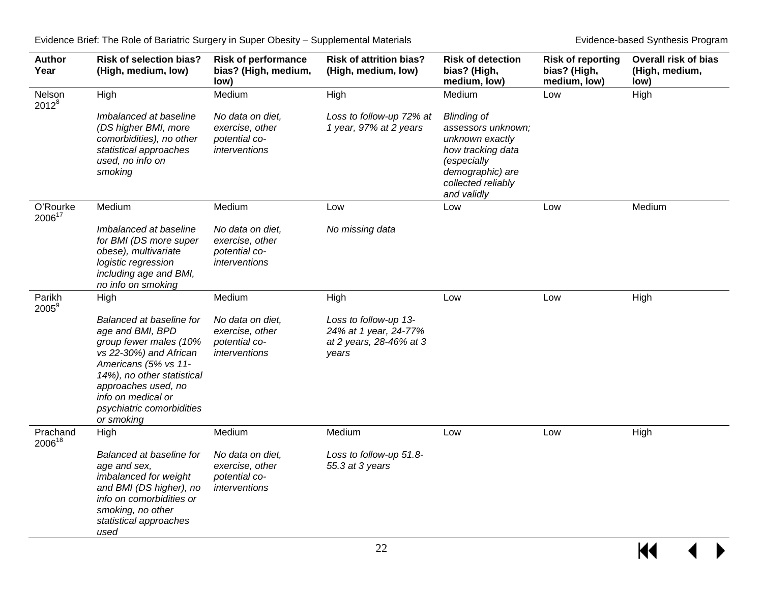| <b>Author</b><br>Year | <b>Risk of selection bias?</b><br>(High, medium, low)                                                                                                                                                                                          | <b>Risk of performance</b><br>bias? (High, medium,<br>low)            | <b>Risk of attrition bias?</b><br>(High, medium, low)                              | <b>Risk of detection</b><br>bias? (High,<br>medium, low)                                                                                                 | <b>Risk of reporting</b><br>bias? (High,<br>medium, low) | <b>Overall risk of bias</b><br>(High, medium,<br>low) |
|-----------------------|------------------------------------------------------------------------------------------------------------------------------------------------------------------------------------------------------------------------------------------------|-----------------------------------------------------------------------|------------------------------------------------------------------------------------|----------------------------------------------------------------------------------------------------------------------------------------------------------|----------------------------------------------------------|-------------------------------------------------------|
| Nelson<br>$2012^{8}$  | High                                                                                                                                                                                                                                           | Medium                                                                | High                                                                               | Medium                                                                                                                                                   | Low                                                      | High                                                  |
|                       | Imbalanced at baseline<br>(DS higher BMI, more<br>comorbidities), no other<br>statistical approaches<br>used, no info on<br>smoking                                                                                                            | No data on diet,<br>exercise, other<br>potential co-<br>interventions | Loss to follow-up 72% at<br>1 year, 97% at 2 years                                 | <b>Blinding of</b><br>assessors unknown;<br>unknown exactly<br>how tracking data<br>(especially<br>demographic) are<br>collected reliably<br>and validly |                                                          |                                                       |
| O'Rourke<br>200617    | Medium                                                                                                                                                                                                                                         | Medium                                                                | Low                                                                                | Low                                                                                                                                                      | Low                                                      | Medium                                                |
|                       | Imbalanced at baseline<br>for BMI (DS more super<br>obese), multivariate<br>logistic regression<br>including age and BMI,<br>no info on smoking                                                                                                | No data on diet,<br>exercise, other<br>potential co-<br>interventions | No missing data                                                                    |                                                                                                                                                          |                                                          |                                                       |
| Parikh<br>$2005^9$    | High                                                                                                                                                                                                                                           | Medium                                                                | High                                                                               | Low                                                                                                                                                      | Low                                                      | High                                                  |
|                       | Balanced at baseline for<br>age and BMI, BPD<br>group fewer males (10%<br>vs 22-30%) and African<br>Americans (5% vs 11-<br>14%), no other statistical<br>approaches used, no<br>info on medical or<br>psychiatric comorbidities<br>or smoking | No data on diet,<br>exercise, other<br>potential co-<br>interventions | Loss to follow-up 13-<br>24% at 1 year, 24-77%<br>at 2 years, 28-46% at 3<br>years |                                                                                                                                                          |                                                          |                                                       |
| Prachand<br>200618    | High                                                                                                                                                                                                                                           | Medium                                                                | Medium                                                                             | Low                                                                                                                                                      | Low                                                      | High                                                  |
|                       | Balanced at baseline for<br>age and sex,<br>imbalanced for weight<br>and BMI (DS higher), no<br>info on comorbidities or<br>smoking, no other<br>statistical approaches<br>used                                                                | No data on diet,<br>exercise, other<br>potential co-<br>interventions | Loss to follow-up 51.8-<br>55.3 at 3 years                                         |                                                                                                                                                          |                                                          |                                                       |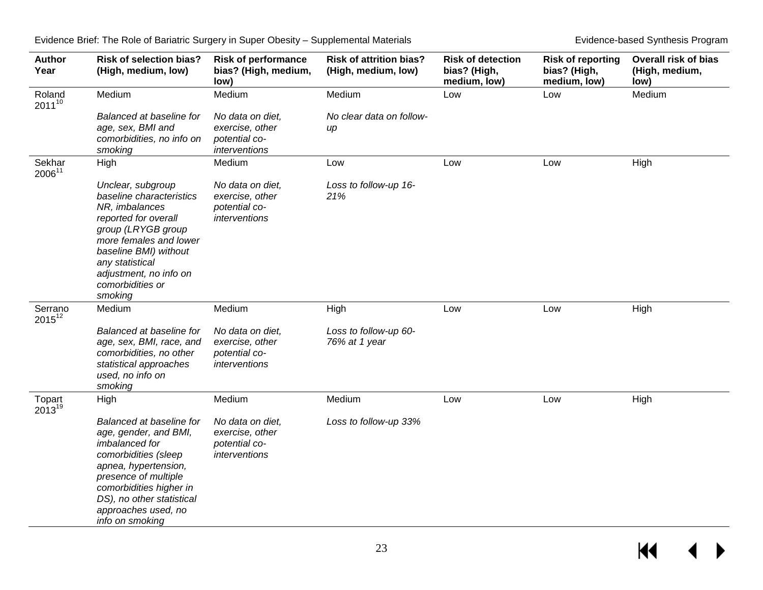| <b>Author</b><br>Year  | <b>Risk of selection bias?</b><br>(High, medium, low)                                                                                                                                                                                         | <b>Risk of performance</b><br>bias? (High, medium,<br>low)            | <b>Risk of attrition bias?</b><br>(High, medium, low) | <b>Risk of detection</b><br>bias? (High,<br>medium, low) | <b>Risk of reporting</b><br>bias? (High,<br>medium, low) | <b>Overall risk of bias</b><br>(High, medium,<br>low) |
|------------------------|-----------------------------------------------------------------------------------------------------------------------------------------------------------------------------------------------------------------------------------------------|-----------------------------------------------------------------------|-------------------------------------------------------|----------------------------------------------------------|----------------------------------------------------------|-------------------------------------------------------|
| Roland<br>$2011^{10}$  | Medium                                                                                                                                                                                                                                        | Medium                                                                | Medium                                                | Low                                                      | Low                                                      | Medium                                                |
|                        | Balanced at baseline for<br>age, sex, BMI and<br>comorbidities, no info on<br>smoking                                                                                                                                                         | No data on diet,<br>exercise, other<br>potential co-<br>interventions | No clear data on follow-<br>up                        |                                                          |                                                          |                                                       |
| Sekhar<br>200611       | High                                                                                                                                                                                                                                          | Medium                                                                | Low                                                   | Low                                                      | Low                                                      | High                                                  |
|                        | Unclear, subgroup<br>baseline characteristics<br>NR, imbalances<br>reported for overall<br>group (LRYGB group<br>more females and lower<br>baseline BMI) without<br>any statistical<br>adjustment, no info on<br>comorbidities or<br>smoking  | No data on diet,<br>exercise, other<br>potential co-<br>interventions | Loss to follow-up 16-<br>21%                          |                                                          |                                                          |                                                       |
| Serrano<br>$2015^{12}$ | Medium                                                                                                                                                                                                                                        | Medium                                                                | High                                                  | Low                                                      | Low                                                      | High                                                  |
|                        | Balanced at baseline for<br>age, sex, BMI, race, and<br>comorbidities, no other<br>statistical approaches<br>used, no info on<br>smoking                                                                                                      | No data on diet.<br>exercise, other<br>potential co-<br>interventions | Loss to follow-up 60-<br>76% at 1 year                |                                                          |                                                          |                                                       |
| Topart<br>$2013^{19}$  | High                                                                                                                                                                                                                                          | Medium                                                                | Medium                                                | Low                                                      | Low                                                      | High                                                  |
|                        | Balanced at baseline for<br>age, gender, and BMI,<br>imbalanced for<br>comorbidities (sleep<br>apnea, hypertension,<br>presence of multiple<br>comorbidities higher in<br>DS), no other statistical<br>approaches used, no<br>info on smoking | No data on diet,<br>exercise, other<br>potential co-<br>interventions | Loss to follow-up 33%                                 |                                                          |                                                          |                                                       |

 $M \rightarrow$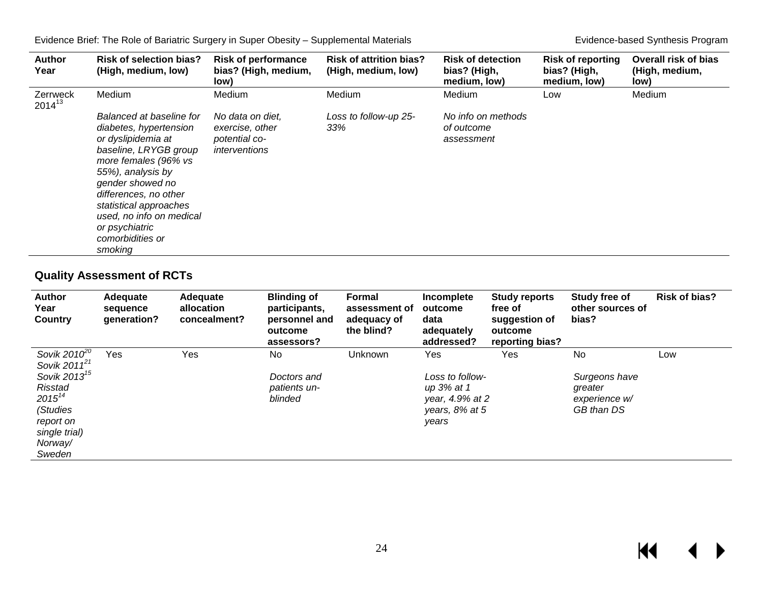| <b>Author</b><br>Year          | <b>Risk of selection bias?</b><br>(High, medium, low)                                                                                                                                                                                                                                              | <b>Risk of performance</b><br>bias? (High, medium,<br>low)            | <b>Risk of attrition bias?</b><br>(High, medium, low) | <b>Risk of detection</b><br>bias? (High,<br>medium, low) | <b>Risk of reporting</b><br>bias? (High,<br>medium, low) | <b>Overall risk of bias</b><br>(High, medium,<br>low) |
|--------------------------------|----------------------------------------------------------------------------------------------------------------------------------------------------------------------------------------------------------------------------------------------------------------------------------------------------|-----------------------------------------------------------------------|-------------------------------------------------------|----------------------------------------------------------|----------------------------------------------------------|-------------------------------------------------------|
| <b>Zerrweck</b><br>$2014^{13}$ | Medium                                                                                                                                                                                                                                                                                             | Medium                                                                | Medium                                                | Medium                                                   | Low                                                      | Medium                                                |
|                                | Balanced at baseline for<br>diabetes, hypertension<br>or dyslipidemia at<br>baseline, LRYGB group<br>more females (96% vs<br>55%), analysis by<br>gender showed no<br>differences, no other<br>statistical approaches<br>used, no info on medical<br>or psychiatric<br>comorbidities or<br>smoking | No data on diet,<br>exercise, other<br>potential co-<br>interventions | Loss to follow-up 25-<br>33%                          | No info on methods<br>of outcome<br>assessment           |                                                          |                                                       |

# **Quality Assessment of RCTs**

<span id="page-25-1"></span><span id="page-25-0"></span>

| <b>Author</b><br>Year<br><b>Country</b>                | Adequate<br>sequence<br>generation? | Adequate<br>allocation<br>concealment? | <b>Blinding of</b><br>participants,<br>personnel and<br>outcome<br>assessors? | Formal<br>assessment of<br>adeguacy of<br>the blind? | Incomplete<br>outcome<br>data<br>adequately<br>addressed? | <b>Study reports</b><br>free of<br>suggestion of<br>outcome<br>reporting bias? | Study free of<br>other sources of<br>bias? | <b>Risk of bias?</b> |
|--------------------------------------------------------|-------------------------------------|----------------------------------------|-------------------------------------------------------------------------------|------------------------------------------------------|-----------------------------------------------------------|--------------------------------------------------------------------------------|--------------------------------------------|----------------------|
| Sovik 2010 $^{\rm 2\overline{0}}$<br>Sovik $2011^{21}$ | Yes                                 | Yes                                    | No.                                                                           | Unknown                                              | Yes                                                       | Yes                                                                            | No                                         | Low                  |
| Sovik 2013 <sup>15</sup>                               |                                     |                                        | Doctors and                                                                   |                                                      | Loss to follow-                                           |                                                                                | Surgeons have                              |                      |
| <b>Risstad</b>                                         |                                     |                                        | patients un-                                                                  |                                                      | up 3% at 1                                                |                                                                                | greater                                    |                      |
| $2015^{14}$                                            |                                     |                                        | blinded                                                                       |                                                      | year, 4.9% at 2                                           |                                                                                | experience w/                              |                      |
| (Studies                                               |                                     |                                        |                                                                               |                                                      | years, $8\%$ at 5                                         |                                                                                | GB than DS                                 |                      |
| report on                                              |                                     |                                        |                                                                               |                                                      | years                                                     |                                                                                |                                            |                      |
| single trial)                                          |                                     |                                        |                                                                               |                                                      |                                                           |                                                                                |                                            |                      |
| Norway/                                                |                                     |                                        |                                                                               |                                                      |                                                           |                                                                                |                                            |                      |
| Sweden                                                 |                                     |                                        |                                                                               |                                                      |                                                           |                                                                                |                                            |                      |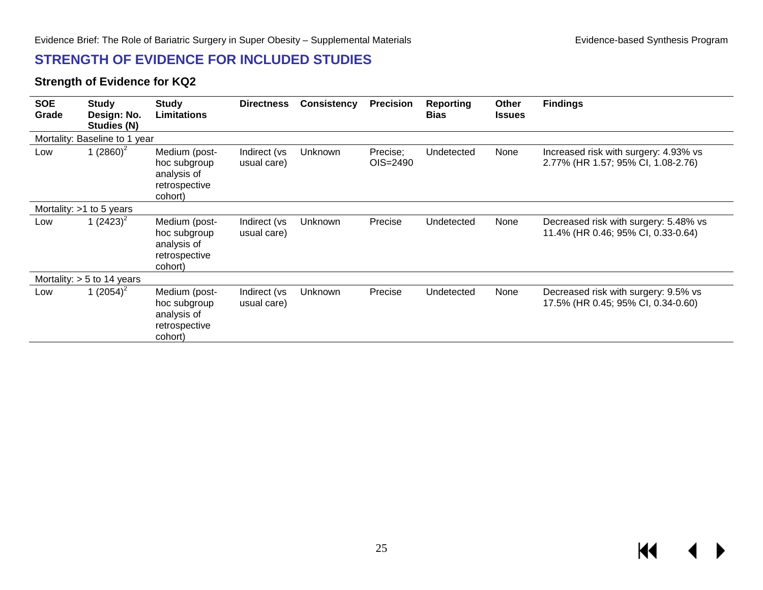# **STRENGTH OF EVIDENCE FOR INCLUDED STUDIES**

#### **Strength of Evidence for KQ2**

<span id="page-26-1"></span><span id="page-26-0"></span>

| <b>SOE</b><br>Grade           | <b>Study</b><br>Design: No.<br>Studies (N) | <b>Study</b><br><b>Limitations</b>                                       | <b>Directness</b>           | <b>Consistency</b> | <b>Precision</b>     | <b>Reporting</b><br><b>Bias</b> | Other<br><b>Issues</b> | <b>Findings</b>                                                             |  |  |
|-------------------------------|--------------------------------------------|--------------------------------------------------------------------------|-----------------------------|--------------------|----------------------|---------------------------------|------------------------|-----------------------------------------------------------------------------|--|--|
| Mortality: Baseline to 1 year |                                            |                                                                          |                             |                    |                      |                                 |                        |                                                                             |  |  |
| Low                           | 1 $(2860)^2$                               | Medium (post-<br>hoc subgroup<br>analysis of<br>retrospective<br>cohort) | Indirect (vs<br>usual care) | Unknown            | Precise;<br>OIS=2490 | Undetected                      | None                   | Increased risk with surgery: 4.93% vs<br>2.77% (HR 1.57; 95% CI, 1.08-2.76) |  |  |
|                               | Mortality: $>1$ to 5 years                 |                                                                          |                             |                    |                      |                                 |                        |                                                                             |  |  |
| Low                           | 1 $(2423)^2$                               | Medium (post-<br>hoc subgroup<br>analysis of<br>retrospective<br>cohort) | Indirect (vs<br>usual care) | Unknown            | Precise              | Undetected                      | None                   | Decreased risk with surgery: 5.48% vs<br>11.4% (HR 0.46; 95% CI, 0.33-0.64) |  |  |
|                               | Mortality: $> 5$ to 14 years               |                                                                          |                             |                    |                      |                                 |                        |                                                                             |  |  |
| Low                           | 1 $(2054)^2$                               | Medium (post-<br>hoc subgroup<br>analysis of<br>retrospective<br>cohort) | Indirect (vs<br>usual care) | Unknown            | Precise              | Undetected                      | None                   | Decreased risk with surgery: 9.5% vs<br>17.5% (HR 0.45; 95% CI, 0.34-0.60)  |  |  |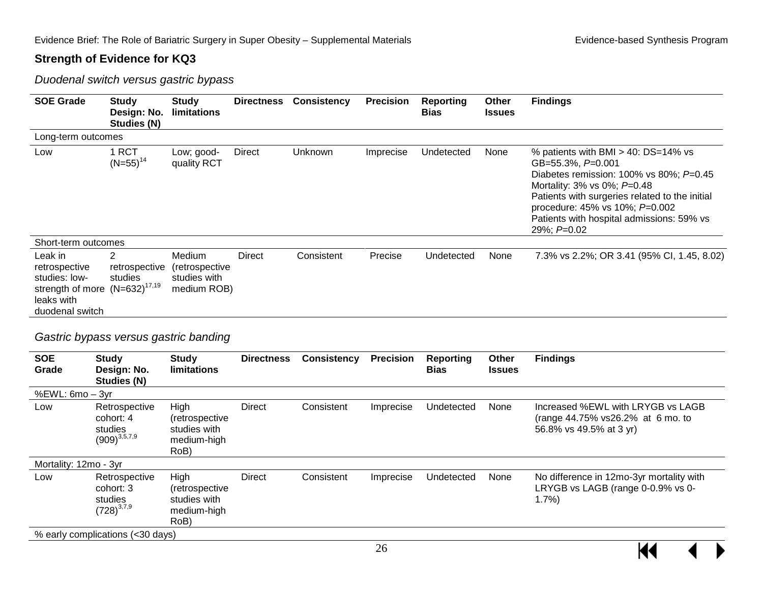#### **Strength of Evidence for KQ3**

*Duodenal switch versus gastric bypass*

| <b>SOE Grade</b>                                                                                                        | <b>Study</b><br>Design: No.<br>Studies (N) | <b>Study</b><br>limitations                                    | <b>Directness</b> | <b>Consistency</b> | <b>Precision</b> | <b>Reporting</b><br><b>Bias</b> | Other<br><b>Issues</b> | <b>Findings</b>                                                                                                                                                                                                                                                                                   |
|-------------------------------------------------------------------------------------------------------------------------|--------------------------------------------|----------------------------------------------------------------|-------------------|--------------------|------------------|---------------------------------|------------------------|---------------------------------------------------------------------------------------------------------------------------------------------------------------------------------------------------------------------------------------------------------------------------------------------------|
| Long-term outcomes                                                                                                      |                                            |                                                                |                   |                    |                  |                                 |                        |                                                                                                                                                                                                                                                                                                   |
| Low                                                                                                                     | 1 RCT<br>$(N=55)^{14}$                     | Low; good-<br>quality RCT                                      | Direct            | <b>Unknown</b>     | Imprecise        | Undetected                      | None                   | % patients with BMI $>$ 40: DS=14% vs<br>GB=55.3%, $P=0.001$<br>Diabetes remission: 100% vs 80%; $P=0.45$<br>Mortality: $3\%$ vs $0\%$ ; $P=0.48$<br>Patients with surgeries related to the initial<br>procedure: 45% vs 10%; P=0.002<br>Patients with hospital admissions: 59% vs<br>29%; P=0.02 |
| Short-term outcomes                                                                                                     |                                            |                                                                |                   |                    |                  |                                 |                        |                                                                                                                                                                                                                                                                                                   |
| Leak in<br>retrospective<br>studies: low-<br>strength of more (N=632) <sup>17,19</sup><br>leaks with<br>duodenal switch | $\overline{2}$<br>retrospective<br>studies | <b>Medium</b><br>(retrospective<br>studies with<br>medium ROB) | <b>Direct</b>     | Consistent         | Precise          | Undetected                      | None                   | 7.3% vs 2.2%; OR 3.41 (95% CI, 1.45, 8.02)                                                                                                                                                                                                                                                        |
| Gastric bypass versus gastric banding                                                                                   |                                            |                                                                |                   |                    |                  |                                 |                        |                                                                                                                                                                                                                                                                                                   |

#### *Gastric bypass versus gastric banding*

| <b>SOE</b><br>Grade   | <b>Study</b><br>Design: No.<br>Studies (N)                            | <b>Study</b><br>limitations                                   | <b>Directness</b> | <b>Consistency</b> | <b>Precision</b> | Reporting<br><b>Bias</b> | Other<br><b>Issues</b> | <b>Findings</b>                                                                                   |  |
|-----------------------|-----------------------------------------------------------------------|---------------------------------------------------------------|-------------------|--------------------|------------------|--------------------------|------------------------|---------------------------------------------------------------------------------------------------|--|
| %EWL: $6mo - 3yr$     |                                                                       |                                                               |                   |                    |                  |                          |                        |                                                                                                   |  |
| Low                   | Retrospective<br>cohort: 4<br>studies<br>$\left(909\right)^{3,5,7,9}$ | High<br>(retrospective<br>studies with<br>medium-high<br>RoB) | <b>Direct</b>     | Consistent         | Imprecise        | Undetected               | None                   | Increased %EWL with LRYGB vs LAGB<br>(range 44.75% vs26.2% at 6 mo. to<br>56.8% vs 49.5% at 3 yr) |  |
| Mortality: 12mo - 3yr |                                                                       |                                                               |                   |                    |                  |                          |                        |                                                                                                   |  |
| Low                   | Retrospective<br>cohort: 3<br>studies<br>$(728)^{3,7,9}$              | High<br>(retrospective<br>studies with<br>medium-high<br>RoB) | <b>Direct</b>     | Consistent         | Imprecise        | Undetected               | None                   | No difference in 12mo-3yr mortality with<br>LRYGB vs LAGB (range 0-0.9% vs 0-<br>1.7%             |  |
|                       | % early complications (<30 days)                                      |                                                               |                   |                    |                  |                          |                        |                                                                                                   |  |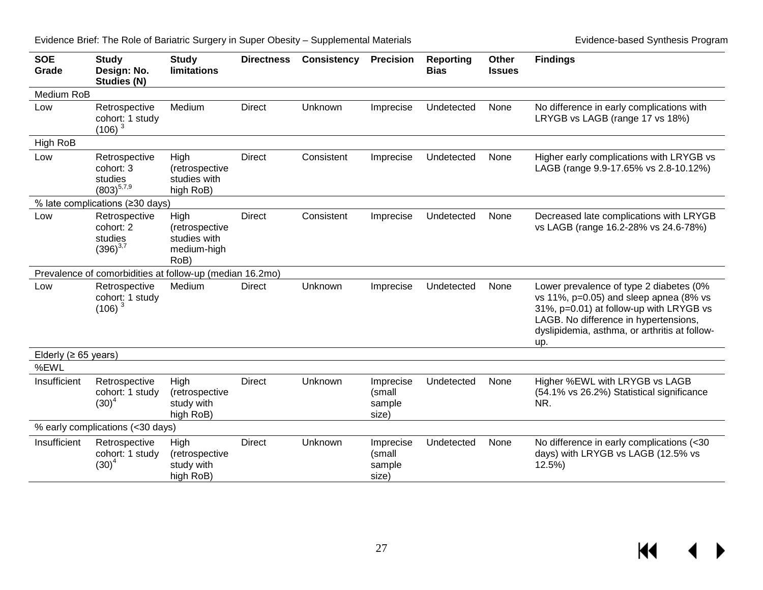**SOE Grade Study Design: No. Studies (N) Study limitations Directness Consistency Precision Reporting Bias Other Issues Findings** Medium RoB Low Retrospective cohort: 1 study  $(106)^3$  $(106)^3$ Medium Direct Unknown Imprecise Undetected None No difference in early complications with LRYGB vs LAGB (range 17 vs 18%) High RoB Low Retrospective cohort: 3 studies  $(803)^{5,7,9}$  $(803)^{5,7,9}$  $(803)^{5,7,9}$  $(803)^{5,7,9}$  $(803)^{5,7,9}$ High (retrospective studies with high RoB) Direct Consistent Imprecise Undetected None Higher early complications with LRYGB vs LAGB (range 9.9-17.65% vs 2.8-10.12%) % late complications (≥30 days) Low Retrospective cohort: 2 studies  $(396)^{3,7}$  $(396)^{3,7}$  $(396)^{3,7}$  $(396)^{3,7}$ High (retrospective studies with medium-high RoB) Direct Consistent Imprecise Undetected None Decreased late complications with LRYGB vs LAGB (range 16.2-28% vs 24.6-78%) Prevalence of comorbidities at follow-up (median 16.2mo) Low Retrospective cohort: 1 study  $(106)^3$ Medium Direct Unknown Imprecise Undetected None Lower prevalence of type 2 diabetes (0% vs 11%, p=0.05) and sleep apnea (8% vs 31%, p=0.01) at follow-up with LRYGB vs LAGB. No difference in hypertensions, dyslipidemia, asthma, or arthritis at followup. Elderly ( $\geq 65$  years) %EWL Insufficient Retrospective cohort: 1 study  $(30)^4$  $(30)^4$ High (retrospective study with high RoB) Direct Unknown Imprecise (small sample size) Undetected None Higher %EWL with LRYGB vs LAGB (54.1% vs 26.2%) Statistical significance NR. % early complications (<30 days) Insufficient Retrospective cohort: 1 study  $(30)^4$  $(30)^4$ **High** (retrospective study with high RoB) Direct Unknown Imprecise (small sample size) Undetected None No difference in early complications (<30 days) with LRYGB vs LAGB (12.5% vs 12.5%)

Evidence Brief: The Role of Bariatric Surgery in Super Obesity – Supplemental Materials Evidence-based Synthesis Program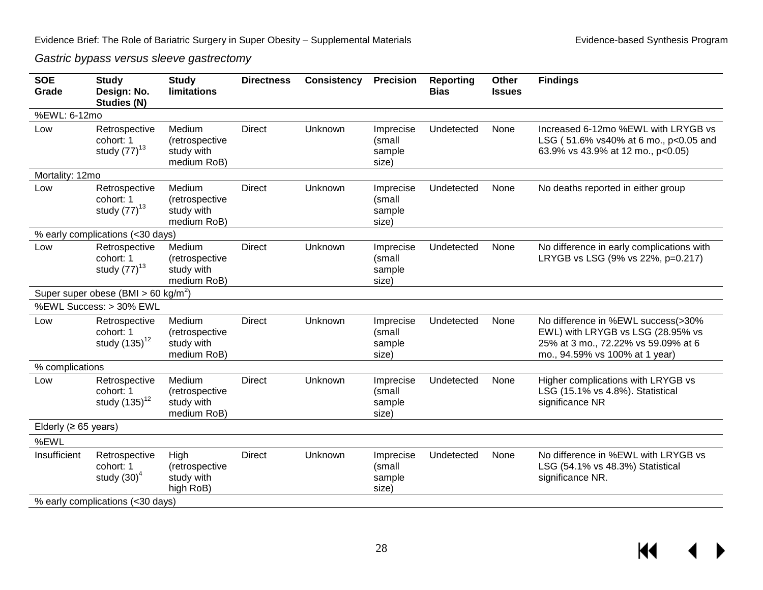*Gastric bypass versus sleeve gastrectomy*

| <b>SOE</b><br>Grade        | <b>Study</b><br>Design: No.<br><b>Studies (N)</b> | <b>Study</b><br><b>limitations</b>                    | <b>Directness</b> | <b>Consistency</b> | <b>Precision</b>                       | <b>Reporting</b><br><b>Bias</b> | Other<br><b>Issues</b> | <b>Findings</b>                                                                                                                                  |
|----------------------------|---------------------------------------------------|-------------------------------------------------------|-------------------|--------------------|----------------------------------------|---------------------------------|------------------------|--------------------------------------------------------------------------------------------------------------------------------------------------|
| %EWL: 6-12mo               |                                                   |                                                       |                   |                    |                                        |                                 |                        |                                                                                                                                                  |
| Low                        | Retrospective<br>cohort: 1<br>study $(77)^{13}$   | Medium<br>(retrospective<br>study with<br>medium RoB) | <b>Direct</b>     | Unknown            | Imprecise<br>(small<br>sample<br>size) | Undetected                      | None                   | Increased 6-12mo %EWL with LRYGB vs<br>LSG (51.6% vs40% at 6 mo., p<0.05 and<br>63.9% vs 43.9% at 12 mo., p<0.05)                                |
| Mortality: 12mo            |                                                   |                                                       |                   |                    |                                        |                                 |                        |                                                                                                                                                  |
| Low                        | Retrospective<br>cohort: 1<br>study $(77)^{13}$   | Medium<br>(retrospective<br>study with<br>medium RoB) | <b>Direct</b>     | Unknown            | Imprecise<br>(small<br>sample<br>size) | Undetected                      | None                   | No deaths reported in either group                                                                                                               |
|                            | % early complications (<30 days)                  |                                                       |                   |                    |                                        |                                 |                        |                                                                                                                                                  |
| Low                        | Retrospective<br>cohort: 1<br>study $(77)^{13}$   | Medium<br>(retrospective<br>study with<br>medium RoB) | <b>Direct</b>     | Unknown            | Imprecise<br>(small<br>sample<br>size) | Undetected                      | None                   | No difference in early complications with<br>LRYGB vs LSG (9% vs 22%, p=0.217)                                                                   |
|                            | Super super obese (BMI > 60 kg/m <sup>2</sup> )   |                                                       |                   |                    |                                        |                                 |                        |                                                                                                                                                  |
|                            | %EWL Success: > 30% EWL                           |                                                       |                   |                    |                                        |                                 |                        |                                                                                                                                                  |
| Low                        | Retrospective<br>cohort: 1<br>study $(135)^{12}$  | Medium<br>(retrospective<br>study with<br>medium RoB) | <b>Direct</b>     | Unknown            | Imprecise<br>(small<br>sample<br>size) | Undetected                      | None                   | No difference in %EWL success(>30%<br>EWL) with LRYGB vs LSG (28.95% vs<br>25% at 3 mo., 72.22% vs 59.09% at 6<br>mo., 94.59% vs 100% at 1 year) |
| % complications            |                                                   |                                                       |                   |                    |                                        |                                 |                        |                                                                                                                                                  |
| Low                        | Retrospective<br>cohort: 1<br>study $(135)^{12}$  | Medium<br>(retrospective<br>study with<br>medium RoB) | <b>Direct</b>     | Unknown            | Imprecise<br>(small<br>sample<br>size) | Undetected                      | None                   | Higher complications with LRYGB vs<br>LSG (15.1% vs 4.8%). Statistical<br>significance NR                                                        |
| Elderly ( $\geq 65$ years) |                                                   |                                                       |                   |                    |                                        |                                 |                        |                                                                                                                                                  |
| %EWL                       |                                                   |                                                       |                   |                    |                                        |                                 |                        |                                                                                                                                                  |
| Insufficient               | Retrospective<br>cohort: 1<br>study $(30)^4$      | High<br>(retrospective<br>study with<br>high RoB)     | <b>Direct</b>     | Unknown            | Imprecise<br>(small<br>sample<br>size) | Undetected                      | None                   | No difference in %EWL with LRYGB vs<br>LSG (54.1% vs 48.3%) Statistical<br>significance NR.                                                      |
|                            | % early complications (<30 days)                  |                                                       |                   |                    |                                        |                                 |                        |                                                                                                                                                  |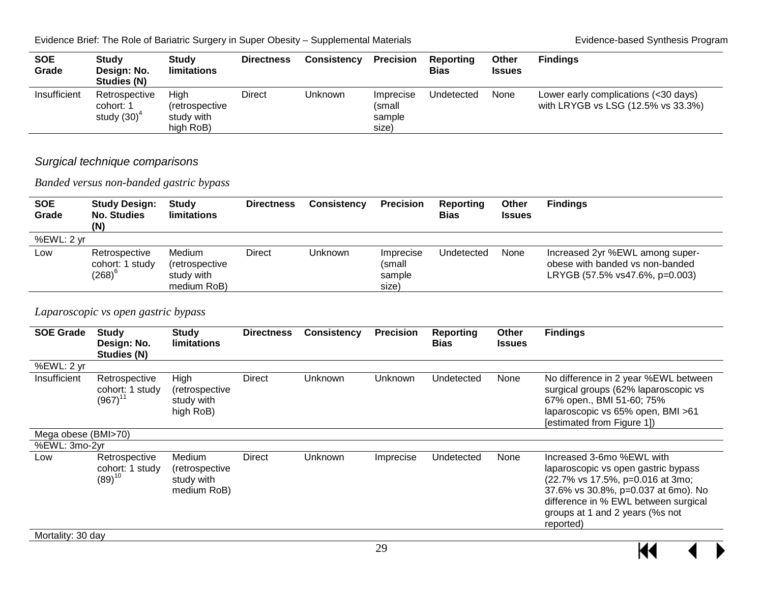KI

| <b>SOE</b><br>Grade | <b>Study</b><br>Design: No.<br>Studies (N)   | <b>Study</b><br>limitations                       | <b>Directness</b> | <b>Consistency</b> | <b>Precision</b>                       | Reporting<br><b>Bias</b> | <b>Other</b><br><b>Issues</b> | <b>Findings</b>                                                            |
|---------------------|----------------------------------------------|---------------------------------------------------|-------------------|--------------------|----------------------------------------|--------------------------|-------------------------------|----------------------------------------------------------------------------|
| Insufficient        | Retrospective<br>cohort: 1<br>study $(30)^4$ | Hiah<br>(retrospective<br>study with<br>high RoB) | <b>Direct</b>     | Unknown            | Imprecise<br>(small<br>sample<br>size) | Undetected               | None                          | Lower early complications (<30 days)<br>with LRYGB vs LSG (12.5% vs 33.3%) |

#### *Surgical technique comparisons*

*Banded versus non-banded gastric bypass* 

| <b>SOE</b><br>Grade | <b>Study Design:</b><br><b>No. Studies</b><br>(N) | <b>Study</b><br>limitations                           | <b>Directness</b> | Consistency | <b>Precision</b>                       | Reporting<br>Bias | Other<br><b>Issues</b> | <b>Findings</b>                                                                                      |
|---------------------|---------------------------------------------------|-------------------------------------------------------|-------------------|-------------|----------------------------------------|-------------------|------------------------|------------------------------------------------------------------------------------------------------|
| %EWL: 2 yr          |                                                   |                                                       |                   |             |                                        |                   |                        |                                                                                                      |
| Low                 | Retrospective<br>cohort: 1 study<br>(268) $^6$    | Medium<br>(retrospective<br>study with<br>medium RoB) | Direct            | Unknown     | Imprecise<br>(small<br>sample<br>size) | Undetected        | None                   | Increased 2yr %EWL among super-<br>obese with banded vs non-banded<br>LRYGB (57.5% vs47.6%, p=0.003) |

#### *Laparoscopic vs open gastric bypass*

| <b>SOE Grade</b>    | <b>Study</b><br>Design: No.<br>Studies (N)       | <b>Study</b><br>limitations                           | <b>Directness</b> | <b>Consistency</b> | <b>Precision</b> | <b>Reporting</b><br><b>Bias</b> | Other<br><b>Issues</b> | <b>Findings</b>                                                                                                                                                                                                                     |
|---------------------|--------------------------------------------------|-------------------------------------------------------|-------------------|--------------------|------------------|---------------------------------|------------------------|-------------------------------------------------------------------------------------------------------------------------------------------------------------------------------------------------------------------------------------|
| %EWL: 2 yr          |                                                  |                                                       |                   |                    |                  |                                 |                        |                                                                                                                                                                                                                                     |
| Insufficient        | Retrospective<br>cohort: 1 study<br>$(967)^{11}$ | High<br>(retrospective<br>study with<br>high RoB)     | <b>Direct</b>     | Unknown            | Unknown          | Undetected                      | None                   | No difference in 2 year %EWL between<br>surgical groups (62% laparoscopic vs<br>67% open., BMI 51-60; 75%<br>laparoscopic vs 65% open, BMI >61<br>[estimated from Figure 1])                                                        |
| Mega obese (BMI>70) |                                                  |                                                       |                   |                    |                  |                                 |                        |                                                                                                                                                                                                                                     |
| %EWL: 3mo-2yr       |                                                  |                                                       |                   |                    |                  |                                 |                        |                                                                                                                                                                                                                                     |
| Low                 | Retrospective<br>cohort: 1 study<br>$(89)^{10}$  | Medium<br>(retrospective<br>study with<br>medium RoB) | <b>Direct</b>     | Unknown            | Imprecise        | Undetected                      | None                   | Increased 3-6mo %EWL with<br>laparoscopic vs open gastric bypass<br>(22.7% vs 17.5%, p=0.016 at 3mo;<br>37.6% vs 30.8%, p=0.037 at 6mo). No<br>difference in % EWL between surgical<br>groups at 1 and 2 years (%s not<br>reported) |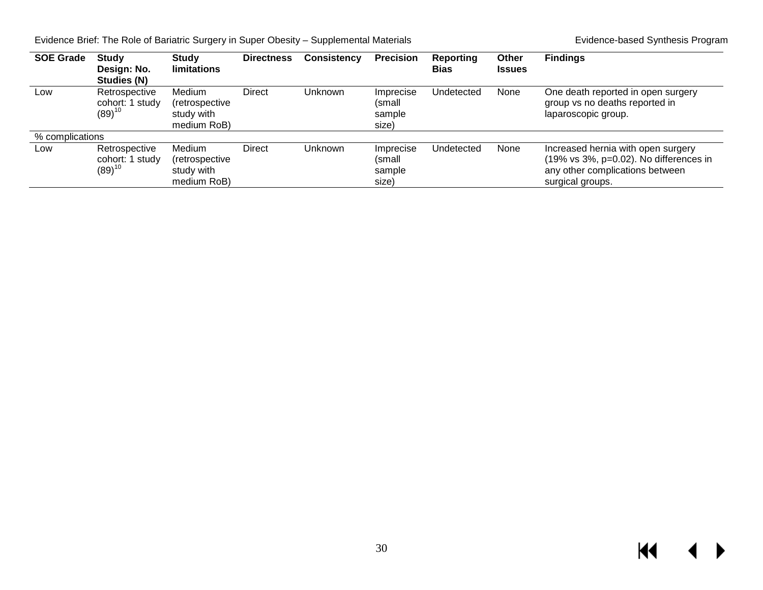| <b>SOE Grade</b> | <b>Study</b><br>Design: No.<br>Studies (N)      | <b>Study</b><br><b>limitations</b>                           | <b>Directness</b> | Consistency | <b>Precision</b>                       | Reporting<br><b>Bias</b> | <b>Other</b><br><b>Issues</b> | <b>Findings</b>                                                                                                                     |
|------------------|-------------------------------------------------|--------------------------------------------------------------|-------------------|-------------|----------------------------------------|--------------------------|-------------------------------|-------------------------------------------------------------------------------------------------------------------------------------|
| Low              | Retrospective<br>cohort: 1 study<br>$(89)^{10}$ | <b>Medium</b><br>(retrospective<br>study with<br>medium RoB) | Direct            | Unknown     | Imprecise<br>(small<br>sample<br>size) | Undetected               | None                          | One death reported in open surgery<br>group vs no deaths reported in<br>laparoscopic group.                                         |
| % complications  |                                                 |                                                              |                   |             |                                        |                          |                               |                                                                                                                                     |
| Low              | Retrospective<br>cohort: 1 study<br>$(89)^{10}$ | <b>Medium</b><br>(retrospective<br>study with<br>medium RoB) | Direct            | Unknown     | Imprecise<br>(small<br>sample<br>size) | Undetected               | None                          | Increased hernia with open surgery<br>(19% vs 3%, p=0.02). No differences in<br>any other complications between<br>surgical groups. |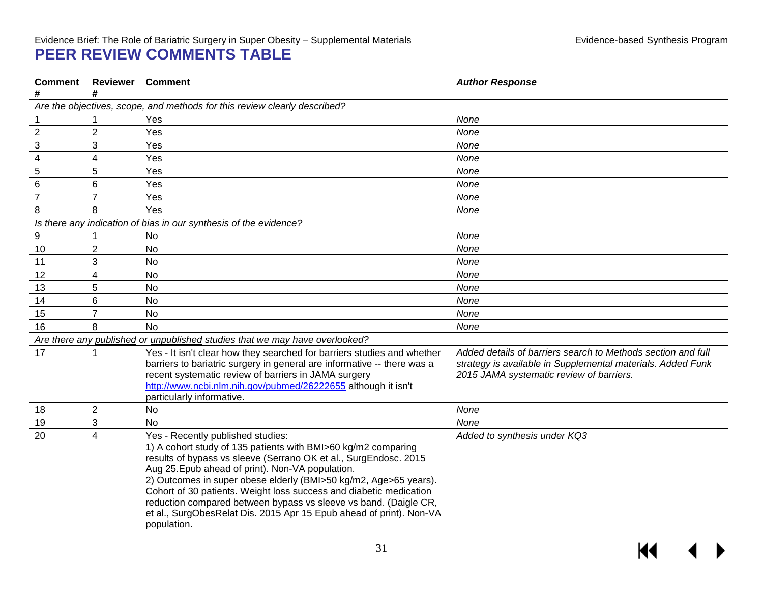### Evidence Brief: The Role of Bariatric Surgery in Super Obesity – Supplemental Materials Evidence-based Synthesis Program **PEER REVIEW COMMENTS TABLE**

<span id="page-32-0"></span>

| <b>Comment</b> | <b>Reviewer</b>         | <b>Comment</b>                                                                                                                                                                                                                                                                                                                                                                                                                                                                                                                 | <b>Author Response</b>                                                                                                                                                  |
|----------------|-------------------------|--------------------------------------------------------------------------------------------------------------------------------------------------------------------------------------------------------------------------------------------------------------------------------------------------------------------------------------------------------------------------------------------------------------------------------------------------------------------------------------------------------------------------------|-------------------------------------------------------------------------------------------------------------------------------------------------------------------------|
| #              | #                       | Are the objectives, scope, and methods for this review clearly described?                                                                                                                                                                                                                                                                                                                                                                                                                                                      |                                                                                                                                                                         |
|                |                         | Yes                                                                                                                                                                                                                                                                                                                                                                                                                                                                                                                            | None                                                                                                                                                                    |
| $\overline{2}$ | $\overline{2}$          | Yes                                                                                                                                                                                                                                                                                                                                                                                                                                                                                                                            | None                                                                                                                                                                    |
| $\sqrt{3}$     | 3                       | Yes                                                                                                                                                                                                                                                                                                                                                                                                                                                                                                                            | None                                                                                                                                                                    |
| 4              | 4                       | Yes                                                                                                                                                                                                                                                                                                                                                                                                                                                                                                                            | None                                                                                                                                                                    |
| $\mathbf 5$    | 5                       | Yes                                                                                                                                                                                                                                                                                                                                                                                                                                                                                                                            | None                                                                                                                                                                    |
| 6              | 6                       | Yes                                                                                                                                                                                                                                                                                                                                                                                                                                                                                                                            | None                                                                                                                                                                    |
| $\overline{7}$ | $\overline{7}$          | Yes                                                                                                                                                                                                                                                                                                                                                                                                                                                                                                                            | None                                                                                                                                                                    |
| 8              | 8                       | Yes                                                                                                                                                                                                                                                                                                                                                                                                                                                                                                                            | None                                                                                                                                                                    |
|                |                         | Is there any indication of bias in our synthesis of the evidence?                                                                                                                                                                                                                                                                                                                                                                                                                                                              |                                                                                                                                                                         |
| 9              |                         | <b>No</b>                                                                                                                                                                                                                                                                                                                                                                                                                                                                                                                      | None                                                                                                                                                                    |
| 10             | $\overline{2}$          | <b>No</b>                                                                                                                                                                                                                                                                                                                                                                                                                                                                                                                      | None                                                                                                                                                                    |
| 11             | 3                       | No                                                                                                                                                                                                                                                                                                                                                                                                                                                                                                                             | None                                                                                                                                                                    |
| 12             | $\overline{\mathbf{4}}$ | No                                                                                                                                                                                                                                                                                                                                                                                                                                                                                                                             | None                                                                                                                                                                    |
| 13             | 5                       | <b>No</b>                                                                                                                                                                                                                                                                                                                                                                                                                                                                                                                      | None                                                                                                                                                                    |
| 14             | 6                       | <b>No</b>                                                                                                                                                                                                                                                                                                                                                                                                                                                                                                                      | None                                                                                                                                                                    |
| 15             | $\overline{7}$          | <b>No</b>                                                                                                                                                                                                                                                                                                                                                                                                                                                                                                                      | None                                                                                                                                                                    |
| 16             | 8                       | <b>No</b>                                                                                                                                                                                                                                                                                                                                                                                                                                                                                                                      | None                                                                                                                                                                    |
|                |                         | Are there any published or unpublished studies that we may have overlooked?                                                                                                                                                                                                                                                                                                                                                                                                                                                    |                                                                                                                                                                         |
| 17             | 1                       | Yes - It isn't clear how they searched for barriers studies and whether<br>barriers to bariatric surgery in general are informative -- there was a<br>recent systematic review of barriers in JAMA surgery<br>http://www.ncbi.nlm.nih.gov/pubmed/26222655 although it isn't<br>particularly informative.                                                                                                                                                                                                                       | Added details of barriers search to Methods section and full<br>strategy is available in Supplemental materials. Added Funk<br>2015 JAMA systematic review of barriers. |
| 18             | $\overline{2}$          | <b>No</b>                                                                                                                                                                                                                                                                                                                                                                                                                                                                                                                      | None                                                                                                                                                                    |
| 19             | 3                       | No                                                                                                                                                                                                                                                                                                                                                                                                                                                                                                                             | None                                                                                                                                                                    |
| 20             | 4                       | Yes - Recently published studies:<br>1) A cohort study of 135 patients with BMI>60 kg/m2 comparing<br>results of bypass vs sleeve (Serrano OK et al., SurgEndosc. 2015<br>Aug 25. Epub ahead of print). Non-VA population.<br>2) Outcomes in super obese elderly (BMI>50 kg/m2, Age>65 years).<br>Cohort of 30 patients. Weight loss success and diabetic medication<br>reduction compared between bypass vs sleeve vs band. (Daigle CR,<br>et al., SurgObesRelat Dis. 2015 Apr 15 Epub ahead of print). Non-VA<br>population. | Added to synthesis under KQ3                                                                                                                                            |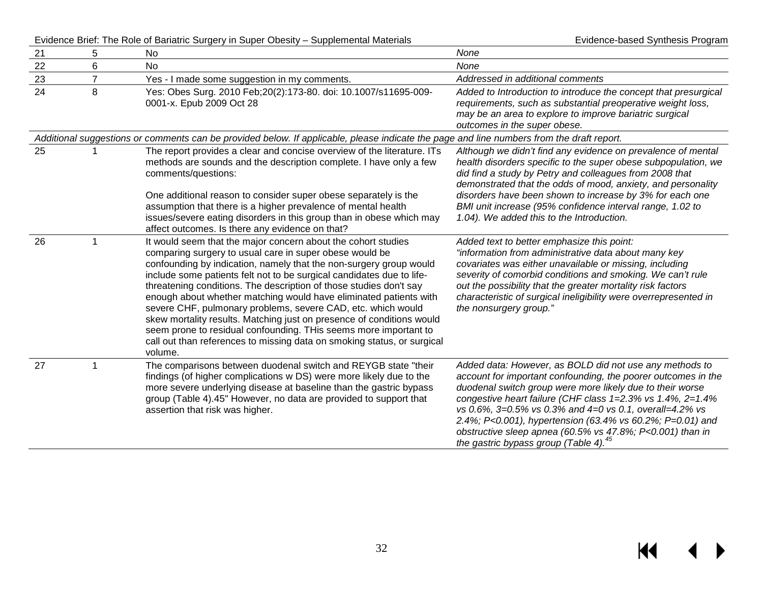Evidence Brief: The Role of Bariatric Surgery in Super Obesity – Supplemental Materials Evidence-based Synthesis Program

| 21 | 5              | <b>No</b>                                                                                                                                                                                                                                                                                                                                                                                                                                                                                                                                                                                                                                                                                                             | None                                                                                                                                                                                                                                                                                                                                                                                                                                                                                           |
|----|----------------|-----------------------------------------------------------------------------------------------------------------------------------------------------------------------------------------------------------------------------------------------------------------------------------------------------------------------------------------------------------------------------------------------------------------------------------------------------------------------------------------------------------------------------------------------------------------------------------------------------------------------------------------------------------------------------------------------------------------------|------------------------------------------------------------------------------------------------------------------------------------------------------------------------------------------------------------------------------------------------------------------------------------------------------------------------------------------------------------------------------------------------------------------------------------------------------------------------------------------------|
| 22 | 6              | <b>No</b>                                                                                                                                                                                                                                                                                                                                                                                                                                                                                                                                                                                                                                                                                                             | None                                                                                                                                                                                                                                                                                                                                                                                                                                                                                           |
| 23 | $\overline{7}$ | Yes - I made some suggestion in my comments.                                                                                                                                                                                                                                                                                                                                                                                                                                                                                                                                                                                                                                                                          | Addressed in additional comments                                                                                                                                                                                                                                                                                                                                                                                                                                                               |
| 24 | 8              | Yes: Obes Surg. 2010 Feb; 20(2): 173-80. doi: 10.1007/s11695-009-<br>0001-x. Epub 2009 Oct 28                                                                                                                                                                                                                                                                                                                                                                                                                                                                                                                                                                                                                         | Added to Introduction to introduce the concept that presurgical<br>requirements, such as substantial preoperative weight loss,<br>may be an area to explore to improve bariatric surgical<br>outcomes in the super obese.                                                                                                                                                                                                                                                                      |
|    |                | Additional suggestions or comments can be provided below. If applicable, please indicate the page and line numbers from the draft report.                                                                                                                                                                                                                                                                                                                                                                                                                                                                                                                                                                             |                                                                                                                                                                                                                                                                                                                                                                                                                                                                                                |
| 25 |                | The report provides a clear and concise overview of the literature. ITs<br>methods are sounds and the description complete. I have only a few<br>comments/questions:                                                                                                                                                                                                                                                                                                                                                                                                                                                                                                                                                  | Although we didn't find any evidence on prevalence of mental<br>health disorders specific to the super obese subpopulation, we<br>did find a study by Petry and colleagues from 2008 that<br>demonstrated that the odds of mood, anxiety, and personality                                                                                                                                                                                                                                      |
|    |                | One additional reason to consider super obese separately is the<br>assumption that there is a higher prevalence of mental health<br>issues/severe eating disorders in this group than in obese which may<br>affect outcomes. Is there any evidence on that?                                                                                                                                                                                                                                                                                                                                                                                                                                                           | disorders have been shown to increase by 3% for each one<br>BMI unit increase (95% confidence interval range, 1.02 to<br>1.04). We added this to the Introduction.                                                                                                                                                                                                                                                                                                                             |
| 26 |                | It would seem that the major concern about the cohort studies<br>comparing surgery to usual care in super obese would be<br>confounding by indication, namely that the non-surgery group would<br>include some patients felt not to be surgical candidates due to life-<br>threatening conditions. The description of those studies don't say<br>enough about whether matching would have eliminated patients with<br>severe CHF, pulmonary problems, severe CAD, etc. which would<br>skew mortality results. Matching just on presence of conditions would<br>seem prone to residual confounding. THis seems more important to<br>call out than references to missing data on smoking status, or surgical<br>volume. | Added text to better emphasize this point:<br>"information from administrative data about many key<br>covariates was either unavailable or missing, including<br>severity of comorbid conditions and smoking. We can't rule<br>out the possibility that the greater mortality risk factors<br>characteristic of surgical ineligibility were overrepresented in<br>the nonsurgery group."                                                                                                       |
| 27 |                | The comparisons between duodenal switch and REYGB state "their<br>findings (of higher complications w DS) were more likely due to the<br>more severe underlying disease at baseline than the gastric bypass<br>group (Table 4).45" However, no data are provided to support that<br>assertion that risk was higher.                                                                                                                                                                                                                                                                                                                                                                                                   | Added data: However, as BOLD did not use any methods to<br>account for important confounding, the poorer outcomes in the<br>duodenal switch group were more likely due to their worse<br>congestive heart failure (CHF class $1=2.3\%$ vs $1.4\%$ , $2=1.4\%$<br>vs 0.6%, 3=0.5% vs 0.3% and 4=0 vs 0.1, overall=4.2% vs<br>2.4%; P<0.001), hypertension (63.4% vs 60.2%; P=0.01) and<br>obstructive sleep apnea (60.5% vs 47.8%; P<0.001) than in<br>the gastric bypass group (Table 4). $45$ |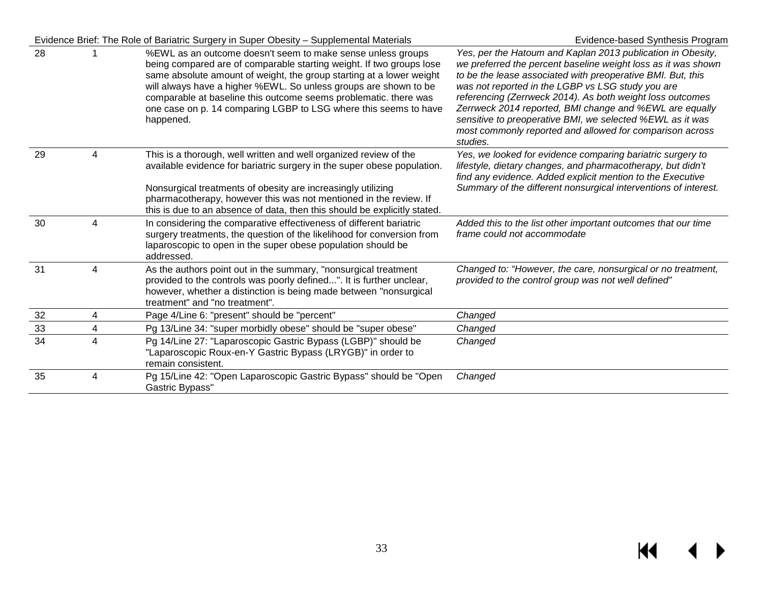|    |   | Evidence Brief: The Role of Bariatric Surgery in Super Obesity – Supplemental Materials                                                                                                                                                                                                                                                                                                                                              | Evidence-based Synthesis Program                                                                                                                                                                                                                                                                                                                                                                                                                                                                              |
|----|---|--------------------------------------------------------------------------------------------------------------------------------------------------------------------------------------------------------------------------------------------------------------------------------------------------------------------------------------------------------------------------------------------------------------------------------------|---------------------------------------------------------------------------------------------------------------------------------------------------------------------------------------------------------------------------------------------------------------------------------------------------------------------------------------------------------------------------------------------------------------------------------------------------------------------------------------------------------------|
| 28 |   | %EWL as an outcome doesn't seem to make sense unless groups<br>being compared are of comparable starting weight. If two groups lose<br>same absolute amount of weight, the group starting at a lower weight<br>will always have a higher %EWL. So unless groups are shown to be<br>comparable at baseline this outcome seems problematic. there was<br>one case on p. 14 comparing LGBP to LSG where this seems to have<br>happened. | Yes, per the Hatoum and Kaplan 2013 publication in Obesity,<br>we preferred the percent baseline weight loss as it was shown<br>to be the lease associated with preoperative BMI. But, this<br>was not reported in the LGBP vs LSG study you are<br>referencing (Zerrweck 2014). As both weight loss outcomes<br>Zerrweck 2014 reported, BMI change and %EWL are equally<br>sensitive to preoperative BMI, we selected %EWL as it was<br>most commonly reported and allowed for comparison across<br>studies. |
| 29 | 4 | This is a thorough, well written and well organized review of the<br>available evidence for bariatric surgery in the super obese population.<br>Nonsurgical treatments of obesity are increasingly utilizing<br>pharmacotherapy, however this was not mentioned in the review. If<br>this is due to an absence of data, then this should be explicitly stated.                                                                       | Yes, we looked for evidence comparing bariatric surgery to<br>lifestyle, dietary changes, and pharmacotherapy, but didn't<br>find any evidence. Added explicit mention to the Executive<br>Summary of the different nonsurgical interventions of interest.                                                                                                                                                                                                                                                    |
| 30 | 4 | In considering the comparative effectiveness of different bariatric<br>surgery treatments, the question of the likelihood for conversion from<br>laparoscopic to open in the super obese population should be<br>addressed.                                                                                                                                                                                                          | Added this to the list other important outcomes that our time<br>frame could not accommodate                                                                                                                                                                                                                                                                                                                                                                                                                  |
| 31 | 4 | As the authors point out in the summary, "nonsurgical treatment<br>provided to the controls was poorly defined". It is further unclear,<br>however, whether a distinction is being made between "nonsurgical<br>treatment" and "no treatment".                                                                                                                                                                                       | Changed to: "However, the care, nonsurgical or no treatment,<br>provided to the control group was not well defined"                                                                                                                                                                                                                                                                                                                                                                                           |
| 32 | 4 | Page 4/Line 6: "present" should be "percent"                                                                                                                                                                                                                                                                                                                                                                                         | Changed                                                                                                                                                                                                                                                                                                                                                                                                                                                                                                       |
| 33 | 4 | Pg 13/Line 34: "super morbidly obese" should be "super obese"                                                                                                                                                                                                                                                                                                                                                                        | Changed                                                                                                                                                                                                                                                                                                                                                                                                                                                                                                       |
| 34 | 4 | Pg 14/Line 27: "Laparoscopic Gastric Bypass (LGBP)" should be<br>"Laparoscopic Roux-en-Y Gastric Bypass (LRYGB)" in order to<br>remain consistent.                                                                                                                                                                                                                                                                                   | Changed                                                                                                                                                                                                                                                                                                                                                                                                                                                                                                       |
| 35 | 4 | Pg 15/Line 42: "Open Laparoscopic Gastric Bypass" should be "Open<br>Gastric Bypass"                                                                                                                                                                                                                                                                                                                                                 | Changed                                                                                                                                                                                                                                                                                                                                                                                                                                                                                                       |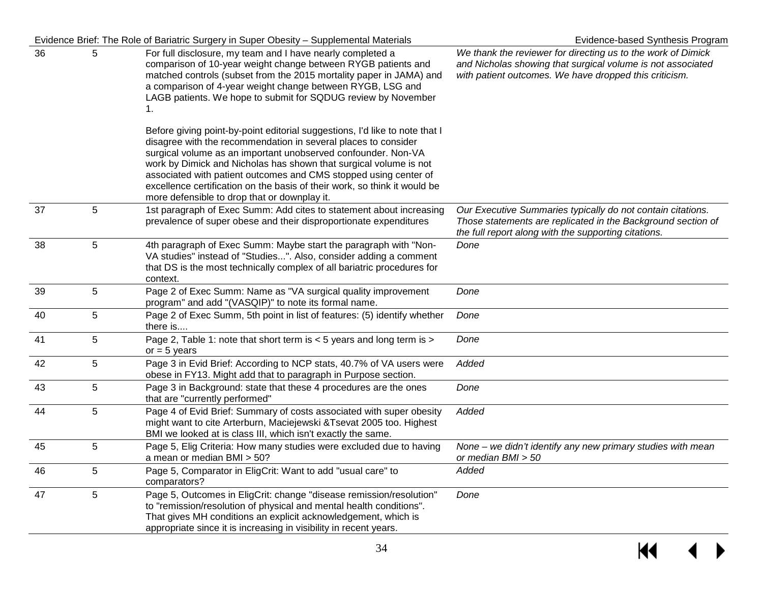|    |            | Evidence Brief: The Role of Bariatric Surgery in Super Obesity - Supplemental Materials                                                                                                                                                                                                                                                                                                                                                                                              | Evidence-based Synthesis Program                                                                                                                                                      |
|----|------------|--------------------------------------------------------------------------------------------------------------------------------------------------------------------------------------------------------------------------------------------------------------------------------------------------------------------------------------------------------------------------------------------------------------------------------------------------------------------------------------|---------------------------------------------------------------------------------------------------------------------------------------------------------------------------------------|
| 36 | 5          | For full disclosure, my team and I have nearly completed a<br>comparison of 10-year weight change between RYGB patients and<br>matched controls (subset from the 2015 mortality paper in JAMA) and<br>a comparison of 4-year weight change between RYGB, LSG and<br>LAGB patients. We hope to submit for SQDUG review by November<br>1.                                                                                                                                              | We thank the reviewer for directing us to the work of Dimick<br>and Nicholas showing that surgical volume is not associated<br>with patient outcomes. We have dropped this criticism. |
|    |            | Before giving point-by-point editorial suggestions, I'd like to note that I<br>disagree with the recommendation in several places to consider<br>surgical volume as an important unobserved confounder. Non-VA<br>work by Dimick and Nicholas has shown that surgical volume is not<br>associated with patient outcomes and CMS stopped using center of<br>excellence certification on the basis of their work, so think it would be<br>more defensible to drop that or downplay it. |                                                                                                                                                                                       |
| 37 | 5          | 1st paragraph of Exec Summ: Add cites to statement about increasing<br>prevalence of super obese and their disproportionate expenditures                                                                                                                                                                                                                                                                                                                                             | Our Executive Summaries typically do not contain citations.<br>Those statements are replicated in the Background section of<br>the full report along with the supporting citations.   |
| 38 | $\sqrt{5}$ | 4th paragraph of Exec Summ: Maybe start the paragraph with "Non-<br>VA studies" instead of "Studies". Also, consider adding a comment<br>that DS is the most technically complex of all bariatric procedures for<br>context.                                                                                                                                                                                                                                                         | Done                                                                                                                                                                                  |
| 39 | 5          | Page 2 of Exec Summ: Name as "VA surgical quality improvement<br>program" and add "(VASQIP)" to note its formal name.                                                                                                                                                                                                                                                                                                                                                                | Done                                                                                                                                                                                  |
| 40 | 5          | Page 2 of Exec Summ, 5th point in list of features: (5) identify whether<br>there is                                                                                                                                                                                                                                                                                                                                                                                                 | Done                                                                                                                                                                                  |
| 41 | 5          | Page 2, Table 1: note that short term is < 5 years and long term is ><br>or $= 5$ years                                                                                                                                                                                                                                                                                                                                                                                              | Done                                                                                                                                                                                  |
| 42 | 5          | Page 3 in Evid Brief: According to NCP stats, 40.7% of VA users were<br>obese in FY13. Might add that to paragraph in Purpose section.                                                                                                                                                                                                                                                                                                                                               | Added                                                                                                                                                                                 |
| 43 | 5          | Page 3 in Background: state that these 4 procedures are the ones<br>that are "currently performed"                                                                                                                                                                                                                                                                                                                                                                                   | Done                                                                                                                                                                                  |
| 44 | 5          | Page 4 of Evid Brief: Summary of costs associated with super obesity<br>might want to cite Arterburn, Maciejewski & Tsevat 2005 too. Highest<br>BMI we looked at is class III, which isn't exactly the same.                                                                                                                                                                                                                                                                         | Added                                                                                                                                                                                 |
| 45 | 5          | Page 5, Elig Criteria: How many studies were excluded due to having<br>a mean or median BMI > 50?                                                                                                                                                                                                                                                                                                                                                                                    | None – we didn't identify any new primary studies with mean<br>or median BMI > 50                                                                                                     |
| 46 | 5          | Page 5, Comparator in EligCrit: Want to add "usual care" to<br>comparators?                                                                                                                                                                                                                                                                                                                                                                                                          | Added                                                                                                                                                                                 |
| 47 | 5          | Page 5, Outcomes in EligCrit: change "disease remission/resolution"<br>to "remission/resolution of physical and mental health conditions".<br>That gives MH conditions an explicit acknowledgement, which is<br>appropriate since it is increasing in visibility in recent years.                                                                                                                                                                                                    | Done                                                                                                                                                                                  |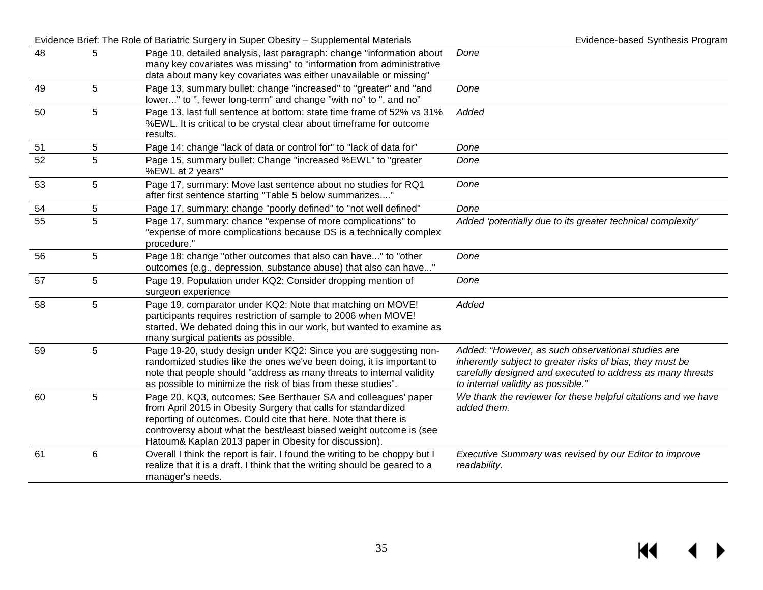|    |   | Evidence Brief: The Role of Bariatric Surgery in Super Obesity - Supplemental Materials                                                                                                                                                                                                                                             | Evidence-based Synthesis Program                                                                                                                                                                                    |
|----|---|-------------------------------------------------------------------------------------------------------------------------------------------------------------------------------------------------------------------------------------------------------------------------------------------------------------------------------------|---------------------------------------------------------------------------------------------------------------------------------------------------------------------------------------------------------------------|
| 48 | 5 | Page 10, detailed analysis, last paragraph: change "information about<br>many key covariates was missing" to "information from administrative<br>data about many key covariates was either unavailable or missing"                                                                                                                  | Done                                                                                                                                                                                                                |
| 49 | 5 | Page 13, summary bullet: change "increased" to "greater" and "and<br>lower" to ", fewer long-term" and change "with no" to ", and no"                                                                                                                                                                                               | Done                                                                                                                                                                                                                |
| 50 | 5 | Page 13, last full sentence at bottom: state time frame of 52% vs 31%<br>%EWL. It is critical to be crystal clear about timeframe for outcome<br>results.                                                                                                                                                                           | Added                                                                                                                                                                                                               |
| 51 | 5 | Page 14: change "lack of data or control for" to "lack of data for"                                                                                                                                                                                                                                                                 | Done                                                                                                                                                                                                                |
| 52 | 5 | Page 15, summary bullet: Change "increased %EWL" to "greater<br>%EWL at 2 years"                                                                                                                                                                                                                                                    | Done                                                                                                                                                                                                                |
| 53 | 5 | Page 17, summary: Move last sentence about no studies for RQ1<br>after first sentence starting "Table 5 below summarizes"                                                                                                                                                                                                           | Done                                                                                                                                                                                                                |
| 54 | 5 | Page 17, summary: change "poorly defined" to "not well defined"                                                                                                                                                                                                                                                                     | Done                                                                                                                                                                                                                |
| 55 | 5 | Page 17, summary: chance "expense of more complications" to<br>"expense of more complications because DS is a technically complex<br>procedure."                                                                                                                                                                                    | Added 'potentially due to its greater technical complexity'                                                                                                                                                         |
| 56 | 5 | Page 18: change "other outcomes that also can have" to "other<br>outcomes (e.g., depression, substance abuse) that also can have"                                                                                                                                                                                                   | Done                                                                                                                                                                                                                |
| 57 | 5 | Page 19, Population under KQ2: Consider dropping mention of<br>surgeon experience                                                                                                                                                                                                                                                   | Done                                                                                                                                                                                                                |
| 58 | 5 | Page 19, comparator under KQ2: Note that matching on MOVE!<br>participants requires restriction of sample to 2006 when MOVE!<br>started. We debated doing this in our work, but wanted to examine as<br>many surgical patients as possible.                                                                                         | Added                                                                                                                                                                                                               |
| 59 | 5 | Page 19-20, study design under KQ2: Since you are suggesting non-<br>randomized studies like the ones we've been doing, it is important to<br>note that people should "address as many threats to internal validity<br>as possible to minimize the risk of bias from these studies".                                                | Added: "However, as such observational studies are<br>inherently subject to greater risks of bias, they must be<br>carefully designed and executed to address as many threats<br>to internal validity as possible." |
| 60 | 5 | Page 20, KQ3, outcomes: See Berthauer SA and colleagues' paper<br>from April 2015 in Obesity Surgery that calls for standardized<br>reporting of outcomes. Could cite that here. Note that there is<br>controversy about what the best/least biased weight outcome is (see<br>Hatoum& Kaplan 2013 paper in Obesity for discussion). | We thank the reviewer for these helpful citations and we have<br>added them.                                                                                                                                        |
| 61 | 6 | Overall I think the report is fair. I found the writing to be choppy but I<br>realize that it is a draft. I think that the writing should be geared to a<br>manager's needs.                                                                                                                                                        | Executive Summary was revised by our Editor to improve<br>readability.                                                                                                                                              |

 $M \rightarrow$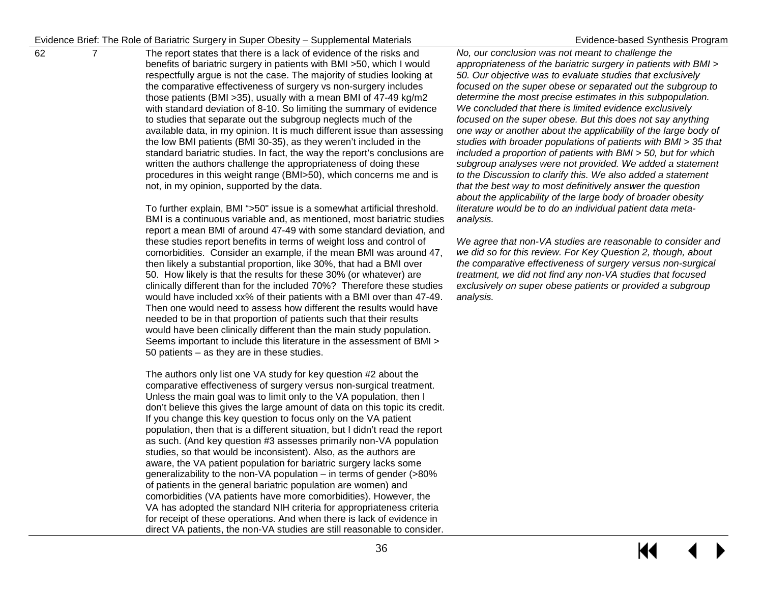62 7 The report states that there is a lack of evidence of the risks and benefits of bariatric surgery in patients with BMI >50, which I would respectfully argue is not the case. The majority of studies looking at the comparative effectiveness of surgery vs non-surgery includes those patients (BMI >35), usually with a mean BMI of 47-49 kg/m2 with standard deviation of 8-10. So limiting the summary of evidence to studies that separate out the subgroup neglects much of the available data, in my opinion. It is much different issue than assessing the low BMI patients (BMI 30-35), as they weren't included in the standard bariatric studies. In fact, the way the report's conclusions are written the authors challenge the appropriateness of doing these procedures in this weight range (BMI>50), which concerns me and is not, in my opinion, supported by the data.

> To further explain, BMI ">50" issue is a somewhat artificial threshold. BMI is a continuous variable and, as mentioned, most bariatric studies report a mean BMI of around 47-49 with some standard deviation, and these studies report benefits in terms of weight loss and control of comorbidities. Consider an example, if the mean BMI was around 47, then likely a substantial proportion, like 30%, that had a BMI over 50. How likely is that the results for these 30% (or whatever) are clinically different than for the included 70%? Therefore these studies would have included xx% of their patients with a BMI over than 47-49. Then one would need to assess how different the results would have needed to be in that proportion of patients such that their results would have been clinically different than the main study population. Seems important to include this literature in the assessment of BMI > 50 patients – as they are in these studies.

> The authors only list one VA study for key question #2 about the comparative effectiveness of surgery versus non-surgical treatment. Unless the main goal was to limit only to the VA population, then I don't believe this gives the large amount of data on this topic its credit. If you change this key question to focus only on the VA patient population, then that is a different situation, but I didn't read the report as such. (And key question #3 assesses primarily non-VA population studies, so that would be inconsistent). Also, as the authors are aware, the VA patient population for bariatric surgery lacks some generalizability to the non-VA population – in terms of gender (>80% of patients in the general bariatric population are women) and comorbidities (VA patients have more comorbidities). However, the VA has adopted the standard NIH criteria for appropriateness criteria for receipt of these operations. And when there is lack of evidence in direct VA patients, the non-VA studies are still reasonable to consider.

*No, our conclusion was not meant to challenge the appropriateness of the bariatric surgery in patients with BMI > 50. Our objective was to evaluate studies that exclusively focused on the super obese or separated out the subgroup to determine the most precise estimates in this subpopulation. We concluded that there is limited evidence exclusively focused on the super obese. But this does not say anything one way or another about the applicability of the large body of studies with broader populations of patients with BMI > 35 that included a proportion of patients with BMI > 50, but for which subgroup analyses were not provided. We added a statement to the Discussion to clarify this. We also added a statement that the best way to most definitively answer the question about the applicability of the large body of broader obesity literature would be to do an individual patient data metaanalysis.* 

*We agree that non-VA studies are reasonable to consider and we did so for this review. For Key Question 2, though, about the comparative effectiveness of surgery versus non-surgical treatment, we did not find any non-VA studies that focused exclusively on super obese patients or provided a subgroup analysis.*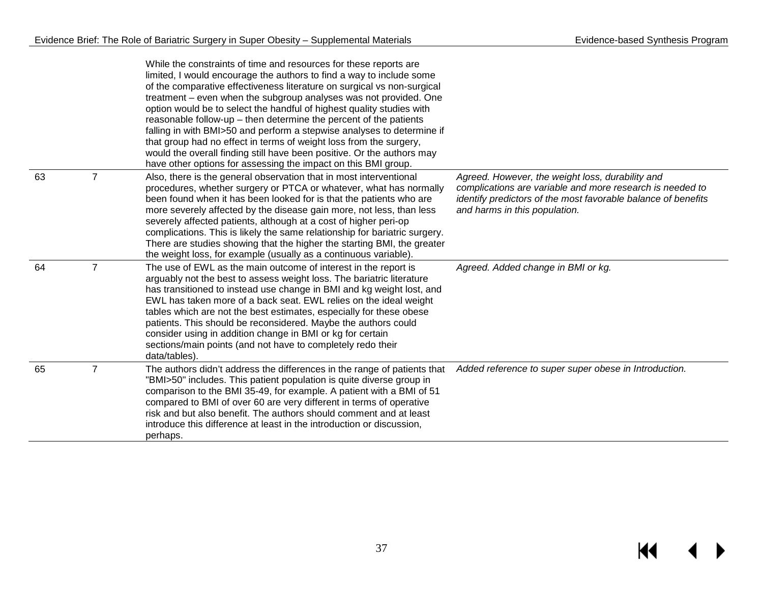|    |                | While the constraints of time and resources for these reports are<br>limited, I would encourage the authors to find a way to include some<br>of the comparative effectiveness literature on surgical vs non-surgical<br>treatment - even when the subgroup analyses was not provided. One<br>option would be to select the handful of highest quality studies with<br>reasonable follow-up $-$ then determine the percent of the patients<br>falling in with BMI>50 and perform a stepwise analyses to determine if<br>that group had no effect in terms of weight loss from the surgery,<br>would the overall finding still have been positive. Or the authors may<br>have other options for assessing the impact on this BMI group. |                                                                                                                                                                                                                 |
|----|----------------|---------------------------------------------------------------------------------------------------------------------------------------------------------------------------------------------------------------------------------------------------------------------------------------------------------------------------------------------------------------------------------------------------------------------------------------------------------------------------------------------------------------------------------------------------------------------------------------------------------------------------------------------------------------------------------------------------------------------------------------|-----------------------------------------------------------------------------------------------------------------------------------------------------------------------------------------------------------------|
| 63 | $\overline{7}$ | Also, there is the general observation that in most interventional<br>procedures, whether surgery or PTCA or whatever, what has normally<br>been found when it has been looked for is that the patients who are<br>more severely affected by the disease gain more, not less, than less<br>severely affected patients, although at a cost of higher peri-op<br>complications. This is likely the same relationship for bariatric surgery.<br>There are studies showing that the higher the starting BMI, the greater<br>the weight loss, for example (usually as a continuous variable).                                                                                                                                              | Agreed. However, the weight loss, durability and<br>complications are variable and more research is needed to<br>identify predictors of the most favorable balance of benefits<br>and harms in this population. |
| 64 | $\overline{7}$ | The use of EWL as the main outcome of interest in the report is<br>arguably not the best to assess weight loss. The bariatric literature<br>has transitioned to instead use change in BMI and kg weight lost, and<br>EWL has taken more of a back seat. EWL relies on the ideal weight<br>tables which are not the best estimates, especially for these obese<br>patients. This should be reconsidered. Maybe the authors could<br>consider using in addition change in BMI or kg for certain<br>sections/main points (and not have to completely redo their<br>data/tables)                                                                                                                                                          | Agreed. Added change in BMI or kg.                                                                                                                                                                              |
| 65 | $\overline{7}$ | The authors didn't address the differences in the range of patients that<br>"BMI>50" includes. This patient population is quite diverse group in<br>comparison to the BMI 35-49, for example. A patient with a BMI of 51<br>compared to BMI of over 60 are very different in terms of operative<br>risk and but also benefit. The authors should comment and at least<br>introduce this difference at least in the introduction or discussion,<br>perhaps.                                                                                                                                                                                                                                                                            | Added reference to super super obese in Introduction.                                                                                                                                                           |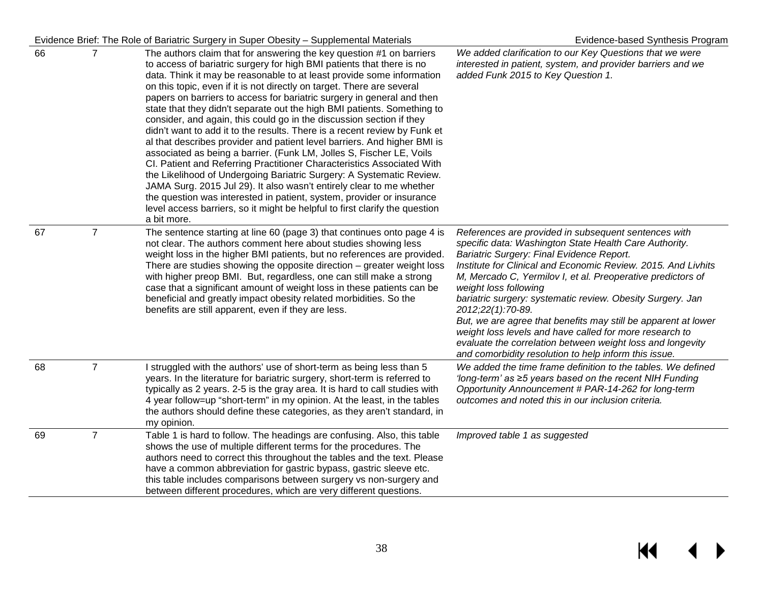#### Evidence Brief: The Role of Bariatric Surgery in Super Obesity – Supplemental Materials Evidence-based Synthesis Program

| 66 | $\overline{7}$ | The authors claim that for answering the key question #1 on barriers<br>to access of bariatric surgery for high BMI patients that there is no<br>data. Think it may be reasonable to at least provide some information<br>on this topic, even if it is not directly on target. There are several<br>papers on barriers to access for bariatric surgery in general and then<br>state that they didn't separate out the high BMI patients. Something to<br>consider, and again, this could go in the discussion section if they<br>didn't want to add it to the results. There is a recent review by Funk et<br>al that describes provider and patient level barriers. And higher BMI is<br>associated as being a barrier. (Funk LM, Jolles S, Fischer LE, Voils<br>CI. Patient and Referring Practitioner Characteristics Associated With<br>the Likelihood of Undergoing Bariatric Surgery: A Systematic Review.<br>JAMA Surg. 2015 Jul 29). It also wasn't entirely clear to me whether<br>the question was interested in patient, system, provider or insurance<br>level access barriers, so it might be helpful to first clarify the question<br>a bit more. | We added clarification to our Key Questions that we were<br>interested in patient, system, and provider barriers and we<br>added Funk 2015 to Key Question 1.                                                                                                                                                                                                                                                                                                                                                                                                                                                                                               |
|----|----------------|-----------------------------------------------------------------------------------------------------------------------------------------------------------------------------------------------------------------------------------------------------------------------------------------------------------------------------------------------------------------------------------------------------------------------------------------------------------------------------------------------------------------------------------------------------------------------------------------------------------------------------------------------------------------------------------------------------------------------------------------------------------------------------------------------------------------------------------------------------------------------------------------------------------------------------------------------------------------------------------------------------------------------------------------------------------------------------------------------------------------------------------------------------------------|-------------------------------------------------------------------------------------------------------------------------------------------------------------------------------------------------------------------------------------------------------------------------------------------------------------------------------------------------------------------------------------------------------------------------------------------------------------------------------------------------------------------------------------------------------------------------------------------------------------------------------------------------------------|
| 67 | $\overline{7}$ | The sentence starting at line 60 (page 3) that continues onto page 4 is<br>not clear. The authors comment here about studies showing less<br>weight loss in the higher BMI patients, but no references are provided.<br>There are studies showing the opposite direction - greater weight loss<br>with higher preop BMI. But, regardless, one can still make a strong<br>case that a significant amount of weight loss in these patients can be<br>beneficial and greatly impact obesity related morbidities. So the<br>benefits are still apparent, even if they are less.                                                                                                                                                                                                                                                                                                                                                                                                                                                                                                                                                                                     | References are provided in subsequent sentences with<br>specific data: Washington State Health Care Authority.<br>Bariatric Surgery: Final Evidence Report.<br>Institute for Clinical and Economic Review. 2015. And Livhits<br>M, Mercado C, Yermilov I, et al. Preoperative predictors of<br>weight loss following<br>bariatric surgery: systematic review. Obesity Surgery. Jan<br>2012;22(1):70-89.<br>But, we are agree that benefits may still be apparent at lower<br>weight loss levels and have called for more research to<br>evaluate the correlation between weight loss and longevity<br>and comorbidity resolution to help inform this issue. |
| 68 | $\overline{7}$ | I struggled with the authors' use of short-term as being less than 5<br>years. In the literature for bariatric surgery, short-term is referred to<br>typically as 2 years. 2-5 is the gray area. It is hard to call studies with<br>4 year follow=up "short-term" in my opinion. At the least, in the tables<br>the authors should define these categories, as they aren't standard, in<br>my opinion.                                                                                                                                                                                                                                                                                                                                                                                                                                                                                                                                                                                                                                                                                                                                                          | We added the time frame definition to the tables. We defined<br>'long-term' as ≥5 years based on the recent NIH Funding<br>Opportunity Announcement # PAR-14-262 for long-term<br>outcomes and noted this in our inclusion criteria.                                                                                                                                                                                                                                                                                                                                                                                                                        |
| 69 | $\overline{7}$ | Table 1 is hard to follow. The headings are confusing. Also, this table<br>shows the use of multiple different terms for the procedures. The<br>authors need to correct this throughout the tables and the text. Please<br>have a common abbreviation for gastric bypass, gastric sleeve etc.<br>this table includes comparisons between surgery vs non-surgery and<br>between different procedures, which are very different questions.                                                                                                                                                                                                                                                                                                                                                                                                                                                                                                                                                                                                                                                                                                                        | Improved table 1 as suggested                                                                                                                                                                                                                                                                                                                                                                                                                                                                                                                                                                                                                               |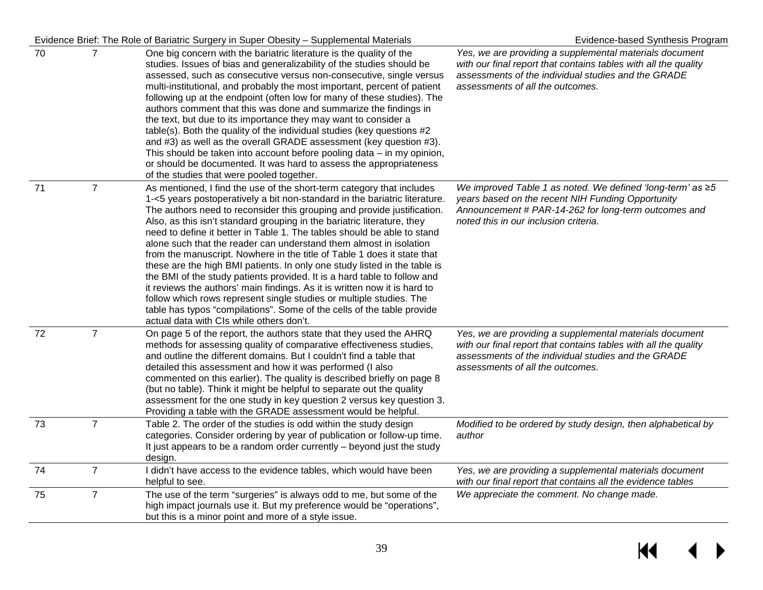#### Evidence Brief: The Role of Bariatric Surgery in Super Obesity – Supplemental Materials Evidence-based Synthesis Program 70 7 One big concern with the bariatric literature is the quality of the studies. Issues of bias and generalizability of the studies should be assessed, such as consecutive versus non-consecutive, single versus multi-institutional, and probably the most important, percent of patient following up at the endpoint (often low for many of these studies). The authors comment that this was done and summarize the findings in the text, but due to its importance they may want to consider a table(s). Both the quality of the individual studies (key questions #2 and #3) as well as the overall GRADE assessment (key question #3). This should be taken into account before pooling data – in my opinion, or should be documented. It was hard to assess the appropriateness of the studies that were pooled together. *Yes, we are providing a supplemental materials document with our final report that contains tables with all the quality assessments of the individual studies and the GRADE assessments of all the outcomes.*  71 7 As mentioned, I find the use of the short-term category that includes 1-<5 years postoperatively a bit non-standard in the bariatric literature. The authors need to reconsider this grouping and provide justification. Also, as this isn't standard grouping in the bariatric literature, they need to define it better in Table 1. The tables should be able to stand alone such that the reader can understand them almost in isolation from the manuscript. Nowhere in the title of Table 1 does it state that these are the high BMI patients. In only one study listed in the table is the BMI of the study patients provided. It is a hard table to follow and it reviews the authors' main findings. As it is written now it is hard to follow which rows represent single studies or multiple studies. The table has typos "compilations". Some of the cells of the table provide actual data with CIs while others don't. *We improved Table 1 as noted. We defined 'long-term' as ≥5 years based on the recent NIH Funding Opportunity Announcement # PAR-14-262 for long-term outcomes and noted this in our inclusion criteria.*  72 7 On page 5 of the report, the authors state that they used the AHRQ methods for assessing quality of comparative effectiveness studies, and outline the different domains. But I couldn't find a table that detailed this assessment and how it was performed (I also commented on this earlier). The quality is described briefly on page 8 (but no table). Think it might be helpful to separate out the quality assessment for the one study in key question 2 versus key question 3. Providing a table with the GRADE assessment would be helpful. *Yes, we are providing a supplemental materials document with our final report that contains tables with all the quality assessments of the individual studies and the GRADE assessments of all the outcomes.*  73 7 Table 2. The order of the studies is odd within the study design categories. Consider ordering by year of publication or follow-up time. It just appears to be a random order currently – beyond just the study design. *Modified to be ordered by study design, then alphabetical by author* 74 7 I didn't have access to the evidence tables, which would have been helpful to see. *Yes, we are providing a supplemental materials document with our final report that contains all the evidence tables*  75 7 The use of the term "surgeries" is always odd to me, but some of the high impact journals use it. But my preference would be "operations", but this is a minor point and more of a style issue. *We appreciate the comment. No change made.*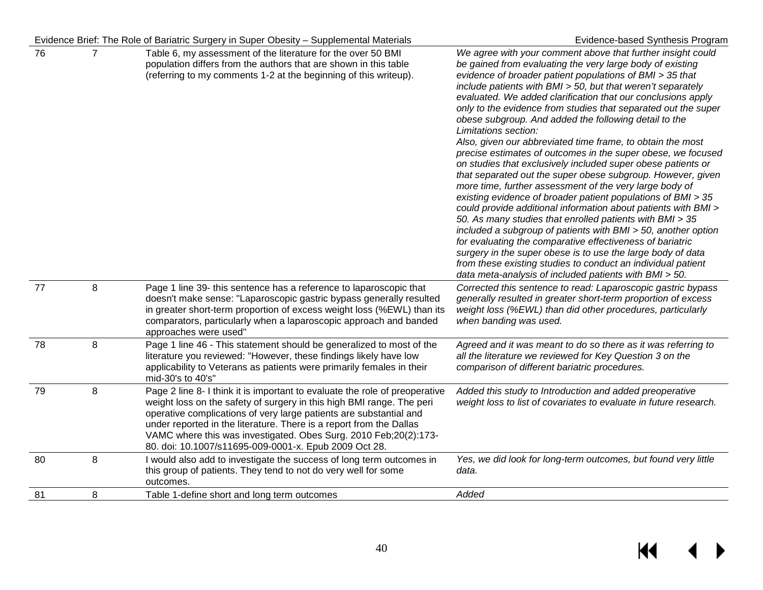|    |         | Evidence Brief: The Role of Bariatric Surgery in Super Obesity - Supplemental Materials                                                                                                                                                                                                                                                                                                                                         | Evidence-based Synthesis Program                                                                                                                                                                                                                                                                                                                                                                                                                                                                                                                                                                                                                                                                                                                                                                                                                                                                                                                                                                                                                                                                                                                                                                                                                                                                                    |
|----|---------|---------------------------------------------------------------------------------------------------------------------------------------------------------------------------------------------------------------------------------------------------------------------------------------------------------------------------------------------------------------------------------------------------------------------------------|---------------------------------------------------------------------------------------------------------------------------------------------------------------------------------------------------------------------------------------------------------------------------------------------------------------------------------------------------------------------------------------------------------------------------------------------------------------------------------------------------------------------------------------------------------------------------------------------------------------------------------------------------------------------------------------------------------------------------------------------------------------------------------------------------------------------------------------------------------------------------------------------------------------------------------------------------------------------------------------------------------------------------------------------------------------------------------------------------------------------------------------------------------------------------------------------------------------------------------------------------------------------------------------------------------------------|
| 76 | 7       | Table 6, my assessment of the literature for the over 50 BMI<br>population differs from the authors that are shown in this table<br>(referring to my comments 1-2 at the beginning of this writeup).                                                                                                                                                                                                                            | We agree with your comment above that further insight could<br>be gained from evaluating the very large body of existing<br>evidence of broader patient populations of BMI > 35 that<br>include patients with BMI > 50, but that weren't separately<br>evaluated. We added clarification that our conclusions apply<br>only to the evidence from studies that separated out the super<br>obese subgroup. And added the following detail to the<br>Limitations section:<br>Also, given our abbreviated time frame, to obtain the most<br>precise estimates of outcomes in the super obese, we focused<br>on studies that exclusively included super obese patients or<br>that separated out the super obese subgroup. However, given<br>more time, further assessment of the very large body of<br>existing evidence of broader patient populations of BMI > 35<br>could provide additional information about patients with BMI ><br>50. As many studies that enrolled patients with BMI > 35<br>included a subgroup of patients with BMI > 50, another option<br>for evaluating the comparative effectiveness of bariatric<br>surgery in the super obese is to use the large body of data<br>from these existing studies to conduct an individual patient<br>data meta-analysis of included patients with BMI > 50. |
| 77 | 8       | Page 1 line 39- this sentence has a reference to laparoscopic that<br>doesn't make sense: "Laparoscopic gastric bypass generally resulted<br>in greater short-term proportion of excess weight loss (%EWL) than its<br>comparators, particularly when a laparoscopic approach and banded<br>approaches were used"                                                                                                               | Corrected this sentence to read: Laparoscopic gastric bypass<br>generally resulted in greater short-term proportion of excess<br>weight loss (%EWL) than did other procedures, particularly<br>when banding was used.                                                                                                                                                                                                                                                                                                                                                                                                                                                                                                                                                                                                                                                                                                                                                                                                                                                                                                                                                                                                                                                                                               |
| 78 | $\,8\,$ | Page 1 line 46 - This statement should be generalized to most of the<br>literature you reviewed: "However, these findings likely have low<br>applicability to Veterans as patients were primarily females in their<br>mid-30's to 40's"                                                                                                                                                                                         | Agreed and it was meant to do so there as it was referring to<br>all the literature we reviewed for Key Question 3 on the<br>comparison of different bariatric procedures.                                                                                                                                                                                                                                                                                                                                                                                                                                                                                                                                                                                                                                                                                                                                                                                                                                                                                                                                                                                                                                                                                                                                          |
| 79 | 8       | Page 2 line 8- I think it is important to evaluate the role of preoperative<br>weight loss on the safety of surgery in this high BMI range. The peri<br>operative complications of very large patients are substantial and<br>under reported in the literature. There is a report from the Dallas<br>VAMC where this was investigated. Obes Surg. 2010 Feb; 20(2):173-<br>80. doi: 10.1007/s11695-009-0001-x. Epub 2009 Oct 28. | Added this study to Introduction and added preoperative<br>weight loss to list of covariates to evaluate in future research.                                                                                                                                                                                                                                                                                                                                                                                                                                                                                                                                                                                                                                                                                                                                                                                                                                                                                                                                                                                                                                                                                                                                                                                        |
| 80 | 8       | I would also add to investigate the success of long term outcomes in<br>this group of patients. They tend to not do very well for some<br>outcomes.                                                                                                                                                                                                                                                                             | Yes, we did look for long-term outcomes, but found very little<br>data.                                                                                                                                                                                                                                                                                                                                                                                                                                                                                                                                                                                                                                                                                                                                                                                                                                                                                                                                                                                                                                                                                                                                                                                                                                             |
| 81 | 8       | Table 1-define short and long term outcomes                                                                                                                                                                                                                                                                                                                                                                                     | Added                                                                                                                                                                                                                                                                                                                                                                                                                                                                                                                                                                                                                                                                                                                                                                                                                                                                                                                                                                                                                                                                                                                                                                                                                                                                                                               |
|    |         |                                                                                                                                                                                                                                                                                                                                                                                                                                 |                                                                                                                                                                                                                                                                                                                                                                                                                                                                                                                                                                                                                                                                                                                                                                                                                                                                                                                                                                                                                                                                                                                                                                                                                                                                                                                     |

 $M \rightarrow$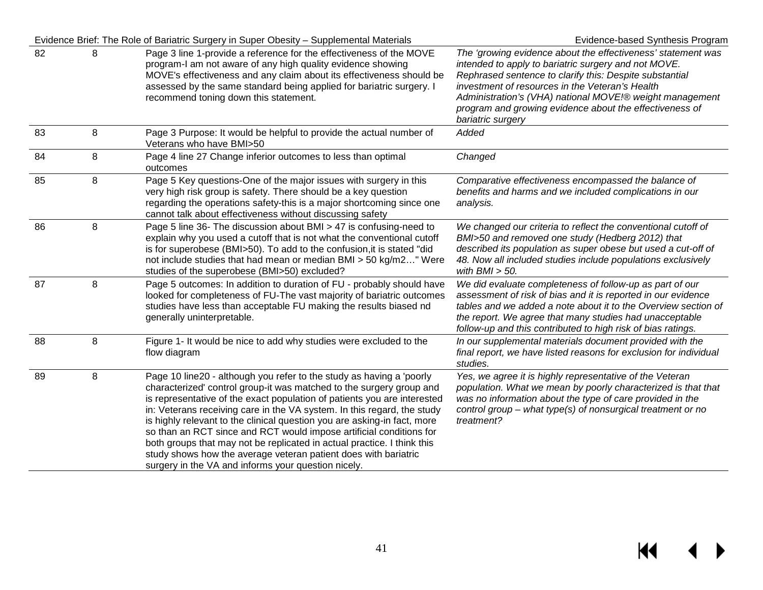|    |         | Evidence Brief: The Role of Bariatric Surgery in Super Obesity - Supplemental Materials                                                                                                                                                                                                                                                                                                                                                                                                                                                                                                                                                                     | Evidence-based Synthesis Program                                                                                                                                                                                                                                                                                                                                               |
|----|---------|-------------------------------------------------------------------------------------------------------------------------------------------------------------------------------------------------------------------------------------------------------------------------------------------------------------------------------------------------------------------------------------------------------------------------------------------------------------------------------------------------------------------------------------------------------------------------------------------------------------------------------------------------------------|--------------------------------------------------------------------------------------------------------------------------------------------------------------------------------------------------------------------------------------------------------------------------------------------------------------------------------------------------------------------------------|
| 82 | 8       | Page 3 line 1-provide a reference for the effectiveness of the MOVE<br>program-I am not aware of any high quality evidence showing<br>MOVE's effectiveness and any claim about its effectiveness should be<br>assessed by the same standard being applied for bariatric surgery. I<br>recommend toning down this statement.                                                                                                                                                                                                                                                                                                                                 | The 'growing evidence about the effectiveness' statement was<br>intended to apply to bariatric surgery and not MOVE.<br>Rephrased sentence to clarify this: Despite substantial<br>investment of resources in the Veteran's Health<br>Administration's (VHA) national MOVE!® weight management<br>program and growing evidence about the effectiveness of<br>bariatric surgery |
| 83 | 8       | Page 3 Purpose: It would be helpful to provide the actual number of<br>Veterans who have BMI>50                                                                                                                                                                                                                                                                                                                                                                                                                                                                                                                                                             | Added                                                                                                                                                                                                                                                                                                                                                                          |
| 84 | 8       | Page 4 line 27 Change inferior outcomes to less than optimal<br>outcomes                                                                                                                                                                                                                                                                                                                                                                                                                                                                                                                                                                                    | Changed                                                                                                                                                                                                                                                                                                                                                                        |
| 85 | $\,8\,$ | Page 5 Key questions-One of the major issues with surgery in this<br>very high risk group is safety. There should be a key question<br>regarding the operations safety-this is a major shortcoming since one<br>cannot talk about effectiveness without discussing safety                                                                                                                                                                                                                                                                                                                                                                                   | Comparative effectiveness encompassed the balance of<br>benefits and harms and we included complications in our<br>analysis.                                                                                                                                                                                                                                                   |
| 86 | 8       | Page 5 line 36- The discussion about BMI > 47 is confusing-need to<br>explain why you used a cutoff that is not what the conventional cutoff<br>is for superobese (BMI>50). To add to the confusion, it is stated "did<br>not include studies that had mean or median BMI > 50 kg/m2" Were<br>studies of the superobese (BMI>50) excluded?                                                                                                                                                                                                                                                                                                                  | We changed our criteria to reflect the conventional cutoff of<br>BMI>50 and removed one study (Hedberg 2012) that<br>described its population as super obese but used a cut-off of<br>48. Now all included studies include populations exclusively<br>with $BMI > 50$ .                                                                                                        |
| 87 | 8       | Page 5 outcomes: In addition to duration of FU - probably should have<br>looked for completeness of FU-The vast majority of bariatric outcomes<br>studies have less than acceptable FU making the results biased nd<br>generally uninterpretable.                                                                                                                                                                                                                                                                                                                                                                                                           | We did evaluate completeness of follow-up as part of our<br>assessment of risk of bias and it is reported in our evidence<br>tables and we added a note about it to the Overview section of<br>the report. We agree that many studies had unacceptable<br>follow-up and this contributed to high risk of bias ratings.                                                         |
| 88 | 8       | Figure 1- It would be nice to add why studies were excluded to the<br>flow diagram                                                                                                                                                                                                                                                                                                                                                                                                                                                                                                                                                                          | In our supplemental materials document provided with the<br>final report, we have listed reasons for exclusion for individual<br>studies.                                                                                                                                                                                                                                      |
| 89 | 8       | Page 10 line20 - although you refer to the study as having a 'poorly<br>characterized' control group-it was matched to the surgery group and<br>is representative of the exact population of patients you are interested<br>in: Veterans receiving care in the VA system. In this regard, the study<br>is highly relevant to the clinical question you are asking-in fact, more<br>so than an RCT since and RCT would impose artificial conditions for<br>both groups that may not be replicated in actual practice. I think this<br>study shows how the average veteran patient does with bariatric<br>surgery in the VA and informs your question nicely. | Yes, we agree it is highly representative of the Veteran<br>population. What we mean by poorly characterized is that that<br>was no information about the type of care provided in the<br>control group - what type(s) of nonsurgical treatment or no<br>treatment?                                                                                                            |

 $M \leftarrow \leftarrow$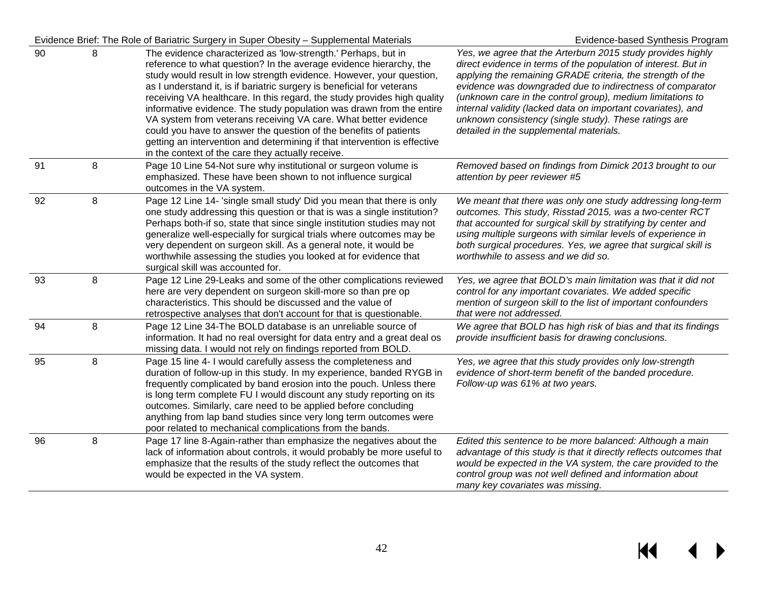#### Evidence Brief: The Role of Bariatric Surgery in Super Obesity – Supplemental Materials Evidence-based Synthesis Program

| 90 | 8       | The evidence characterized as 'low-strength.' Perhaps, but in<br>reference to what question? In the average evidence hierarchy, the<br>study would result in low strength evidence. However, your question,<br>as I understand it, is if bariatric surgery is beneficial for veterans<br>receiving VA healthcare. In this regard, the study provides high quality<br>informative evidence. The study population was drawn from the entire<br>VA system from veterans receiving VA care. What better evidence<br>could you have to answer the question of the benefits of patients<br>getting an intervention and determining if that intervention is effective<br>in the context of the care they actually receive. | Yes, we agree that the Arterburn 2015 study provides highly<br>direct evidence in terms of the population of interest. But in<br>applying the remaining GRADE criteria, the strength of the<br>evidence was downgraded due to indirectness of comparator<br>(unknown care in the control group), medium limitations to<br>internal validity (lacked data on important covariates), and<br>unknown consistency (single study). These ratings are<br>detailed in the supplemental materials. |
|----|---------|---------------------------------------------------------------------------------------------------------------------------------------------------------------------------------------------------------------------------------------------------------------------------------------------------------------------------------------------------------------------------------------------------------------------------------------------------------------------------------------------------------------------------------------------------------------------------------------------------------------------------------------------------------------------------------------------------------------------|--------------------------------------------------------------------------------------------------------------------------------------------------------------------------------------------------------------------------------------------------------------------------------------------------------------------------------------------------------------------------------------------------------------------------------------------------------------------------------------------|
| 91 | $\,8\,$ | Page 10 Line 54-Not sure why institutional or surgeon volume is<br>emphasized. These have been shown to not influence surgical<br>outcomes in the VA system.                                                                                                                                                                                                                                                                                                                                                                                                                                                                                                                                                        | Removed based on findings from Dimick 2013 brought to our<br>attention by peer reviewer #5                                                                                                                                                                                                                                                                                                                                                                                                 |
| 92 | 8       | Page 12 Line 14- 'single small study' Did you mean that there is only<br>one study addressing this question or that is was a single institution?<br>Perhaps both-if so, state that since single institution studies may not<br>generalize well-especially for surgical trials where outcomes may be<br>very dependent on surgeon skill. As a general note, it would be<br>worthwhile assessing the studies you looked at for evidence that<br>surgical skill was accounted for.                                                                                                                                                                                                                                     | We meant that there was only one study addressing long-term<br>outcomes. This study, Risstad 2015, was a two-center RCT<br>that accounted for surgical skill by stratifying by center and<br>using multiple surgeons with similar levels of experience in<br>both surgical procedures. Yes, we agree that surgical skill is<br>worthwhile to assess and we did so.                                                                                                                         |
| 93 | 8       | Page 12 Line 29-Leaks and some of the other complications reviewed<br>here are very dependent on surgeon skill-more so than pre op<br>characteristics. This should be discussed and the value of<br>retrospective analyses that don't account for that is questionable.                                                                                                                                                                                                                                                                                                                                                                                                                                             | Yes, we agree that BOLD's main limitation was that it did not<br>control for any important covariates. We added specific<br>mention of surgeon skill to the list of important confounders<br>that were not addressed.                                                                                                                                                                                                                                                                      |
| 94 | 8       | Page 12 Line 34-The BOLD database is an unreliable source of<br>information. It had no real oversight for data entry and a great deal os<br>missing data. I would not rely on findings reported from BOLD.                                                                                                                                                                                                                                                                                                                                                                                                                                                                                                          | We agree that BOLD has high risk of bias and that its findings<br>provide insufficient basis for drawing conclusions.                                                                                                                                                                                                                                                                                                                                                                      |
| 95 | 8       | Page 15 line 4- I would carefully assess the completeness and<br>duration of follow-up in this study. In my experience, banded RYGB in<br>frequently complicated by band erosion into the pouch. Unless there<br>is long term complete FU I would discount any study reporting on its<br>outcomes. Similarly, care need to be applied before concluding<br>anything from lap band studies since very long term outcomes were<br>poor related to mechanical complications from the bands.                                                                                                                                                                                                                            | Yes, we agree that this study provides only low-strength<br>evidence of short-term benefit of the banded procedure.<br>Follow-up was 61% at two years.                                                                                                                                                                                                                                                                                                                                     |
| 96 | 8       | Page 17 line 8-Again-rather than emphasize the negatives about the<br>lack of information about controls, it would probably be more useful to<br>emphasize that the results of the study reflect the outcomes that<br>would be expected in the VA system.                                                                                                                                                                                                                                                                                                                                                                                                                                                           | Edited this sentence to be more balanced: Although a main<br>advantage of this study is that it directly reflects outcomes that<br>would be expected in the VA system, the care provided to the<br>control group was not well defined and information about<br>many key covariates was missing.                                                                                                                                                                                            |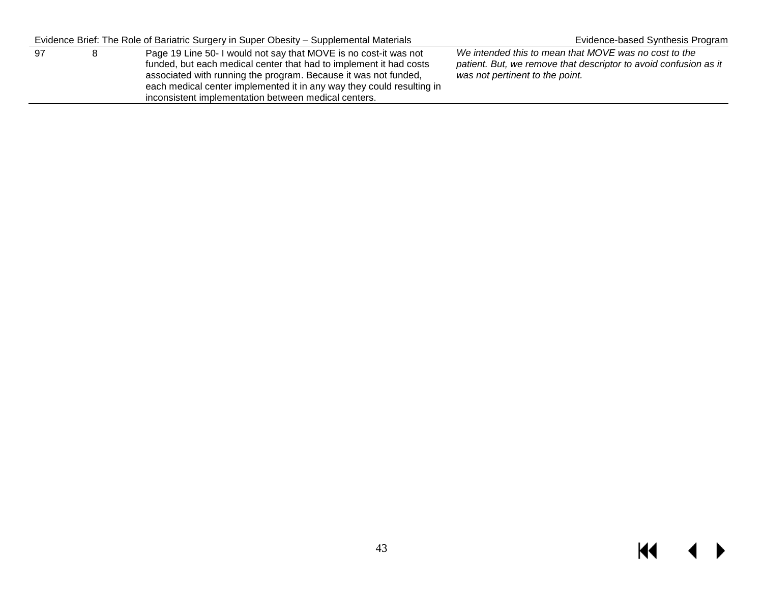|    | Evidence Brief: The Role of Bariatric Surgery in Super Obesity – Supplemental Materials                                                                                                                                                                                                                                                    | Evidence-based Synthesis Program                                                                                                                             |
|----|--------------------------------------------------------------------------------------------------------------------------------------------------------------------------------------------------------------------------------------------------------------------------------------------------------------------------------------------|--------------------------------------------------------------------------------------------------------------------------------------------------------------|
| 97 | Page 19 Line 50- I would not say that MOVE is no cost-it was not<br>funded, but each medical center that had to implement it had costs<br>associated with running the program. Because it was not funded,<br>each medical center implemented it in any way they could resulting in<br>inconsistent implementation between medical centers. | We intended this to mean that MOVE was no cost to the<br>patient. But, we remove that descriptor to avoid confusion as it<br>was not pertinent to the point. |

# $M \leftarrow \leftarrow$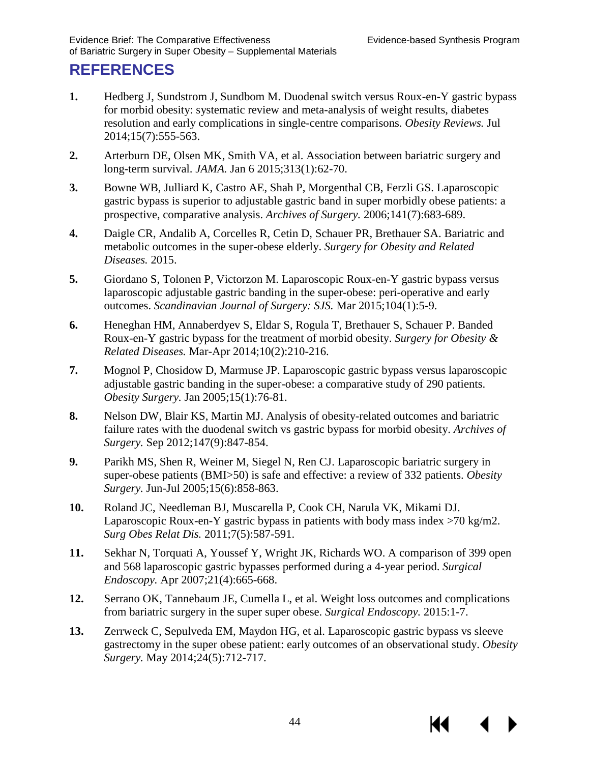К

# <span id="page-45-4"></span><span id="page-45-3"></span><span id="page-45-2"></span><span id="page-45-1"></span><span id="page-45-0"></span>**REFERENCES**

- <span id="page-45-5"></span>**1.** Hedberg J, Sundstrom J, Sundbom M. Duodenal switch versus Roux-en-Y gastric bypass for morbid obesity: systematic review and meta-analysis of weight results, diabetes resolution and early complications in single-centre comparisons. *Obesity Reviews.* Jul 2014;15(7):555-563.
- <span id="page-45-6"></span>**2.** Arterburn DE, Olsen MK, Smith VA, et al. Association between bariatric surgery and long-term survival. *JAMA.* Jan 6 2015;313(1):62-70.
- <span id="page-45-7"></span>**3.** Bowne WB, Julliard K, Castro AE, Shah P, Morgenthal CB, Ferzli GS. Laparoscopic gastric bypass is superior to adjustable gastric band in super morbidly obese patients: a prospective, comparative analysis. *Archives of Surgery.* 2006;141(7):683-689.
- <span id="page-45-8"></span>**4.** Daigle CR, Andalib A, Corcelles R, Cetin D, Schauer PR, Brethauer SA. Bariatric and metabolic outcomes in the super-obese elderly. *Surgery for Obesity and Related Diseases.* 2015.
- <span id="page-45-9"></span>**5.** Giordano S, Tolonen P, Victorzon M. Laparoscopic Roux-en-Y gastric bypass versus laparoscopic adjustable gastric banding in the super-obese: peri-operative and early outcomes. *Scandinavian Journal of Surgery: SJS.* Mar 2015;104(1):5-9.
- <span id="page-45-10"></span>**6.** Heneghan HM, Annaberdyev S, Eldar S, Rogula T, Brethauer S, Schauer P. Banded Roux-en-Y gastric bypass for the treatment of morbid obesity. *Surgery for Obesity & Related Diseases.* Mar-Apr 2014;10(2):210-216.
- <span id="page-45-11"></span>**7.** Mognol P, Chosidow D, Marmuse JP. Laparoscopic gastric bypass versus laparoscopic adjustable gastric banding in the super-obese: a comparative study of 290 patients. *Obesity Surgery.* Jan 2005;15(1):76-81.
- <span id="page-45-12"></span>**8.** Nelson DW, Blair KS, Martin MJ. Analysis of obesity-related outcomes and bariatric failure rates with the duodenal switch vs gastric bypass for morbid obesity. *Archives of Surgery.* Sep 2012;147(9):847-854.
- <span id="page-45-13"></span>**9.** Parikh MS, Shen R, Weiner M, Siegel N, Ren CJ. Laparoscopic bariatric surgery in super-obese patients (BMI>50) is safe and effective: a review of 332 patients. *Obesity Surgery.* Jun-Jul 2005;15(6):858-863.
- **10.** Roland JC, Needleman BJ, Muscarella P, Cook CH, Narula VK, Mikami DJ. Laparoscopic Roux-en-Y gastric bypass in patients with body mass index  $>70$  kg/m2. *Surg Obes Relat Dis.* 2011;7(5):587-591.
- **11.** Sekhar N, Torquati A, Youssef Y, Wright JK, Richards WO. A comparison of 399 open and 568 laparoscopic gastric bypasses performed during a 4-year period. *Surgical Endoscopy.* Apr 2007;21(4):665-668.
- **12.** Serrano OK, Tannebaum JE, Cumella L, et al. Weight loss outcomes and complications from bariatric surgery in the super super obese. *Surgical Endoscopy.* 2015:1-7.
- **13.** Zerrweck C, Sepulveda EM, Maydon HG, et al. Laparoscopic gastric bypass vs sleeve gastrectomy in the super obese patient: early outcomes of an observational study. *Obesity Surgery.* May 2014;24(5):712-717.